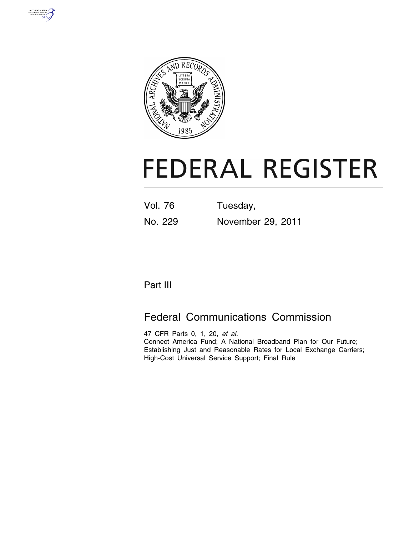



# **FEDERAL REGISTER**

Vol. 76 Tuesday, No. 229 November 29, 2011

# Part III

# Federal Communications Commission

47 CFR Parts 0, 1, 20, *et al.*  Connect America Fund; A National Broadband Plan for Our Future; Establishing Just and Reasonable Rates for Local Exchange Carriers; High-Cost Universal Service Support; Final Rule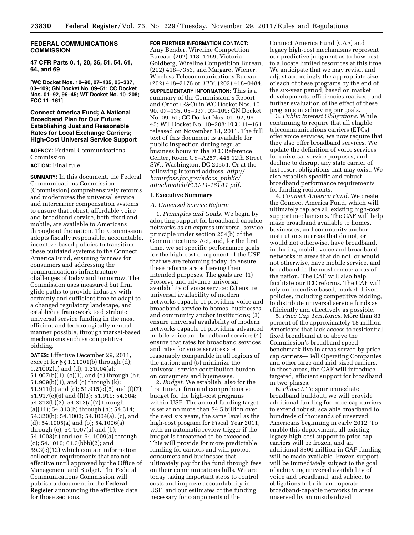# **FEDERAL COMMUNICATIONS COMMISSION**

**47 CFR Parts 0, 1, 20, 36, 51, 54, 61, 64, and 69** 

**[WC Docket Nos. 10–90, 07–135, 05–337, 03–109; GN Docket No. 09–51; CC Docket Nos. 01–92, 96–45; WT Docket No. 10–208; FCC 11–161]** 

# **Connect America Fund; A National Broadband Plan for Our Future; Establishing Just and Reasonable Rates for Local Exchange Carriers; High-Cost Universal Service Support**

**AGENCY:** Federal Communications Commission.

# **ACTION:** Final rule.

**SUMMARY:** In this document, the Federal Communications Commission (Commission) comprehensively reforms and modernizes the universal service and intercarrier compensation systems to ensure that robust, affordable voice and broadband service, both fixed and mobile, are available to Americans throughout the nation. The Commission adopts fiscally responsible, accountable, incentive-based policies to transition these outdated systems to the Connect America Fund, ensuring fairness for consumers and addressing the communications infrastructure challenges of today and tomorrow. The Commission uses measured but firm glide paths to provide industry with certainty and sufficient time to adapt to a changed regulatory landscape, and establish a framework to distribute universal service funding in the most efficient and technologically neutral manner possible, through market-based mechanisms such as competitive bidding.

**DATES:** Effective December 29, 2011, except for §§ 1.21001(b) through (d); 1.21002(c) and (d); 1.21004(a); 51.907(b)(1), (c)(1), and (d) through (h); 51.909(b)(1), and (c) through (k); 51.911(b) and (c); 51.915(e)(5) and (f)(7); 51.917(e)(6) and (f)(3); 51.919; 54.304; 54.312(b)(3); 54.313(a)(7) through (a)(11); 54.313(b) through (h); 54.314; 54.320(b); 54.1003; 54.1004(a), (c), and (d); 54.1005(a) and (b); 54.1006(a) through (e); 54.1007(a) and (b); 54.1008(d) and (e); 54.1009(a) through (c); 54.1010; 61.3(bbb)(2); and 69.3(e)(12) which contain information collection requirements that are not effective until approved by the Office of Management and Budget. The Federal Communications Commission will publish a document in the **Federal Register** announcing the effective date for those sections.

**FOR FURTHER INFORMATION CONTACT:** 

Amy Bender, Wireline Competition Bureau, (202) 418–1469, Victoria Goldberg, Wireline Competition Bureau, (202) 418–7353, and Margaret Wiener, Wireless Telecommunications Bureau, (202) 418–2176 or *TTY:* (202) 418–0484. **SUPPLEMENTARY INFORMATION:** This is a summary of the Commission's Report and Order (R&O) in WC Docket Nos. 10– 90, 07–135, 05–337, 03–109; GN Docket No. 09–51; CC Docket Nos. 01–92, 96– 45; WT Docket No. 10–208; FCC 11–161, released on November 18, 2011. The full text of this document is available for public inspection during regular business hours in the FCC Reference Center, Room CY–A257, 445 12th Street SW., Washington, DC 20554. Or at the following Internet address: *[http://](http://hraunfoss.fcc.gov/edocs_public/attachmatch/FCC-11-161A1.pdf)  [hraunfoss.fcc.gov/edocs](http://hraunfoss.fcc.gov/edocs_public/attachmatch/FCC-11-161A1.pdf)*\_*public/ [attachmatch/FCC-11-161A1.pdf.](http://hraunfoss.fcc.gov/edocs_public/attachmatch/FCC-11-161A1.pdf)* 

#### **I. Executive Summary**

#### *A. Universal Service Reform*

1. *Principles and Goals.* We begin by adopting support for broadband-capable networks as an express universal service principle under section 254(b) of the Communications Act, and, for the first time, we set specific performance goals for the high-cost component of the USF that we are reforming today, to ensure these reforms are achieving their intended purposes. The goals are: (1) Preserve and advance universal availability of voice service; (2) ensure universal availability of modern networks capable of providing voice and broadband service to homes, businesses, and community anchor institutions; (3) ensure universal availability of modern networks capable of providing advanced mobile voice and broadband service; (4) ensure that rates for broadband services and rates for voice services are reasonably comparable in all regions of the nation; and (5) minimize the universal service contribution burden on consumers and businesses.

2. *Budget.* We establish, also for the first time, a firm and comprehensive budget for the high-cost programs within USF. The annual funding target is set at no more than \$4.5 billion over the next six years, the same level as the high-cost program for Fiscal Year 2011, with an automatic review trigger if the budget is threatened to be exceeded. This will provide for more predictable funding for carriers and will protect consumers and businesses that ultimately pay for the fund through fees on their communications bills. We are today taking important steps to control costs and improve accountability in USF, and our estimates of the funding necessary for components of the

Connect America Fund (CAF) and legacy high-cost mechanisms represent our predictive judgment as to how best to allocate limited resources at this time. We anticipate that we may revisit and adjust accordingly the appropriate size of each of these programs by the end of the six-year period, based on market developments, efficiencies realized, and further evaluation of the effect of these programs in achieving our goals.

3. *Public Interest Obligations.* While continuing to require that all eligible telecommunications carriers (ETCs) offer voice services, we now require that they also offer broadband services. We update the definition of voice services for universal service purposes, and decline to disrupt any state carrier of last resort obligations that may exist. We also establish specific and robust broadband performance requirements for funding recipients.

4. *Connect America Fund.* We create the Connect America Fund, which will ultimately replace all existing high-cost support mechanisms. The CAF will help make broadband available to homes, businesses, and community anchor institutions in areas that do not, or would not otherwise, have broadband, including mobile voice and broadband networks in areas that do not, or would not otherwise, have mobile service, and broadband in the most remote areas of the nation. The CAF will also help facilitate our ICC reforms. The CAF will rely on incentive-based, market-driven policies, including competitive bidding, to distribute universal service funds as efficiently and effectively as possible.

5. *Price Cap Territories.* More than 83 percent of the approximately 18 million Americans that lack access to residential fixed broadband at or above the Commission's broadband speed benchmark live in areas served by price cap carriers—Bell Operating Companies and other large and mid-sized carriers. In these areas, the CAF will introduce targeted, efficient support for broadband in two phases.

6. *Phase I.* To spur immediate broadband buildout, we will provide additional funding for price cap carriers to extend robust, scalable broadband to hundreds of thousands of unserved Americans beginning in early 2012. To enable this deployment, all existing legacy high-cost support to price cap carriers will be frozen, and an additional \$300 million in CAF funding will be made available. Frozen support will be immediately subject to the goal of achieving universal availability of voice and broadband, and subject to obligations to build and operate broadband-capable networks in areas unserved by an unsubsidized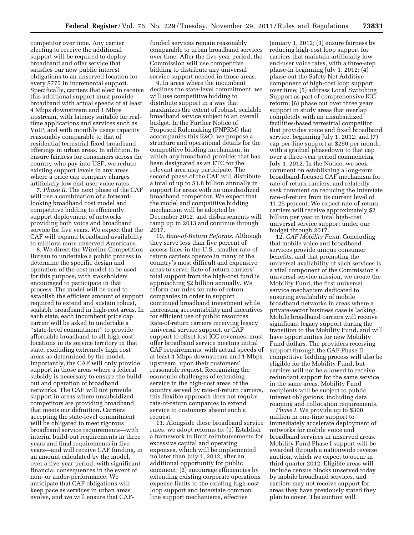competitor over time. Any carrier electing to receive the additional support will be required to deploy broadband and offer service that satisfies our new public interest obligations to an unserved location for every \$775 in incremental support. Specifically, carriers that elect to receive this additional support must provide broadband with actual speeds of at least 4 Mbps downstream and 1 Mbps upstream, with latency suitable for realtime applications and services such as VoIP, and with monthly usage capacity reasonably comparable to that of residential terrestrial fixed broadband offerings in urban areas. In addition, to ensure fairness for consumers across the country who pay into USF, we reduce existing support levels in any areas where a price cap company charges artificially low end-user voice rates.

7. *Phase II.* The next phase of the CAF will use a combination of a forwardlooking broadband cost model and competitive bidding to efficiently support deployment of networks providing both voice and broadband service for five years. We expect that the CAF will expand broadband availability to millions more unserved Americans.

8. We direct the Wireline Competition Bureau to undertake a public process to determine the specific design and operation of the cost model to be used for this purpose, with stakeholders encouraged to participate in that process. The model will be used to establish the efficient amount of support required to extend and sustain robust, scalable broadband in high-cost areas. In each state, each incumbent price cap carrier will be asked to undertake a ''state-level commitment'' to provide affordable broadband to all high-cost locations in its service territory in that state, excluding extremely high cost areas as determined by the model. Importantly, the CAF will only provide support in those areas where a federal subsidy is necessary to ensure the buildout and operation of broadband networks. The CAF will not provide support in areas where unsubsidized competitors are providing broadband that meets our definition. Carriers accepting the state-level commitment will be obligated to meet rigorous broadband service requirements—with interim build-out requirements in three years and final requirements in five years—and will receive CAF funding, in an amount calculated by the model, over a five-year period, with significant financial consequences in the event of non- or under-performance. We anticipate that CAF obligations will keep pace as services in urban areas evolve, and we will ensure that CAF-

funded services remain reasonably comparable to urban broadband services over time. After the five-year period, the Commission will use competitive bidding to distribute any universal service support needed in those areas.

9. In areas where the incumbent declines the state-level commitment, we will use competitive bidding to distribute support in a way that maximizes the extent of robust, scalable broadband service subject to an overall budget. In the Further Notice of Proposed Rulemaking (FNPRM) that accompanies this R&O, we propose a structure and operational details for the competitive bidding mechanism, in which any broadband provider that has been designated as an ETC for the relevant area may participate. The second phase of the CAF will distribute a total of up to \$1.8 billion annually in support for areas with no unsubsidized broadband competitor. We expect that the model and competitive bidding mechanism will be adopted by December 2012, and disbursements will ramp up in 2013 and continue through 2017.

10. *Rate-of-Return Reforms.* Although they serve less than five percent of access lines in the U.S., smaller rate-ofreturn carriers operate in many of the country's most difficult and expensive areas to serve. Rate-of-return carriers' total support from the high-cost fund is approaching \$2 billion annually. We reform our rules for rate-of-return companies in order to support continued broadband investment while increasing accountability and incentives for efficient use of public resources. Rate-of-return carriers receiving legacy universal service support, or CAF support to offset lost ICC revenues, must offer broadband service meeting initial CAF requirements, with actual speeds of at least 4 Mbps downstream and 1 Mbps upstream, upon their customers' reasonable request. Recognizing the economic challenges of extending service in the high-cost areas of the country served by rate-of-return carriers, this flexible approach does not require rate-of-return companies to extend service to customers absent such a request.

11. Alongside these broadband service rules, we adopt reforms to: (1) Establish a framework to limit reimbursements for excessive capital and operating expenses, which will be implemented no later than July 1, 2012, after an additional opportunity for public comment; (2) encourage efficiencies by extending existing corporate operations expense limits to the existing high-cost loop support and interstate common line support mechanisms, effective

January 1, 2012; (3) ensure fairness by reducing high-cost loop support for carriers that maintain artificially low end-user voice rates, with a three-step phase-in beginning July 1, 2012; (4) phase out the Safety Net Additive component of high-cost loop support over time; (5) address Local Switching Support as part of comprehensive ICC reform; (6) phase out over three years support in study areas that overlap completely with an unsubsidized facilities-based terrestrial competitor that provides voice and fixed broadband service, beginning July 1, 2012; and (7) cap per-line support at \$250 per month, with a gradual phasedown to that cap over a three-year period commencing July 1, 2012. In the Notice, we seek comment on establishing a long-term broadband-focused CAF mechanism for rate-of-return carriers, and relatedly seek comment on reducing the interstate rate-of-return from its current level of 11.25 percent. We expect rate-of-return carriers will receive approximately \$2 billion per year in total high-cost universal service support under our budget through 2017.

12. *CAF Mobility Fund.* Concluding that mobile voice and broadband services provide unique consumer benefits, and that promoting the universal availability of such services is a vital component of the Commission's universal service mission, we create the Mobility Fund, the first universal service mechanism dedicated to ensuring availability of mobile broadband networks in areas where a private-sector business case is lacking. Mobile broadband carriers will receive significant legacy support during the transition to the Mobility Fund, and will have opportunities for new Mobility Fund dollars. The providers receiving support through the CAF Phase II competitive bidding process will also be eligible for the Mobility Fund, but carriers will not be allowed to receive redundant support for the same service in the same areas. Mobility Fund recipients will be subject to public interest obligations, including data roaming and collocation requirements.

*Phase I.* We provide up to \$300 million in one-time support to immediately accelerate deployment of networks for mobile voice and broadband services in unserved areas. Mobility Fund Phase I support will be awarded through a nationwide reverse auction, which we expect to occur in third quarter 2012. Eligible areas will include census blocks unserved today by mobile broadband services, and carriers may not receive support for areas they have previously stated they plan to cover. The auction will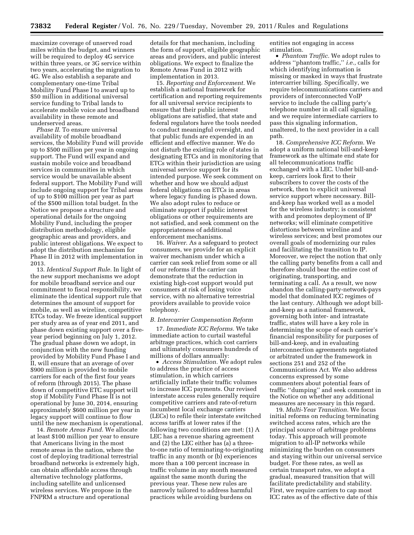maximize coverage of unserved road miles within the budget, and winners will be required to deploy 4G service within three years, or 3G service within two years, accelerating the migration to 4G. We also establish a separate and complementary one-time Tribal Mobility Fund Phase I to award up to \$50 million in additional universal service funding to Tribal lands to accelerate mobile voice and broadband availability in these remote and underserved areas.

*Phase II.* To ensure universal availability of mobile broadband services, the Mobility Fund will provide up to \$500 million per year in ongoing support. The Fund will expand and sustain mobile voice and broadband services in communities in which service would be unavailable absent federal support. The Mobility Fund will include ongoing support for Tribal areas of up to \$100 million per year as part of the \$500 million total budget. In the Notice we propose a structure and operational details for the ongoing Mobility Fund, including the proper distribution methodology, eligible geographic areas and providers, and public interest obligations. We expect to adopt the distribution mechanism for Phase II in 2012 with implementation in 2013.

13. *Identical Support Rule.* In light of the new support mechanisms we adopt for mobile broadband service and our commitment to fiscal responsibility, we eliminate the identical support rule that determines the amount of support for mobile, as well as wireline, competitive ETCs today. We freeze identical support per study area as of year end 2011, and phase down existing support over a fiveyear period beginning on July 1, 2012. The gradual phase down we adopt, in conjunction with the new funding provided by Mobility Fund Phase I and II, will ensure that an average of over \$900 million is provided to mobile carriers for each of the first four years of reform (through 2015). The phase down of competitive ETC support will stop if Mobility Fund Phase II is not operational by June 30, 2014, ensuring approximately \$600 million per year in legacy support will continue to flow until the new mechanism is operational.

14. *Remote Areas Fund.* We allocate at least \$100 million per year to ensure that Americans living in the most remote areas in the nation, where the cost of deploying traditional terrestrial broadband networks is extremely high, can obtain affordable access through alternative technology platforms, including satellite and unlicensed wireless services. We propose in the FNPRM a structure and operational

details for that mechanism, including the form of support, eligible geographic areas and providers, and public interest obligations. We expect to finalize the Remote Areas Fund in 2012 with implementation in 2013.

15. *Reporting and Enforcement.* We establish a national framework for certification and reporting requirements for all universal service recipients to ensure that their public interest obligations are satisfied, that state and federal regulators have the tools needed to conduct meaningful oversight, and that public funds are expended in an efficient and effective manner. We do not disturb the existing role of states in designating ETCs and in monitoring that ETCs within their jurisdiction are using universal service support for its intended purpose. We seek comment on whether and how we should adjust federal obligations on ETCs in areas where legacy funding is phased down. We also adopt rules to reduce or eliminate support if public interest obligations or other requirements are not satisfied, and seek comment on the appropriateness of additional enforcement mechanisms.

16. *Waiver.* As a safeguard to protect consumers, we provide for an explicit waiver mechanism under which a carrier can seek relief from some or all of our reforms if the carrier can demonstrate that the reduction in existing high-cost support would put consumers at risk of losing voice service, with no alternative terrestrial providers available to provide voice telephony.

#### *B. Intercarrier Compensation Reform*

17. *Immediate ICC Reforms.* We take immediate action to curtail wasteful arbitrage practices, which cost carriers and ultimately consumers hundreds of millions of dollars annually:

• *Access Stimulation.* We adopt rules to address the practice of access stimulation, in which carriers artificially inflate their traffic volumes to increase ICC payments. Our revised interstate access rules generally require competitive carriers and rate-of-return incumbent local exchange carriers (LECs) to refile their interstate switched access tariffs at lower rates if the following two conditions are met: (1) A LEC has a revenue sharing agreement and (2) the LEC either has (a) a threeto-one ratio of terminating-to-originating traffic in any month or (b) experiences more than a 100 percent increase in traffic volume in any month measured against the same month during the previous year. These new rules are narrowly tailored to address harmful practices while avoiding burdens on

entities not engaging in access stimulation.

• *Phantom Traffic.* We adopt rules to address ''phantom traffic,'' *i.e.,* calls for which identifying information is missing or masked in ways that frustrate intercarrier billing. Specifically, we require telecommunications carriers and providers of interconnected VoIP service to include the calling party's telephone number in all call signaling, and we require intermediate carriers to pass this signaling information, unaltered, to the next provider in a call path.

18. *Comprehensive ICC Reform.* We adopt a uniform national bill-and-keep framework as the ultimate end state for all telecommunications traffic exchanged with a LEC. Under bill-andkeep, carriers look first to their subscribers to cover the costs of the network, then to explicit universal service support where necessary. Billand-keep has worked well as a model for the wireless industry; is consistent with and promotes deployment of IP networks; will eliminate competitive distortions between wireline and wireless services; and best promotes our overall goals of modernizing our rules and facilitating the transition to IP. Moreover, we reject the notion that only the calling party benefits from a call and therefore should bear the entire cost of originating, transporting, and terminating a call. As a result, we now abandon the calling-party-network-pays model that dominated ICC regimes of the last century. Although we adopt billand-keep as a national framework, governing both inter- and intrastate traffic, states will have a key role in determining the scope of each carrier's financial responsibility for purposes of bill-and-keep, and in evaluating interconnection agreements negotiated or arbitrated under the framework in sections 251 and 252 of the Communications Act. We also address concerns expressed by some commenters about potential fears of traffic ''dumping'' and seek comment in the Notice on whether any additional measures are necessary in this regard.

19. *Multi-Year Transition.* We focus initial reforms on reducing terminating switched access rates, which are the principal source of arbitrage problems today. This approach will promote migration to all-IP networks while minimizing the burden on consumers and staying within our universal service budget. For these rates, as well as certain transport rates, we adopt a gradual, measured transition that will facilitate predictability and stability. First, we require carriers to cap most ICC rates as of the effective date of this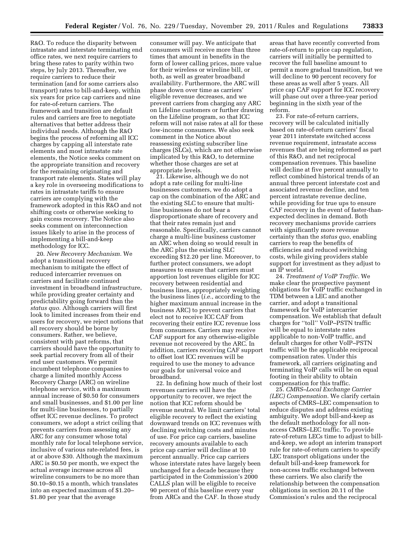R&O. To reduce the disparity between intrastate and interstate terminating end office rates, we next require carriers to bring these rates to parity within two steps, by July 2013. Thereafter, we require carriers to reduce their termination (and for some carriers also transport) rates to bill-and-keep, within six years for price cap carriers and nine for rate-of-return carriers. The framework and transition are default rules and carriers are free to negotiate alternatives that better address their individual needs. Although the R&O begins the process of reforming all ICC charges by capping all interstate rate elements and most intrastate rate elements, the Notice seeks comment on the appropriate transition and recovery for the remaining originating and transport rate elements. States will play a key role in overseeing modifications to rates in intrastate tariffs to ensure carriers are complying with the framework adopted in this R&O and not shifting costs or otherwise seeking to gain excess recovery. The Notice also seeks comment on interconnection issues likely to arise in the process of implementing a bill-and-keep methodology for ICC.

20. *New Recovery Mechanism.* We adopt a transitional recovery mechanism to mitigate the effect of reduced intercarrier revenues on carriers and facilitate continued investment in broadband infrastructure, while providing greater certainty and predictability going forward than the *status quo.* Although carriers will first look to limited increases from their end users for recovery, we reject notions that all recovery should be borne by consumers. Rather, we believe, consistent with past reforms, that carriers should have the opportunity to seek partial recovery from all of their end user customers. We permit incumbent telephone companies to charge a limited monthly Access Recovery Charge (ARC) on wireline telephone service, with a maximum annual increase of \$0.50 for consumers and small businesses, and \$1.00 per line for multi-line businesses, to partially offset ICC revenue declines. To protect consumers, we adopt a strict ceiling that prevents carriers from assessing any ARC for any consumer whose total monthly rate for local telephone service, inclusive of various rate-related fees, is at or above \$30. Although the maximum ARC is \$0.50 per month, we expect the actual average increase across all wireline consumers to be no more than \$0.10–\$0.15 a month, which translates into an expected maximum of \$1.20– \$1.80 per year that the average

consumer will pay. We anticipate that consumers will receive more than three times that amount in benefits in the form of lower calling prices, more value for their wireless or wireline bill, or both, as well as greater broadband availability. Furthermore, the ARC will phase down over time as carriers' eligible revenue decreases, and we prevent carriers from charging any ARC on Lifeline customers or further drawing on the Lifeline program, so that ICC reform will not raise rates at all for these low-income consumers. We also seek comment in the Notice about reassessing existing subscriber line charges (SLCs), which are not otherwise implicated by this R&O, to determine whether those charges are set at appropriate levels.

21. Likewise, although we do not adopt a rate ceiling for multi-line businesses customers, we do adopt a cap on the combination of the ARC and the existing SLC to ensure that multiline businesses do not bear a disproportionate share of recovery and that their rates remain just and reasonable. Specifically, carriers cannot charge a multi-line business customer an ARC when doing so would result in the ARC plus the existing SLC exceeding \$12.20 per line. Moreover, to further protect consumers, we adopt measures to ensure that carriers must apportion lost revenues eligible for ICC recovery between residential and business lines, appropriately weighting the business lines (*i.e.*, according to the higher maximum annual increase in the business ARC) to prevent carriers that elect not to receive ICC CAF from recovering their entire ICC revenue loss from consumers. Carriers may receive CAF support for any otherwise-eligible revenue not recovered by the ARC. In addition, carriers receiving CAF support to offset lost ICC revenues will be required to use the money to advance our goals for universal voice and broadband.

22. In defining how much of their lost revenues carriers will have the opportunity to recover, we reject the notion that ICC reform should be revenue neutral. We limit carriers' total eligible recovery to reflect the existing downward trends on ICC revenues with declining switching costs and minutes of use. For price cap carriers, baseline recovery amounts available to each price cap carrier will decline at 10 percent annually. Price cap carriers whose interstate rates have largely been unchanged for a decade because they participated in the Commission's 2000 CALLS plan will be eligible to receive 90 percent of this baseline every year from ARCs and the CAF. In those study

areas that have recently converted from rate-of-return to price cap regulation, carriers will initially be permitted to recover the full baseline amount to permit a more gradual transition, but we will decline to 90 percent recovery for these areas as well after 5 years. All price cap CAF support for ICC recovery will phase out over a three-year period beginning in the sixth year of the reform.

23. For rate-of-return carriers, recovery will be calculated initially based on rate-of-return carriers' fiscal year 2011 interstate switched access revenue requirement, intrastate access revenues that are being reformed as part of this R&O, and net reciprocal compensation revenues. This baseline will decline at five percent annually to reflect combined historical trends of an annual three percent interstate cost and associated revenue decline, and ten percent intrastate revenue decline, while providing for true ups to ensure CAF recovery in the event of faster-thanexpected declines in demand. Both recovery mechanisms provide carriers with significantly more revenue certainty than the *status quo*, enabling carriers to reap the benefits of efficiencies and reduced switching costs, while giving providers stable support for investment as they adjust to an IP world.

24. *Treatment of VoIP Traffic.* We make clear the prospective payment obligations for VoIP traffic exchanged in TDM between a LEC and another carrier, and adopt a transitional framework for VoIP intercarrier compensation. We establish that default charges for ''toll'' VoIP–PSTN traffic will be equal to interstate rates applicable to non-VoIP traffic, and default charges for other VoIP–PSTN traffic will be the applicable reciprocal compensation rates. Under this framework, all carriers originating and terminating VoIP calls will be on equal footing in their ability to obtain compensation for this traffic.

25. *CMRS–Local Exchange Carrier (LEC) Compensation.* We clarify certain aspects of CMRS–LEC compensation to reduce disputes and address existing ambiguity. We adopt bill-and-keep as the default methodology for all nonaccess CMRS–LEC traffic. To provide rate-of-return LECs time to adjust to billand-keep, we adopt an interim transport rule for rate-of-return carriers to specify LEC transport obligations under the default bill-and-keep framework for non-access traffic exchanged between these carriers. We also clarify the relationship between the compensation obligations in section 20.11 of the Commission's rules and the reciprocal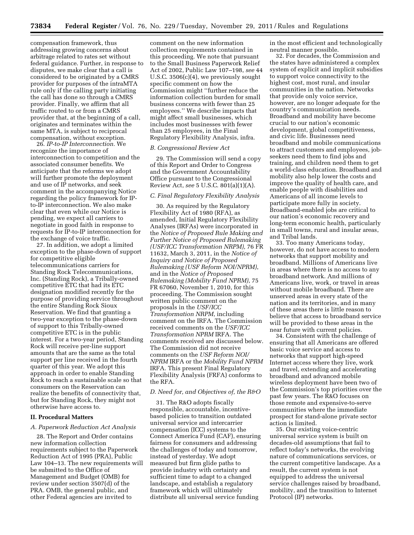compensation framework, thus addressing growing concerns about arbitrage related to rates set without federal guidance. Further, in response to disputes, we make clear that a call is considered to be originated by a CMRS provider for purposes of the intraMTA rule only if the calling party initiating the call has done so through a CMRS provider. Finally, we affirm that all traffic routed to or from a CMRS provider that, at the beginning of a call, originates and terminates within the same MTA, is subject to reciprocal compensation, without exception.

26. *IP-to-IP Interconnection.* We recognize the importance of interconnection to competition and the associated consumer benefits. We anticipate that the reforms we adopt will further promote the deployment and use of IP networks, and seek comment in the accompanying Notice regarding the policy framework for IPto-IP interconnection. We also make clear that even while our Notice is pending, we expect all carriers to negotiate in good faith in response to requests for IP-to-IP interconnection for the exchange of voice traffic.

27. In addition, we adopt a limited exception to the phase-down of support for competitive eligible telecommunications carriers for Standing Rock Telecommunications, Inc. (Standing Rock), a Tribally-owned competitive ETC that had its ETC designation modified recently for the purpose of providing service throughout the entire Standing Rock Sioux Reservation. We find that granting a two-year exception to the phase-down of support to this Tribally-owned competitive ETC is in the public interest. For a two-year period, Standing Rock will receive per-line support amounts that are the same as the total support per line received in the fourth quarter of this year. We adopt this approach in order to enable Standing Rock to reach a sustainable scale so that consumers on the Reservation can realize the benefits of connectivity that, but for Standing Rock, they might not otherwise have access to.

# **II. Procedural Matters**

# *A. Paperwork Reduction Act Analysis*

28. The Report and Order contains new information collection requirements subject to the Paperwork Reduction Act of 1995 (PRA), Public Law 104–13. The new requirements will be submitted to the Office of Management and Budget (OMB) for review under section 3507(d) of the PRA. OMB, the general public, and other Federal agencies are invited to

comment on the new information collection requirements contained in this proceeding. We note that pursuant to the Small Business Paperwork Relief Act of 2002, Public Law 107–198, *see* 44 U.S.C. 3506(c)(4), we previously sought specific comment on how the Commission might ''further reduce the information collection burden for small business concerns with fewer than 25 employees.'' We describe impacts that might affect small businesses, which includes most businesses with fewer than 25 employees, in the Final Regulatory Flexibility Analysis, infra.

# *B. Congressional Review Act*

29. The Commission will send a copy of this Report and Order to Congress and the Government Accountability Office pursuant to the Congressional Review Act, *see* 5 U.S.C. 801(a)(1)(A).

# *C. Final Regulatory Flexibility Analysis*

30. As required by the Regulatory Flexibility Act of 1980 (RFA), as amended, Initial Regulatory Flexibility Analyses (IRFAs) were incorporated in the *Notice of Proposed Rule Making and Further Notice of Proposed Rulemaking (USF/ICC Transformation NRPM),* 76 FR 11632, March 3, 2011, in the *Notice of Inquiry and Notice of Proposed Rulemaking (USF Reform NOI/NPRM)*, and in the *Notice of Proposed Rulemaking (Mobility Fund NPRM)*, 75 FR 67060, November 1, 2010, for this proceeding. The Commission sought written public comment on the proposals in the *USF/ICC Transformation NRPM*, including comment on the IRFA. The Commission received comments on the *USF/ICC Transformation NPRM* IRFA. The comments received are discussed below. The Commission did not receive comments on the *USF Reform NOI/ NPRM* IRFA or the *Mobility Fund NPRM*  IRFA. This present Final Regulatory Flexibility Analysis (FRFA) conforms to the RFA.

# *D. Need for, and Objectives of, the R&O*

31. The R&O adopts fiscally responsible, accountable, incentivebased policies to transition outdated universal service and intercarrier compensation (ICC) systems to the Connect America Fund (CAF), ensuring fairness for consumers and addressing the challenges of today and tomorrow, instead of yesterday. We adopt measured but firm glide paths to provide industry with certainty and sufficient time to adapt to a changed landscape, and establish a regulatory framework which will ultimately distribute all universal service funding

in the most efficient and technologically neutral manner possible.

32. For decades, the Commission and the states have administered a complex system of explicit and implicit subsidies to support voice connectivity to the highest cost, most rural, and insular communities in the nation. Networks that provide only voice service, however, are no longer adequate for the country's communication needs. Broadband and mobility have become crucial to our nation's economic development, global competitiveness, and civic life. Businesses need broadband and mobile communications to attract customers and employees, jobseekers need them to find jobs and training, and children need them to get a world-class education. Broadband and mobility also help lower the costs and improve the quality of health care, and enable people with disabilities and Americans of all income levels to participate more fully in society. Broadband-enabled jobs are critical to our nation's economic recovery and long-term economic health, particularly in small towns, rural and insular areas, and Tribal lands.

33. Too many Americans today, however, do not have access to modern networks that support mobility and broadband. Millions of Americans live in areas where there is no access to any broadband network. And millions of Americans live, work, or travel in areas without mobile broadband. There are unserved areas in every state of the nation and its territories, and in many of these areas there is little reason to believe that access to broadband service will be provided to these areas in the near future with current policies.

34. Consistent with the challenge of ensuring that all Americans are offered basic voice service and access to networks that support high-speed Internet access where they live, work and travel, extending and accelerating broadband and advanced mobile wireless deployment have been two of the Commission's top priorities over the past few years. The R&O focuses on those remote and expensive-to-serve communities where the immediate prospect for stand-alone private sector action is limited.

35. Our existing voice-centric universal service system is built on decades-old assumptions that fail to reflect today's networks, the evolving nature of communications services, or the current competitive landscape. As a result, the current system is not equipped to address the universal service challenges raised by broadband, mobility, and the transition to Internet Protocol (IP) networks.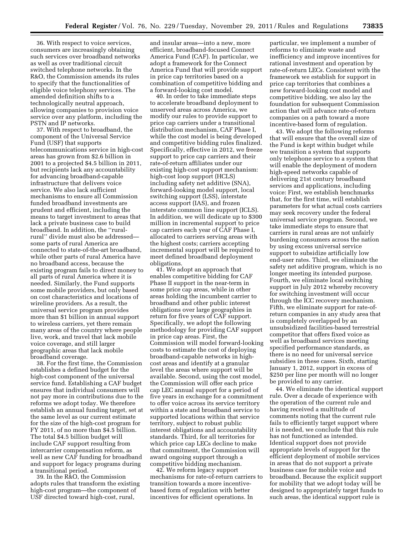36. With respect to voice services, consumers are increasingly obtaining such services over broadband networks as well as over traditional circuit switched telephone networks. In the R&O, the Commission amends its rules to specify that the functionalities of eligible voice telephony services. The amended definition shifts to a technologically neutral approach, allowing companies to provision voice service over any platform, including the PSTN and IP networks.

37. With respect to broadband, the component of the Universal Service Fund (USF) that supports telecommunications service in high-cost areas has grown from \$2.6 billion in 2001 to a projected \$4.5 billion in 2011, but recipients lack any accountability for advancing broadband-capable infrastructure that delivers voice service. We also lack sufficient mechanisms to ensure all Commission funded broadband investments are prudent and efficient, including the means to target investment to areas that lack a private business case to build broadband. In addition, the ''ruralrural'' divide must also be addressed some parts of rural America are connected to state-of-the-art broadband, while other parts of rural America have no broadband access, because the existing program fails to direct money to all parts of rural America where it is needed. Similarly, the Fund supports some mobile providers, but only based on cost characteristics and locations of wireline providers. As a result, the universal service program provides more than \$1 billion in annual support to wireless carriers, yet there remain many areas of the country where people live, work, and travel that lack mobile voice coverage, and still larger geographic areas that lack mobile broadband coverage.

38. For the first time, the Commission establishes a defined budget for the high-cost component of the universal service fund. Establishing a CAF budget ensures that individual consumers will not pay more in contributions due to the reforms we adopt today. We therefore establish an annual funding target, set at the same level as our current estimate for the size of the high-cost program for FY 2011, of no more than \$4.5 billion. The total \$4.5 billion budget will include CAF support resulting from intercarrier compensation reform, as well as new CAF funding for broadband and support for legacy programs during a transitional period.

39. In the R&O, the Commission adopts rules that transform the existing high-cost program—the component of USF directed toward high-cost, rural,

and insular areas—into a new, more efficient, broadband-focused Connect America Fund (CAF). In particular, we adopt a framework for the Connect America Fund that will provide support in price cap territories based on a combination of competitive bidding and a forward-looking cost model.

40. In order to take immediate steps to accelerate broadband deployment to unserved areas across America, we modify our rules to provide support to price cap carriers under a transitional distribution mechanism, CAF Phase I, while the cost model is being developed and competitive bidding rules finalized. Specifically, effective in 2012, we freeze support to price cap carriers and their rate-of-return affiliates under our existing high-cost support mechanism: high-cost loop support (HCLS) including safety net additive (SNA), forward-looking model support, local switching support (LSS), interstate access support (IAS), and frozen interstate common line support (ICLS). In addition, we will dedicate up to \$300 million in incremental support to price cap carriers each year of CAF Phase I, allocated to carriers serving areas with the highest costs; carriers accepting incremental support will be required to meet defined broadband deployment obligations.

41. We adopt an approach that enables competitive bidding for CAF Phase II support in the near-term in some price cap areas, while in other areas holding the incumbent carrier to broadband and other public interest obligations over large geographies in return for five years of CAF support. Specifically, we adopt the following methodology for providing CAF support in price cap areas. First, the Commission will model forward-looking costs to estimate the cost of deploying broadband-capable networks in highcost areas and identify at a granular level the areas where support will be available. Second, using the cost model, the Commission will offer each price cap LEC annual support for a period of five years in exchange for a commitment to offer voice across its service territory within a state and broadband service to supported locations within that service territory, subject to robust public interest obligations and accountability standards. Third, for all territories for which price cap LECs decline to make that commitment, the Commission will award ongoing support through a competitive bidding mechanism.

42. We reform legacy support mechanisms for rate-of-return carriers to transition towards a more incentivebased form of regulation with better incentives for efficient operations. In

particular, we implement a number of reforms to eliminate waste and inefficiency and improve incentives for rational investment and operation by rate-of-return LECs. Consistent with the framework we establish for support in price cap territories that combines a new forward-looking cost model and competitive bidding, we also lay the foundation for subsequent Commission action that will advance rate-of-return companies on a path toward a more incentive-based form of regulation.

43. We adopt the following reforms that will ensure that the overall size of the Fund is kept within budget while we transition a system that supports only telephone service to a system that will enable the deployment of modern high-speed networks capable of delivering 21st century broadband services and applications, including voice: First, we establish benchmarks that, for the first time, will establish parameters for what actual costs carriers may seek recovery under the federal universal service program. Second, we take immediate steps to ensure that carriers in rural areas are not unfairly burdening consumers across the nation by using excess universal service support to subsidize artificially low end-user rates. Third, we eliminate the safety net additive program, which is no longer meeting its intended purpose. Fourth, we eliminate local switching support in July 2012 whereby recovery for switching investment will occur through the ICC recovery mechanism. Fifth, we eliminate support for rate-ofreturn companies in any study area that is completely overlapped by an unsubsidized facilities-based terrestrial competitor that offers fixed voice as well as broadband services meeting specified performance standards, as there is no need for universal service subsidies in these cases. Sixth, starting January 1, 2012, support in excess of \$250 per line per month will no longer be provided to any carrier.

44. We eliminate the identical support rule. Over a decade of experience with the operation of the current rule and having received a multitude of comments noting that the current rule fails to efficiently target support where it is needed, we conclude that this rule has not functioned as intended. Identical support does not provide appropriate levels of support for the efficient deployment of mobile services in areas that do not support a private business case for mobile voice and broadband. Because the explicit support for mobility that we adopt today will be designed to appropriately target funds to such areas, the identical support rule is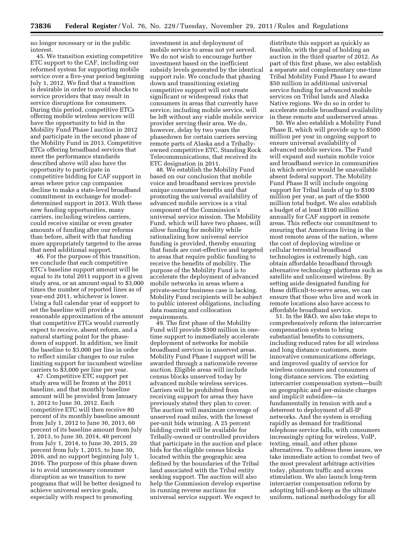no longer necessary or in the public interest.

45. We transition existing competitive ETC support to the CAF, including our reformed system for supporting mobile service over a five-year period beginning July 1, 2012. We find that a transition is desirable in order to avoid shocks to service providers that may result in service disruptions for consumers. During this period, competitive ETCs offering mobile wireless services will have the opportunity to bid in the Mobility Fund Phase I auction in 2012 and participate in the second phase of the Mobility Fund in 2013. Competitive ETCs offering broadband services that meet the performance standards described above will also have the opportunity to participate in competitive bidding for CAF support in areas where price cap companies decline to make a state-level broadband commitment in exchange for modeldetermined support in 2013. With these new funding opportunities, many carriers, including wireless carriers, could receive similar or even greater amounts of funding after our reforms than before, albeit with that funding more appropriately targeted to the areas that need additional support.

46. For the purpose of this transition, we conclude that each competitive ETC's baseline support amount will be equal to its total 2011 support in a given study area, or an amount equal to \$3,000 times the number of reported lines as of year-end 2011, whichever is lower. Using a full calendar year of support to set the baseline will provide a reasonable approximation of the amount that competitive ETCs would currently expect to receive, absent reform, and a natural starting point for the phasedown of support. In addition, we limit the baseline to \$3,000 per line in order to reflect similar changes to our rules limiting support for incumbent wireline carriers to \$3,000 per line per year.

47. Competitive ETC support per study area will be frozen at the 2011 baseline, and that monthly baseline amount will be provided from January 1, 2012 to June 30, 2012. Each competitive ETC will then receive 80 percent of its monthly baseline amount from July 1, 2012 to June 30, 2013, 60 percent of its baseline amount from July 1, 2013, to June 30, 2014, 40 percent from July 1, 2014, to June 30, 2015, 20 percent from July 1, 2015, to June 30, 2016, and no support beginning July 1, 2016. The purpose of this phase down is to avoid unnecessary consumer disruption as we transition to new programs that will be better designed to achieve universal service goals, especially with respect to promoting

investment in and deployment of mobile service to areas not yet served. We do not wish to encourage further investment based on the inefficient subsidy levels generated by the identical support rule. We conclude that phasing down and transitioning existing competitive support will not create significant or widespread risks that consumers in areas that currently have service, including mobile service, will be left without any viable mobile service provider serving their area. We do, however, delay by two years the phasedown for certain carriers serving remote parts of Alaska and a Triballyowned competitive ETC, Standing Rock Telecommunications, that received its ETC designation in 2011.

48. We establish the Mobility Fund based on our conclusion that mobile voice and broadband services provide unique consumer benefits and that promoting the universal availability of advanced mobile services is a vital component of the Commission's universal service mission. The Mobility Fund, which will have two phases, will allow funding for mobility while rationalizing how universal service funding is provided, thereby ensuring that funds are cost-effective and targeted to areas that require public funding to receive the benefits of mobility. The purpose of the Mobility Fund is to accelerate the deployment of advanced mobile networks in areas where a private-sector business case is lacking. Mobility Fund recipients will be subject to public interest obligations, including data roaming and collocation requirements.

49. The first phase of the Mobility Fund will provide \$300 million in onetime support to immediately accelerate deployment of networks for mobile broadband services in unserved areas. Mobility Fund Phase I support will be awarded through a nationwide reverse auction. Eligible areas will include census blocks unserved today by advanced mobile wireless services. Carriers will be prohibited from receiving support for areas they have previously stated they plan to cover. The auction will maximize coverage of unserved road miles, with the lowest per-unit bids winning. A 25 percent bidding credit will be available for Tribally-owned or controlled providers that participate in the auction and place bids for the eligible census blocks located within the geographic area defined by the boundaries of the Tribal land associated with the Tribal entity seeking support. The auction will also help the Commission develop expertise in running reverse auctions for universal service support. We expect to

distribute this support as quickly as feasible, with the goal of holding an auction in the third quarter of 2012. As part of this first phase, we also establish a separate and complementary one-time Tribal Mobility Fund Phase I to award \$50 million in additional universal service funding for advanced mobile services on Tribal lands and Alaska Native regions. We do so in order to accelerate mobile broadband availability in these remote and underserved areas.

50. We also establish a Mobility Fund Phase II, which will provide up to \$500 million per year in ongoing support to ensure universal availability of advanced mobile services. The Fund will expand and sustain mobile voice and broadband service in communities in which service would be unavailable absent federal support. The Mobility Fund Phase II will include ongoing support for Tribal lands of up to \$100 million per year, as part of the \$500 million total budget. We also establish a budget of at least \$100 million annually for CAF support in remote areas. This reflects our commitment to ensuring that Americans living in the most remote areas of the nation, where the cost of deploying wireline or cellular terrestrial broadband technologies is extremely high, can obtain affordable broadband through alternative technology platforms such as satellite and unlicensed wireless. By setting aside designated funding for these difficult-to-serve areas, we can ensure that those who live and work in remote locations also have access to affordable broadband service.

51. In the R&O, we also take steps to comprehensively reform the intercarrier compensation system to bring substantial benefits to consumers, including reduced rates for all wireless and long distance customers, more innovative communications offerings, and improved quality of service for wireless consumers and consumers of long distance services. The existing intercarrier compensation system—built on geographic and per-minute charges and implicit subsidies—is fundamentally in tension with and a deterrent to deployment of all-IP networks. And the system is eroding rapidly as demand for traditional telephone service falls, with consumers increasingly opting for wireless, VoIP, texting, email, and other phone alternatives. To address these issues, we take immediate action to combat two of the most prevalent arbitrage activities today, phantom traffic and access stimulation. We also launch long-term intercarrier compensation reform by adopting bill-and-keep as the ultimate uniform, national methodology for all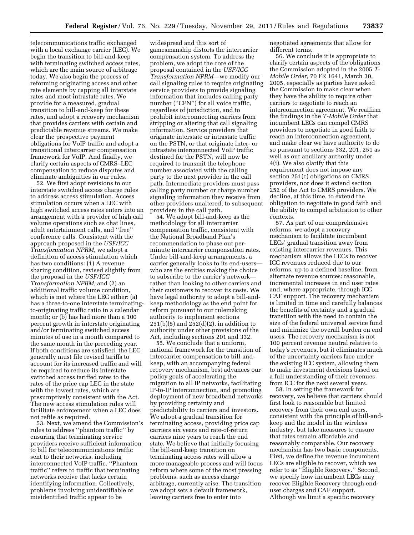telecommunications traffic exchanged with a local exchange carrier (LEC). We begin the transition to bill-and-keep with terminating switched access rates, which are the main source of arbitrage today. We also begin the process of reforming originating access and other rate elements by capping all interstate rates and most intrastate rates. We provide for a measured, gradual transition to bill-and-keep for these rates, and adopt a recovery mechanism that provides carriers with certain and predictable revenue streams. We make clear the prospective payment obligations for VoIP traffic and adopt a transitional intercarrier compensation framework for VoIP. And finally, we clarify certain aspects of CMRS–LEC compensation to reduce disputes and eliminate ambiguities in our rules.

52. We first adopt revisions to our interstate switched access charge rules to address access stimulation. Access stimulation occurs when a LEC with high switched access rates enters into an arrangement with a provider of high call volume operations such as chat lines, adult entertainment calls, and ''free'' conference calls. Consistent with the approach proposed in the *USF/ICC Transformation NPRM,* we adopt a definition of access stimulation which has two conditions: (1) A revenue sharing condition, revised slightly from the proposal in the *USF/ICC Transformation NPRM;* and (2) an additional traffic volume condition, which is met where the LEC either: (a) has a three-to-one interstate terminatingto-originating traffic ratio in a calendar month; or (b) has had more than a 100 percent growth in interstate originating and/or terminating switched access minutes of use in a month compared to the same month in the preceding year. If both conditions are satisfied, the LEC generally must file revised tariffs to account for its increased traffic and will be required to reduce its interstate switched access tariffed rates to the rates of the price cap LEC in the state with the lowest rates, which are presumptively consistent with the Act. The new access stimulation rules will facilitate enforcement when a LEC does not refile as required.

53. Next, we amend the Commission's rules to address ''phantom traffic'' by ensuring that terminating service providers receive sufficient information to bill for telecommunications traffic sent to their networks, including interconnected VoIP traffic. ''Phantom traffic'' refers to traffic that terminating networks receive that lacks certain identifying information. Collectively, problems involving unidentifiable or misidentified traffic appear to be

widespread and this sort of gamesmanship distorts the intercarrier compensation system. To address the problem, we adopt the core of the proposal contained in the *USF/ICC Transformation NPRM*—we modify our call signaling rules to require originating service providers to provide signaling information that includes calling party number ("CPN") for all voice traffic, regardless of jurisdiction, and to prohibit interconnecting carriers from stripping or altering that call signaling information. Service providers that originate interstate or intrastate traffic on the PSTN, or that originate inter- or intrastate interconnected VoIP traffic destined for the PSTN, will now be required to transmit the telephone number associated with the calling party to the next provider in the call path. Intermediate providers must pass calling party number or charge number signaling information they receive from other providers unaltered, to subsequent providers in the call path.

54. We adopt bill-and-keep as the methodology for all intercarrier compensation traffic, consistent with the National Broadband Plan's recommendation to phase out perminute intercarrier compensation rates. Under bill-and-keep arrangements, a carrier generally looks to its end-users who are the entities making the choice to subscribe to the carrier's network rather than looking to other carriers and their customers to recover its costs. We have legal authority to adopt a bill-andkeep methodology as the end point for reform pursuant to our rulemaking authority to implement sections 251(b)(5) and 252(d)(2), in addition to authority under other provisions of the Act, including sections 201 and 332.

55. We conclude that a uniform, national framework for the transition of intercarrier compensation to bill-andkeep, with an accompanying federal recovery mechanism, best advances our policy goals of accelerating the migration to all IP networks, facilitating IP-to-IP interconnection, and promoting deployment of new broadband networks by providing certainty and predictability to carriers and investors. We adopt a gradual transition for terminating access, providing price cap carriers six years and rate-of-return carriers nine years to reach the end state. We believe that initially focusing the bill-and-keep transition on terminating access rates will allow a more manageable process and will focus reform where some of the most pressing problems, such as access charge arbitrage, currently arise. The transition we adopt sets a default framework, leaving carriers free to enter into

negotiated agreements that allow for different terms.

56. We conclude it is appropriate to clarify certain aspects of the obligations the Commission adopted in the 2005 *T-Mobile Order,* 70 FR 1641, March 30, 2005, especially as parties have asked the Commission to make clear when they have the ability to require other carriers to negotiate to reach an interconnection agreement. We reaffirm the findings in the *T-Mobile Order* that incumbent LECs can compel CMRS providers to negotiate in good faith to reach an interconnection agreement, and make clear we have authority to do so pursuant to sections 332, 201, 251 as well as our ancillary authority under 4(i). We also clarify that this requirement does not impose any section 251(c) obligations on CMRS providers, nor does it extend section 252 of the Act to CMRS providers. We decline, at this time, to extend the obligation to negotiate in good faith and the ability to compel arbitration to other contexts.

57. As part of our comprehensive reforms, we adopt a recovery mechanism to facilitate incumbent LECs' gradual transition away from existing intercarrier revenues. This mechanism allows the LECs to recover ICC revenues reduced due to our reforms, up to a defined baseline, from alternate revenue sources: reasonable, incremental increases in end user rates and, where appropriate, through ICC CAF support. The recovery mechanism is limited in time and carefully balances the benefits of certainty and a gradual transition with the need to contain the size of the federal universal service fund and minimize the overall burden on end users. The recovery mechanism is not 100 percent revenue neutral relative to today's revenues, but it eliminates much of the uncertainty carriers face under the existing ICC system, allowing them to make investment decisions based on a full understanding of their revenues from ICC for the next several years.

58. In setting the framework for recovery, we believe that carriers should first look to reasonable but limited recovery from their own end users, consistent with the principle of bill-andkeep and the model in the wireless industry, but take measures to ensure that rates remain affordable and reasonably comparable. Our recovery mechanism has two basic components. First, we define the revenue incumbent LECs are eligible to recover, which we refer to as ''Eligible Recovery.'' Second, we specify how incumbent LECs may recover Eligible Recovery through enduser charges and CAF support. Although we limit a specific recovery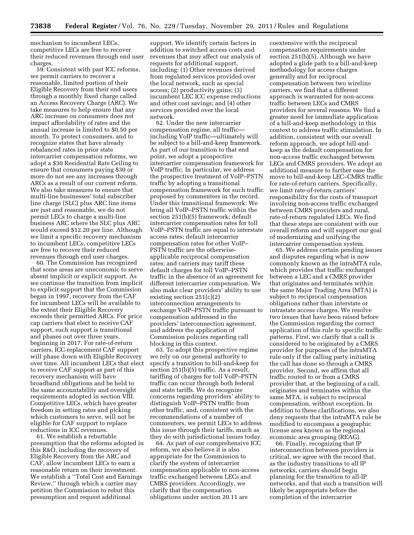mechanism to incumbent LECs, competitive LECs are free to recover their reduced revenues through end user charges.

59. Consistent with past ICC reforms, we permit carriers to recover a reasonable, limited portion of their Eligible Recovery from their end users through a monthly fixed charge called an Access Recovery Charge (ARC). We take measures to help ensure that any ARC increase on consumers does not impact affordability of rates and the annual increase is limited to \$0.50 per month. To protect consumers, and to recognize states that have already rebalanced rates in prior state intercarrier compensation reforms, we adopt a \$30 Residential Rate Ceiling to ensure that consumers paying \$30 or more do not see any increases through ARCs as a result of our current reform. We also take measures to ensure that multi-line businesses' total subscriber line charge (SLC) plus ARC line items are just and reasonable, we do not permit LECs to charge a multi-line business ARC where the SLC plus ARC would exceed \$12.20 per line. Although we limit a specific recovery mechanism to incumbent LECs, competitive LECs are free to recover their reduced revenues through end user charges.

60. The Commission has recognized that some areas are uneconomic to serve absent implicit or explicit support. As we continue the transition from implicit to explicit support that the Commission began in 1997, recovery from the CAF for incumbent LECs will be available to the extent their Eligible Recovery exceeds their permitted ARCs. For price cap carriers that elect to receive CAF support, such support is transitional and phases out over three years, beginning in 2017. For rate-of-return carriers, ICC-replacement CAF support will phase down with Eligible Recovery over time. All incumbent LECs that elect to receive CAF support as part of this recovery mechanism will have broadband obligations and be held to the same accountability and oversight requirements adopted in section VIII. Competitive LECs, which have greater freedom in setting rates and picking which customers to serve, will not be eligible for CAF support to replace reductions in ICC revenues.

61. We establish a rebuttable presumption that the reforms adopted in this R&O, including the recovery of Eligible Recovery from the ARC and CAF, allow incumbent LECs to earn a reasonable return on their investment. We establish a ''Total Cost and Earnings Review,'' through which a carrier may petition the Commission to rebut this presumption and request additional

support. We identify certain factors in addition to switched access costs and revenues that *may* affect our analysis of requests for additional support, including: (1) Other revenues derived from regulated services provided over the local network, such as special access; (2) productivity gains; (3) incumbent LEC ICC expense reductions and other cost savings; and (4) other services provided over the local network.

62. Under the new intercarrier compensation regime, all traffic including VoIP traffic—ultimately will be subject to a bill-and-keep framework. As part of our transition to that end point, we adopt a prospective intercarrier compensation framework for VoIP traffic. In particular, we address the prospective treatment of VoIP–PSTN traffic by adopting a transitional compensation framework for such traffic proposed by commenters in the record. Under this transitional framework: We bring all VoIP–PSTN traffic within the section 251(b)(5) framework; default intercarrier compensation rates for toll VoIP–PSTN traffic are equal to interstate access rates; default intercarrier compensation rates for other VoIP– PSTN traffic are the otherwiseapplicable reciprocal compensation rates; and carriers may tariff these default charges for toll VoIP–PSTN traffic in the absence of an agreement for different intercarrier compensation. We also make clear providers' ability to use existing section 251(c)(2) interconnection arrangements to exchange VoIP–PSTN traffic pursuant to compensation addressed in the providers' interconnection agreement, and address the application of Commission policies regarding call blocking in this context.

63. To adopt this prospective regime we rely on our general authority to specify a transition to bill-and-keep for section 251(b)(5) traffic. As a result, tariffing of charges for toll VoIP–PSTN traffic can occur through both federal and state tariffs. We do recognize concerns regarding providers' ability to distinguish VoIP–PSTN traffic from other traffic, and, consistent with the recommendations of a number of commenters, we permit LECs to address this issue through their tariffs, much as they do with jurisdictional issues today.

64. As part of our comprehensive ICC reform, we also believe it is also appropriate for the Commission to clarify the system of intercarrier compensation applicable to non-access traffic exchanged between LECs and CMRS providers. Accordingly, we clarify that the compensation obligations under section 20.11 are

coextensive with the reciprocal compensation requirements under section 251(b)(5). Although we have adopted a glide path to a bill-and-keep methodology for access charges generally and for reciprocal compensation between two wireline carriers, we find that a different approach is warranted for non-access traffic between LECs and CMRS providers for several reasons. We find a greater need for immediate application of a bill-and-keep methodology in this context to address traffic stimulation. In addition, consistent with our overall reform approach, we adopt bill-andkeep as the default compensation for non-access traffic exchanged between LECs and CMRS providers. We adopt an additional measure to further ease the move to bill-and-keep LEC–CMRS traffic for rate-of-return carriers. Specifically, we limit rate-of-return carriers' responsibility for the costs of transport involving non-access traffic exchanged between CMRS providers and rural, rate-of-return regulated LECs. We find that these steps are consistent with our overall reform and will support our goal of modernizing and unifying the intercarrier compensation system.

65. We address certain pending issues and disputes regarding what is now commonly known as the intraMTA rule, which provides that traffic exchanged between a LEC and a CMRS provider that originates and terminates within the same Major Trading Area (MTA) is subject to reciprocal compensation obligations rather than interstate or intrastate access charges. We resolve two issues that have been raised before the Commission regarding the correct application of this rule to specific traffic patterns. First, we clarify that a call is considered to be originated by a CMRS provider for purposes of the intraMTA rule only if the calling party initiating the call has done so through a CMRS provider. Second, we affirm that all traffic routed to or from a CMRS provider that, at the beginning of a call, originates and terminates within the same MTA, is subject to reciprocal compensation, without exception. In addition to these clarifications, we also deny requests that the intraMTA rule be modified to encompass a geographic license area known as the regional economic area grouping (REAG).

66. Finally, recognizing that IP interconnection between providers is critical, we agree with the record that, as the industry transitions to all IP networks, carriers should begin planning for the transition to all-IP networks, and that such a transition will likely be appropriate before the completion of the intercarrier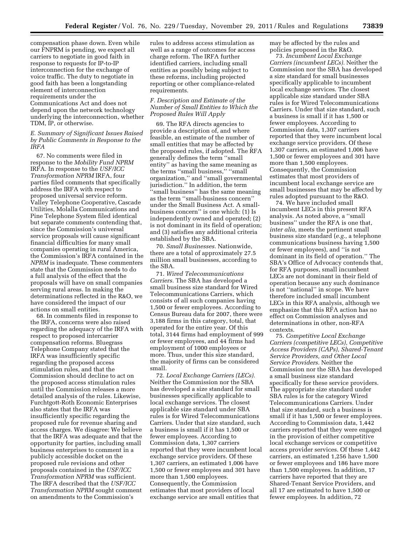compensation phase down. Even while our FNPRM is pending, we expect all carriers to negotiate in good faith in response to requests for IP-to-IP interconnection for the exchange of voice traffic. The duty to negotiate in good faith has been a longstanding element of interconnection requirements under the Communications Act and does not depend upon the network technology underlying the interconnection, whether TDM, IP, or otherwise.

# *E. Summary of Significant Issues Raised by Public Comments in Response to the IRFA*

67. No comments were filed in response to the *Mobility Fund NPRM*  IRFA. In response to the *USF/ICC Transformation NPRM* IRFA, four parties filed comments that specifically address the IRFA with respect to proposed universal service reform. Valley Telephone Cooperative, Cascade Utilities, Molalla Communications and Pine Telephone System filed identical but separate comments contending that, since the Commission's universal service proposals will cause significant financial difficulties for many small companies operating in rural America, the Commission's IRFA contained in the *NPRM* is inadequate. These commenters state that the Commission needs to do a full analysis of the effect that the proposals will have on small companies serving rural areas. In making the determinations reflected in the R&O, we have considered the impact of our actions on small entities.

68. In comments filed in response to the IRFA, concerns were also raised regarding the adequacy of the IRFA with respect to proposed intercarrier compensation reforms. Bluegrass Telephone Company stated that the IRFA was insufficiently specific regarding the proposed access stimulation rules, and that the Commission should decline to act on the proposed access stimulation rules until the Commission releases a more detailed analysis of the rules. Likewise, Furchtgott-Roth Economic Enterprises also states that the IRFA was insufficiently specific regarding the proposed rule for revenue sharing and access charges. We disagree: We believe that the IRFA was adequate and that the opportunity for parties, including small business enterprises to comment in a publicly accessible docket on the proposed rule revisions and other proposals contained in the *USF/ICC Transformation NPRM* was sufficient. The IRFA described that the *USF/ICC Transformation NPRM* sought comment on amendments to the Commission's

rules to address access stimulation as well as a range of outcomes for access charge reform. The IRFA further identified carriers, including small entities as possibly being subject to these reforms, including projected reporting or other compliance-related requirements.

# *F. Description and Estimate of the Number of Small Entities to Which the Proposed Rules Will Apply*

69. The RFA directs agencies to provide a description of, and where feasible, an estimate of the number of small entities that may be affected by the proposed rules, if adopted. The RFA generally defines the term ''small entity'' as having the same meaning as the terms ''small business,'' ''small organization,'' and ''small governmental jurisdiction.'' In addition, the term ''small business'' has the same meaning as the term ''small-business concern'' under the Small Business Act. A smallbusiness concern'' is one which: (1) Is independently owned and operated; (2) is not dominant in its field of operation; and (3) satisfies any additional criteria established by the SBA.

70. *Small Businesses.* Nationwide, there are a total of approximately 27.5 million small businesses, according to the SBA.

71. *Wired Telecommunications Carriers.* The SBA has developed a small business size standard for Wired Telecommunications Carriers, which consists of all such companies having 1,500 or fewer employees. According to Census Bureau data for 2007, there were 3,188 firms in this category, total, that operated for the entire year. Of this total, 3144 firms had employment of 999 or fewer employees, and 44 firms had employment of 1000 employees or more. Thus, under this size standard, the majority of firms can be considered small.

72. *Local Exchange Carriers (LECs).*  Neither the Commission nor the SBA has developed a size standard for small businesses specifically applicable to local exchange services. The closest applicable size standard under SBA rules is for Wired Telecommunications Carriers. Under that size standard, such a business is small if it has 1,500 or fewer employees. According to Commission data, 1,307 carriers reported that they were incumbent local exchange service providers. Of these 1,307 carriers, an estimated 1,006 have 1,500 or fewer employees and 301 have more than 1,500 employees. Consequently, the Commission estimates that most providers of local exchange service are small entities that

may be affected by the rules and policies proposed in the R&O.

73. *Incumbent Local Exchange Carriers (incumbent LECs).* Neither the Commission nor the SBA has developed a size standard for small businesses specifically applicable to incumbent local exchange services. The closest applicable size standard under SBA rules is for Wired Telecommunications Carriers. Under that size standard, such a business is small if it has 1,500 or fewer employees. According to Commission data, 1,307 carriers reported that they were incumbent local exchange service providers. Of these 1,307 carriers, an estimated 1,006 have 1,500 or fewer employees and 301 have more than 1,500 employees. Consequently, the Commission estimates that most providers of incumbent local exchange service are small businesses that may be affected by rules adopted pursuant to the R&O.

74. We have included small incumbent LECs in this present RFA analysis. As noted above, a ''small business'' under the RFA is one that, *inter alia,* meets the pertinent small business size standard (*e.g.,* a telephone communications business having 1,500 or fewer employees), and ''is not dominant in its field of operation.'' The SBA's Office of Advocacy contends that, for RFA purposes, small incumbent LECs are not dominant in their field of operation because any such dominance is not ''national'' in scope. We have therefore included small incumbent LECs in this RFA analysis, although we emphasize that this RFA action has no effect on Commission analyses and determinations in other, non-RFA contexts.

75. *Competitive Local Exchange Carriers (competitive LECs), Competitive Access Providers (CAPs), Shared-Tenant Service Providers, and Other Local Service Providers.* Neither the Commission nor the SBA has developed a small business size standard specifically for these service providers. The appropriate size standard under SBA rules is for the category Wired Telecommunications Carriers. Under that size standard, such a business is small if it has 1,500 or fewer employees. According to Commission data, 1,442 carriers reported that they were engaged in the provision of either competitive local exchange services or competitive access provider services. Of these 1,442 carriers, an estimated 1,256 have 1,500 or fewer employees and 186 have more than 1,500 employees. In addition, 17 carriers have reported that they are Shared-Tenant Service Providers, and all 17 are estimated to have 1,500 or fewer employees. In addition, 72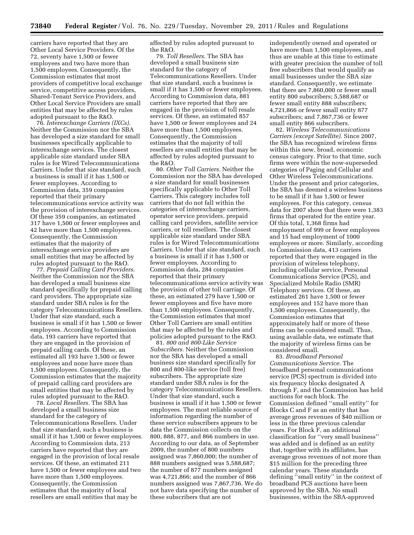carriers have reported that they are Other Local Service Providers. Of the 72, seventy have 1,500 or fewer employees and two have more than 1,500 employees. Consequently, the Commission estimates that most providers of competitive local exchange service, competitive access providers, Shared-Tenant Service Providers, and Other Local Service Providers are small entities that may be affected by rules adopted pursuant to the R&O.

76. *Interexchange Carriers (IXCs).*  Neither the Commission nor the SBA has developed a size standard for small businesses specifically applicable to interexchange services. The closest applicable size standard under SBA rules is for Wired Telecommunications Carriers. Under that size standard, such a business is small if it has 1,500 or fewer employees. According to Commission data, 359 companies reported that their primary telecommunications service activity was the provision of interexchange services. Of these 359 companies, an estimated 317 have 1,500 or fewer employees and 42 have more than 1,500 employees. Consequently, the Commission estimates that the majority of interexchange service providers are small entities that may be affected by rules adopted pursuant to the R&O.

77. *Prepaid Calling Card Providers.*  Neither the Commission nor the SBA has developed a small business size standard specifically for prepaid calling card providers. The appropriate size standard under SBA rules is for the category Telecommunications Resellers. Under that size standard, such a business is small if it has 1,500 or fewer employees. According to Commission data, 193 carriers have reported that they are engaged in the provision of prepaid calling cards. Of these, an estimated all 193 have 1,500 or fewer employees and none have more than 1,500 employees. Consequently, the Commission estimates that the majority of prepaid calling card providers are small entities that may be affected by rules adopted pursuant to the R&O.

78. *Local Resellers.* The SBA has developed a small business size standard for the category of Telecommunications Resellers. Under that size standard, such a business is small if it has 1,500 or fewer employees. According to Commission data, 213 carriers have reported that they are engaged in the provision of local resale services. Of these, an estimated 211 have 1,500 or fewer employees and two have more than 1,500 employees. Consequently, the Commission estimates that the majority of local resellers are small entities that may be

affected by rules adopted pursuant to the R&O.

79. *Toll Resellers.* The SBA has developed a small business size standard for the category of Telecommunications Resellers. Under that size standard, such a business is small if it has 1,500 or fewer employees. According to Commission data, 881 carriers have reported that they are engaged in the provision of toll resale services. Of these, an estimated 857 have 1,500 or fewer employees and 24 have more than 1,500 employees. Consequently, the Commission estimates that the majority of toll resellers are small entities that may be affected by rules adopted pursuant to the R&O.

80. *Other Toll Carriers.* Neither the Commission nor the SBA has developed a size standard for small businesses specifically applicable to Other Toll Carriers. This category includes toll carriers that do not fall within the categories of interexchange carriers, operator service providers, prepaid calling card providers, satellite service carriers, or toll resellers. The closest applicable size standard under SBA rules is for Wired Telecommunications Carriers. Under that size standard, such a business is small if it has 1,500 or fewer employees. According to Commission data, 284 companies reported that their primary telecommunications service activity was the provision of other toll carriage. Of these, an estimated 279 have 1,500 or fewer employees and five have more than 1,500 employees. Consequently, the Commission estimates that most Other Toll Carriers are small entities that may be affected by the rules and policies adopted pursuant to the R&O.

81. *800 and 800-Like Service Subscribers.* Neither the Commission nor the SBA has developed a small business size standard specifically for 800 and 800-like service (toll free) subscribers. The appropriate size standard under SBA rules is for the category Telecommunications Resellers. Under that size standard, such a business is small if it has 1,500 or fewer employees. The most reliable source of information regarding the number of these service subscribers appears to be data the Commission collects on the 800, 888, 877, and 866 numbers in use. According to our data, as of September 2009, the number of 800 numbers assigned was 7,860,000; the number of 888 numbers assigned was 5,588,687; the number of 877 numbers assigned was 4,721,866; and the number of 866 numbers assigned was 7,867,736. We do not have data specifying the number of these subscribers that are not

independently owned and operated or have more than 1,500 employees, and thus are unable at this time to estimate with greater precision the number of toll free subscribers that would qualify as small businesses under the SBA size standard. Consequently, we estimate that there are 7,860,000 or fewer small entity 800 subscribers; 5,588,687 or fewer small entity 888 subscribers; 4,721,866 or fewer small entity 877 subscribers; and 7,867,736 or fewer small entity 866 subscribers.

82. *Wireless Telecommunications Carriers (except Satellite).* Since 2007, the SBA has recognized wireless firms within this new, broad, economic census category. Prior to that time, such firms were within the now-superseded categories of Paging and Cellular and Other Wireless Telecommunications. Under the present and prior categories, the SBA has deemed a wireless business to be small if it has 1,500 or fewer employees. For this category, census data for 2007 show that there were 1,383 firms that operated for the entire year. Of this total, 1,368 firms had employment of 999 or fewer employees and 15 had employment of 1000 employees or more. Similarly, according to Commission data, 413 carriers reported that they were engaged in the provision of wireless telephony, including cellular service, Personal Communications Service (PCS), and Specialized Mobile Radio (SMR) Telephony services. Of these, an estimated 261 have 1,500 or fewer employees and 152 have more than 1,500 employees. Consequently, the Commission estimates that approximately half or more of these firms can be considered small. Thus, using available data, we estimate that the majority of wireless firms can be considered small.

83. *Broadband Personal Communications Service.* The broadband personal communications service (PCS) spectrum is divided into six frequency blocks designated A through F, and the Commission has held auctions for each block. The Commission defined ''small entity'' for Blocks C and F as an entity that has average gross revenues of \$40 million or less in the three previous calendar years. For Block F, an additional classification for ''very small business'' was added and is defined as an entity that, together with its affiliates, has average gross revenues of not more than \$15 million for the preceding three calendar years. These standards defining ''small entity'' in the context of broadband PCS auctions have been approved by the SBA. No small businesses, within the SBA-approved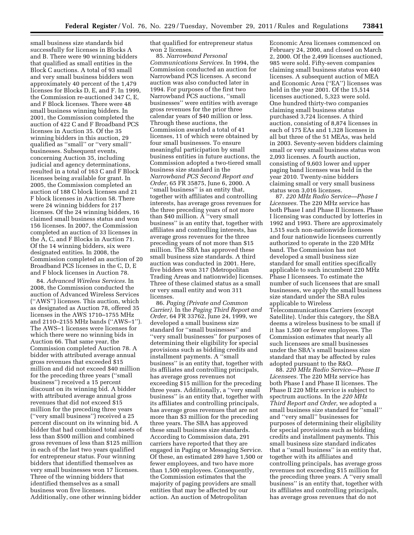small business size standards bid successfully for licenses in Blocks A and B. There were 90 winning bidders that qualified as small entities in the Block C auctions. A total of 93 small and very small business bidders won approximately 40 percent of the 1,479 licenses for Blocks D, E, and F. In 1999, the Commission re-auctioned 347 C, E, and F Block licenses. There were 48 small business winning bidders. In 2001, the Commission completed the auction of 422 C and F Broadband PCS licenses in Auction 35. Of the 35 winning bidders in this auction, 29 qualified as ''small'' or ''very small'' businesses. Subsequent events, concerning Auction 35, including judicial and agency determinations, resulted in a total of 163 C and F Block licenses being available for grant. In 2005, the Commission completed an auction of 188 C block licenses and 21 F block licenses in Auction 58. There were 24 winning bidders for 217 licenses. Of the 24 winning bidders, 16 claimed small business status and won 156 licenses. In 2007, the Commission completed an auction of 33 licenses in the A, C, and F Blocks in Auction 71. Of the 14 winning bidders, six were designated entities. In 2008, the Commission completed an auction of 20 Broadband PCS licenses in the C, D, E and F block licenses in Auction 78.

84. *Advanced Wireless Services.* In 2008, the Commission conducted the auction of Advanced Wireless Services (''AWS'') licenses. This auction, which as designated as Auction 78, offered 35 licenses in the AWS 1710–1755 MHz and 2110–2155 MHz bands (''AWS–1''). The AWS–1 licenses were licenses for which there were no winning bids in Auction 66. That same year, the Commission completed Auction 78. A bidder with attributed average annual gross revenues that exceeded \$15 million and did not exceed \$40 million for the preceding three years (''small business'') received a 15 percent discount on its winning bid. A bidder with attributed average annual gross revenues that did not exceed \$15 million for the preceding three years (''very small business'') received a 25 percent discount on its winning bid. A bidder that had combined total assets of less than \$500 million and combined gross revenues of less than \$125 million in each of the last two years qualified for entrepreneur status. Four winning bidders that identified themselves as very small businesses won 17 licenses. Three of the winning bidders that identified themselves as a small business won five licenses. Additionally, one other winning bidder

that qualified for entrepreneur status won 2 licenses.

85. *Narrowband Personal Communications Services.* In 1994, the Commission conducted an auction for Narrowband PCS licenses. A second auction was also conducted later in 1994. For purposes of the first two Narrowband PCS auctions, ''small businesses'' were entities with average gross revenues for the prior three calendar years of \$40 million or less. Through these auctions, the Commission awarded a total of 41 licenses, 11 of which were obtained by four small businesses. To ensure meaningful participation by small business entities in future auctions, the Commission adopted a two-tiered small business size standard in the *Narrowband PCS Second Report and Order,* 65 FR 35875, June 6, 2000. A ''small business'' is an entity that, together with affiliates and controlling interests, has average gross revenues for the three preceding years of not more than \$40 million. A ''very small business'' is an entity that, together with affiliates and controlling interests, has average gross revenues for the three preceding years of not more than \$15 million. The SBA has approved these small business size standards. A third auction was conducted in 2001. Here, five bidders won 317 (Metropolitan Trading Areas and nationwide) licenses. Three of these claimed status as a small or very small entity and won 311 licenses.

86. *Paging (Private and Common Carrier).* In the *Paging Third Report and Order,* 64 FR 33762, June 24, 1999, we developed a small business size standard for ''small businesses'' and ''very small businesses'' for purposes of determining their eligibility for special provisions such as bidding credits and installment payments. A ''small business'' is an entity that, together with its affiliates and controlling principals, has average gross revenues not exceeding \$15 million for the preceding three years. Additionally, a ''very small business'' is an entity that, together with its affiliates and controlling principals, has average gross revenues that are not more than \$3 million for the preceding three years. The SBA has approved these small business size standards. According to Commission data, 291 carriers have reported that they are engaged in Paging or Messaging Service. Of these, an estimated 289 have 1,500 or fewer employees, and two have more than 1,500 employees. Consequently, the Commission estimates that the majority of paging providers are small entities that may be affected by our action. An auction of Metropolitan

Economic Area licenses commenced on February 24, 2000, and closed on March 2, 2000. Of the 2,499 licenses auctioned, 985 were sold. Fifty-seven companies claiming small business status won 440 licenses. A subsequent auction of MEA and Economic Area (''EA'') licenses was held in the year 2001. Of the 15,514 licenses auctioned, 5,323 were sold. One hundred thirty-two companies claiming small business status purchased 3,724 licenses. A third auction, consisting of 8,874 licenses in each of 175 EAs and 1,328 licenses in all but three of the 51 MEAs, was held in 2003. Seventy-seven bidders claiming small or very small business status won 2,093 licenses. A fourth auction, consisting of 9,603 lower and upper paging band licenses was held in the year 2010. Twenty-nine bidders claiming small or very small business status won 3,016 licenses.

87. *220 MHz Radio Service—Phase I Licensees.* The 220 MHz service has both Phase I and Phase II licenses. Phase I licensing was conducted by lotteries in 1992 and 1993. There are approximately 1,515 such non-nationwide licensees and four nationwide licensees currently authorized to operate in the 220 MHz band. The Commission has not developed a small business size standard for small entities specifically applicable to such incumbent 220 MHz Phase I licensees. To estimate the number of such licensees that are small businesses, we apply the small business size standard under the SBA rules applicable to Wireless Telecommunications Carriers (except Satellite). Under this category, the SBA deems a wireless business to be small if it has 1,500 or fewer employees. The Commission estimates that nearly all such licensees are small businesses under the SBA's small business size standard that may be affected by rules adopted pursuant to the R&O.

88. *220 MHz Radio Service—Phase II Licensees.* The 220 MHz service has both Phase I and Phase II licenses. The Phase II 220 MHz service is subject to spectrum auctions. In the *220 MHz Third Report and Order,* we adopted a small business size standard for ''small'' and ''very small'' businesses for purposes of determining their eligibility for special provisions such as bidding credits and installment payments. This small business size standard indicates that a ''small business'' is an entity that, together with its affiliates and controlling principals, has average gross revenues not exceeding \$15 million for the preceding three years. A ''very small business'' is an entity that, together with its affiliates and controlling principals, has average gross revenues that do not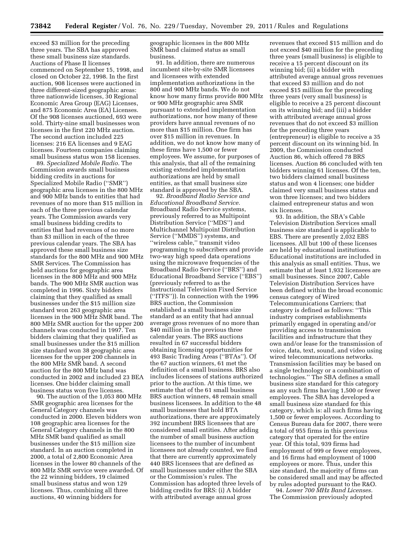exceed \$3 million for the preceding three years. The SBA has approved these small business size standards. Auctions of Phase II licenses commenced on September 15, 1998, and closed on October 22, 1998. In the first auction, 908 licenses were auctioned in three different-sized geographic areas: three nationwide licenses, 30 Regional Economic Area Group (EAG) Licenses, and 875 Economic Area (EA) Licenses. Of the 908 licenses auctioned, 693 were sold. Thirty-nine small businesses won licenses in the first 220 MHz auction. The second auction included 225 licenses: 216 EA licenses and 9 EAG licenses. Fourteen companies claiming small business status won 158 licenses.

89. *Specialized Mobile Radio.* The Commission awards small business bidding credits in auctions for Specialized Mobile Radio (''SMR'') geographic area licenses in the 800 MHz and 900 MHz bands to entities that had revenues of no more than \$15 million in each of the three previous calendar years. The Commission awards very small business bidding credits to entities that had revenues of no more than \$3 million in each of the three previous calendar years. The SBA has approved these small business size standards for the 800 MHz and 900 MHz SMR Services. The Commission has held auctions for geographic area licenses in the 800 MHz and 900 MHz bands. The 900 MHz SMR auction was completed in 1996. Sixty bidders claiming that they qualified as small businesses under the \$15 million size standard won 263 geographic area licenses in the 900 MHz SMR band. The 800 MHz SMR auction for the upper 200 channels was conducted in 1997. Ten bidders claiming that they qualified as small businesses under the \$15 million size standard won 38 geographic area licenses for the upper 200 channels in the 800 MHz SMR band. A second auction for the 800 MHz band was conducted in 2002 and included 23 BEA licenses. One bidder claiming small business status won five licenses.

90. The auction of the 1,053 800 MHz SMR geographic area licenses for the General Category channels was conducted in 2000. Eleven bidders won 108 geographic area licenses for the General Category channels in the 800 MHz SMR band qualified as small businesses under the \$15 million size standard. In an auction completed in 2000, a total of 2,800 Economic Area licenses in the lower 80 channels of the 800 MHz SMR service were awarded. Of the 22 winning bidders, 19 claimed small business status and won 129 licenses. Thus, combining all three auctions, 40 winning bidders for

geographic licenses in the 800 MHz SMR band claimed status as small business.

91. In addition, there are numerous incumbent site-by-site SMR licensees and licensees with extended implementation authorizations in the 800 and 900 MHz bands. We do not know how many firms provide 800 MHz or 900 MHz geographic area SMR pursuant to extended implementation authorizations, nor how many of these providers have annual revenues of no more than \$15 million. One firm has over \$15 million in revenues. In addition, we do not know how many of these firms have 1,500 or fewer employees. We assume, for purposes of this analysis, that all of the remaining existing extended implementation authorizations are held by small entities, as that small business size standard is approved by the SBA.

92. *Broadband Radio Service and Educational Broadband Service.*  Broadband Radio Service systems, previously referred to as Multipoint Distribution Service (''MDS'') and Multichannel Multipoint Distribution Service (''MMDS'') systems, and ''wireless cable,'' transmit video programming to subscribers and provide two-way high speed data operations using the microwave frequencies of the Broadband Radio Service (''BRS'') and Educational Broadband Service (''EBS'') (previously referred to as the Instructional Television Fixed Service (''ITFS'')). In connection with the 1996 BRS auction, the Commission established a small business size standard as an entity that had annual average gross revenues of no more than \$40 million in the previous three calendar years. The BRS auctions resulted in 67 successful bidders obtaining licensing opportunities for 493 Basic Trading Areas (''BTAs''). Of the 67 auction winners, 61 met the definition of a small business. BRS also includes licensees of stations authorized prior to the auction. At this time, we estimate that of the 61 small business BRS auction winners, 48 remain small business licensees. In addition to the 48 small businesses that hold BTA authorizations, there are approximately 392 incumbent BRS licensees that are considered small entities. After adding the number of small business auction licensees to the number of incumbent licensees not already counted, we find that there are currently approximately 440 BRS licensees that are defined as small businesses under either the SBA or the Commission's rules. The Commission has adopted three levels of bidding credits for BRS: (i) A bidder with attributed average annual gross

revenues that exceed \$15 million and do not exceed \$40 million for the preceding three years (small business) is eligible to receive a 15 percent discount on its winning bid; (ii) a bidder with attributed average annual gross revenues that exceed \$3 million and do not exceed \$15 million for the preceding three years (very small business) is eligible to receive a 25 percent discount on its winning bid; and (iii) a bidder with attributed average annual gross revenues that do not exceed \$3 million for the preceding three years (entrepreneur) is eligible to receive a 35 percent discount on its winning bid. In 2009, the Commission conducted Auction 86, which offered 78 BRS licenses. Auction 86 concluded with ten bidders winning 61 licenses. Of the ten, two bidders claimed small business status and won 4 licenses; one bidder claimed very small business status and won three licenses; and two bidders claimed entrepreneur status and won six licenses.

93. In addition, the SBA's Cable Television Distribution Services small business size standard is applicable to EBS. There are presently 2,032 EBS licensees. All but 100 of these licenses are held by educational institutions. Educational institutions are included in this analysis as small entities. Thus, we estimate that at least 1,932 licensees are small businesses. Since 2007, Cable Television Distribution Services have been defined within the broad economic census category of Wired Telecommunications Carriers; that category is defined as follows: ''This industry comprises establishments primarily engaged in operating and/or providing access to transmission facilities and infrastructure that they own and/or lease for the transmission of voice, data, text, sound, and video using wired telecommunications networks. Transmission facilities may be based on a single technology or a combination of technologies.'' The SBA defines a small business size standard for this category as any such firms having 1,500 or fewer employees. The SBA has developed a small business size standard for this category, which is: all such firms having 1,500 or fewer employees. According to Census Bureau data for 2007, there were a total of 955 firms in this previous category that operated for the entire year. Of this total, 939 firms had employment of 999 or fewer employees, and 16 firms had employment of 1000 employees or more. Thus, under this size standard, the majority of firms can be considered small and may be affected by rules adopted pursuant to the R&O.

94. *Lower 700 MHz Band Licenses.*  The Commission previously adopted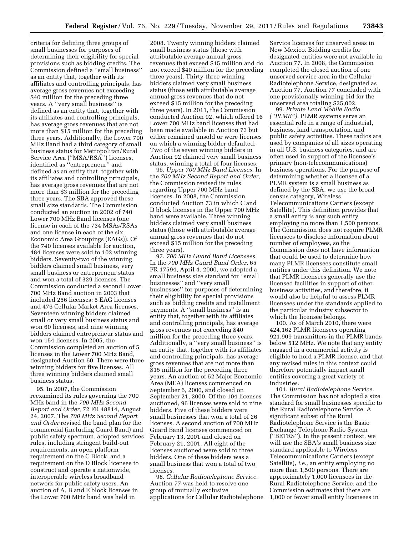criteria for defining three groups of small businesses for purposes of determining their eligibility for special provisions such as bidding credits. The Commission defined a ''small business'' as an entity that, together with its affiliates and controlling principals, has average gross revenues not exceeding \$40 million for the preceding three years. A ''very small business'' is defined as an entity that, together with its affiliates and controlling principals, has average gross revenues that are not more than \$15 million for the preceding three years. Additionally, the Lower 700 MHz Band had a third category of small business status for Metropolitan/Rural Service Area (''MSA/RSA'') licenses, identified as ''entrepreneur'' and defined as an entity that, together with its affiliates and controlling principals, has average gross revenues that are not more than \$3 million for the preceding three years. The SBA approved these small size standards. The Commission conducted an auction in 2002 of 740 Lower 700 MHz Band licenses (one license in each of the 734 MSAs/RSAs and one license in each of the six Economic Area Groupings (EAGs)). Of the 740 licenses available for auction, 484 licenses were sold to 102 winning bidders. Seventy-two of the winning bidders claimed small business, very small business or entrepreneur status and won a total of 329 licenses. The Commission conducted a second Lower 700 MHz Band auction in 2003 that included 256 licenses: 5 EAG licenses and 476 Cellular Market Area licenses. Seventeen winning bidders claimed small or very small business status and won 60 licenses, and nine winning bidders claimed entrepreneur status and won 154 licenses. In 2005, the Commission completed an auction of 5 licenses in the Lower 700 MHz Band, designated Auction 60. There were three winning bidders for five licenses. All three winning bidders claimed small business status.

95. In 2007, the Commission reexamined its rules governing the 700 MHz band in the *700 MHz Second Report and Order,* 72 FR 48814, August 24, 2007. The *700 MHz Second Report and Order* revised the band plan for the commercial (including Guard Band) and public safety spectrum, adopted services rules, including stringent build-out requirements, an open platform requirement on the C Block, and a requirement on the D Block licensee to construct and operate a nationwide, interoperable wireless broadband network for public safety users. An auction of A, B and E block licenses in the Lower 700 MHz band was held in

2008. Twenty winning bidders claimed small business status (those with attributable average annual gross revenues that exceed \$15 million and do not exceed \$40 million for the preceding three years). Thirty-three winning bidders claimed very small business status (those with attributable average annual gross revenues that do not exceed \$15 million for the preceding three years). In 2011, the Commission conducted Auction 92, which offered 16 Lower 700 MHz band licenses that had been made available in Auction 73 but either remained unsold or were licenses on which a winning bidder defaulted. Two of the seven winning bidders in Auction 92 claimed very small business status, winning a total of four licenses.

96. *Upper 700 MHz Band Licenses.* In the *700 MHz Second Report and Order,*  the Commission revised its rules regarding Upper 700 MHz band licenses. In 2008, the Commission conducted Auction 73 in which C and D block licenses in the Upper 700 MHz band were available. Three winning bidders claimed very small business status (those with attributable average annual gross revenues that do not exceed \$15 million for the preceding three years).

97. *700 MHz Guard Band Licensees.*  In the *700 MHz Guard Band Order,* 65 FR 17594, April 4, 2000, we adopted a small business size standard for ''small businesses'' and ''very small businesses'' for purposes of determining their eligibility for special provisions such as bidding credits and installment payments. A ''small business'' is an entity that, together with its affiliates and controlling principals, has average gross revenues not exceeding \$40 million for the preceding three years. Additionally, a ''very small business'' is an entity that, together with its affiliates and controlling principals, has average gross revenues that are not more than \$15 million for the preceding three years. An auction of 52 Major Economic Area (MEA) licenses commenced on September 6, 2000, and closed on September 21, 2000. Of the 104 licenses auctioned, 96 licenses were sold to nine bidders. Five of these bidders were small businesses that won a total of 26 licenses. A second auction of 700 MHz Guard Band licenses commenced on February 13, 2001 and closed on February 21, 2001. All eight of the licenses auctioned were sold to three bidders. One of these bidders was a small business that won a total of two licenses.

98. *Cellular Radiotelephone Service.*  Auction 77 was held to resolve one group of mutually exclusive applications for Cellular Radiotelephone

Service licenses for unserved areas in New Mexico. Bidding credits for designated entities were not available in Auction 77. In 2008, the Commission completed the closed auction of one unserved service area in the Cellular Radiotelephone Service, designated as Auction 77. Auction 77 concluded with one provisionally winning bid for the unserved area totaling \$25,002.

99. *Private Land Mobile Radio (''PLMR'').* PLMR systems serve an essential role in a range of industrial, business, land transportation, and public safety activities. These radios are used by companies of all sizes operating in all U.S. business categories, and are often used in support of the licensee's primary (non-telecommunications) business operations. For the purpose of determining whether a licensee of a PLMR system is a small business as defined by the SBA, we use the broad census category, Wireless Telecommunications Carriers (except Satellite). This definition provides that a small entity is any such entity employing no more than 1,500 persons. The Commission does not require PLMR licensees to disclose information about number of employees, so the Commission does not have information that could be used to determine how many PLMR licensees constitute small entities under this definition. We note that PLMR licensees generally use the licensed facilities in support of other business activities, and therefore, it would also be helpful to assess PLMR licensees under the standards applied to the particular industry subsector to which the licensee belongs.

100. As of March 2010, there were 424,162 PLMR licensees operating 921,909 transmitters in the PLMR bands below 512 MHz. We note that any entity engaged in a commercial activity is eligible to hold a PLMR license, and that any revised rules in this context could therefore potentially impact small entities covering a great variety of industries.

101. *Rural Radiotelephone Service.*  The Commission has not adopted a size standard for small businesses specific to the Rural Radiotelephone Service. A significant subset of the Rural Radiotelephone Service is the Basic Exchange Telephone Radio System (''BETRS''). In the present context, we will use the SBA's small business size standard applicable to Wireless Telecommunications Carriers (except Satellite), *i.e.,* an entity employing no more than 1,500 persons. There are approximately 1,000 licensees in the Rural Radiotelephone Service, and the Commission estimates that there are 1,000 or fewer small entity licensees in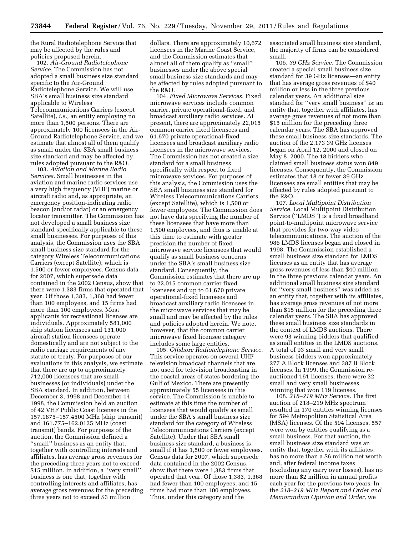the Rural Radiotelephone Service that may be affected by the rules and policies proposed herein.

102. *Air-Ground Radiotelephone Service.* The Commission has not adopted a small business size standard specific to the Air-Ground Radiotelephone Service. We will use SBA's small business size standard applicable to Wireless Telecommunications Carriers (except Satellite), *i.e.,* an entity employing no more than 1,500 persons. There are approximately 100 licensees in the Air-Ground Radiotelephone Service, and we estimate that almost all of them qualify as small under the SBA small business size standard and may be affected by rules adopted pursuant to the R&O.

103. *Aviation and Marine Radio Services.* Small businesses in the aviation and marine radio services use a very high frequency (VHF) marine or aircraft radio and, as appropriate, an emergency position-indicating radio beacon (and/or radar) or an emergency locator transmitter. The Commission has not developed a small business size standard specifically applicable to these small businesses. For purposes of this analysis, the Commission uses the SBA small business size standard for the category Wireless Telecommunications Carriers (except Satellite), which is 1,500 or fewer employees. Census data for 2007, which supersede data contained in the 2002 Census, show that there were 1,383 firms that operated that year. Of those 1,383, 1,368 had fewer than 100 employees, and 15 firms had more than 100 employees. Most applicants for recreational licenses are individuals. Approximately 581,000 ship station licensees and 131,000 aircraft station licensees operate domestically and are not subject to the radio carriage requirements of any statute or treaty. For purposes of our evaluations in this analysis, we estimate that there are up to approximately 712,000 licensees that are small businesses (or individuals) under the SBA standard. In addition, between December 3, 1998 and December 14, 1998, the Commission held an auction of 42 VHF Public Coast licenses in the 157.1875–157.4500 MHz (ship transmit) and 161.775–162.0125 MHz (coast transmit) bands. For purposes of the auction, the Commission defined a ''small'' business as an entity that, together with controlling interests and affiliates, has average gross revenues for the preceding three years not to exceed \$15 million. In addition, a ''very small'' business is one that, together with controlling interests and affiliates, has average gross revenues for the preceding three years not to exceed \$3 million

dollars. There are approximately 10,672 licensees in the Marine Coast Service, and the Commission estimates that almost all of them qualify as ''small'' businesses under the above special small business size standards and may be affected by rules adopted pursuant to the R&O.

104. *Fixed Microwave Services.* Fixed microwave services include common carrier, private operational-fixed, and broadcast auxiliary radio services. At present, there are approximately 22,015 common carrier fixed licensees and 61,670 private operational-fixed licensees and broadcast auxiliary radio licensees in the microwave services. The Commission has not created a size standard for a small business specifically with respect to fixed microwave services. For purposes of this analysis, the Commission uses the SBA small business size standard for Wireless Telecommunications Carriers (except Satellite), which is 1,500 or fewer employees. The Commission does not have data specifying the number of these licensees that have more than 1,500 employees, and thus is unable at this time to estimate with greater precision the number of fixed microwave service licensees that would qualify as small business concerns under the SBA's small business size standard. Consequently, the Commission estimates that there are up to 22,015 common carrier fixed licensees and up to 61,670 private operational-fixed licensees and broadcast auxiliary radio licensees in the microwave services that may be small and may be affected by the rules and policies adopted herein. We note, however, that the common carrier microwave fixed licensee category includes some large entities.

105. *Offshore Radiotelephone Service.*  This service operates on several UHF television broadcast channels that are not used for television broadcasting in the coastal areas of states bordering the Gulf of Mexico. There are presently approximately 55 licensees in this service. The Commission is unable to estimate at this time the number of licensees that would qualify as small under the SBA's small business size standard for the category of Wireless Telecommunications Carriers (except Satellite). Under that SBA small business size standard, a business is small if it has 1,500 or fewer employees. Census data for 2007, which supersede data contained in the 2002 Census, show that there were 1,383 firms that operated that year. Of those 1,383, 1,368 had fewer than 100 employees, and 15 firms had more than 100 employees. Thus, under this category and the

associated small business size standard, the majority of firms can be considered small.

106. *39 GHz Service.* The Commission created a special small business size standard for 39 GHz licenses—an entity that has average gross revenues of \$40 million or less in the three previous calendar years. An additional size standard for ''very small business'' is: an entity that, together with affiliates, has average gross revenues of not more than \$15 million for the preceding three calendar years. The SBA has approved these small business size standards. The auction of the 2,173 39 GHz licenses began on April 12, 2000 and closed on May 8, 2000. The 18 bidders who claimed small business status won 849 licenses. Consequently, the Commission estimates that 18 or fewer 39 GHz licensees are small entities that may be affected by rules adopted pursuant to the R&O.

107. *Local Multipoint Distribution Service.* Local Multipoint Distribution Service (''LMDS'') is a fixed broadband point-to-multipoint microwave service that provides for two-way video telecommunications. The auction of the 986 LMDS licenses began and closed in 1998. The Commission established a small business size standard for LMDS licenses as an entity that has average gross revenues of less than \$40 million in the three previous calendar years. An additional small business size standard for ''very small business'' was added as an entity that, together with its affiliates, has average gross revenues of not more than \$15 million for the preceding three calendar years. The SBA has approved these small business size standards in the context of LMDS auctions. There were 93 winning bidders that qualified as small entities in the LMDS auctions. A total of 93 small and very small business bidders won approximately 277 A Block licenses and 387 B Block licenses. In 1999, the Commission reauctioned 161 licenses; there were 32 small and very small businesses winning that won 119 licenses.

108. *218–219 MHz Service.* The first auction of 218–219 MHz spectrum resulted in 170 entities winning licenses for 594 Metropolitan Statistical Area (MSA) licenses. Of the 594 licenses, 557 were won by entities qualifying as a small business. For that auction, the small business size standard was an entity that, together with its affiliates, has no more than a \$6 million net worth and, after federal income taxes (excluding any carry over losses), has no more than \$2 million in annual profits each year for the previous two years. In the *218–219 MHz Report and Order and Memorandum Opinion and Order,* we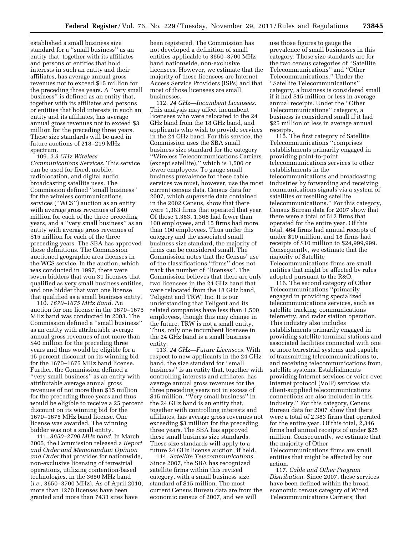established a small business size standard for a ''small business'' as an entity that, together with its affiliates and persons or entities that hold interests in such an entity and their affiliates, has average annual gross revenues not to exceed \$15 million for the preceding three years. A ''very small business'' is defined as an entity that, together with its affiliates and persons or entities that hold interests in such an entity and its affiliates, has average annual gross revenues not to exceed \$3 million for the preceding three years. These size standards will be used in future auctions of 218–219 MHz spectrum.

109. *2.3 GHz Wireless Communications Services.* This service can be used for fixed, mobile, radiolocation, and digital audio broadcasting satellite uses. The Commission defined ''small business'' for the wireless communications services (''WCS'') auction as an entity with average gross revenues of \$40 million for each of the three preceding years, and a ''very small business'' as an entity with average gross revenues of \$15 million for each of the three preceding years. The SBA has approved these definitions. The Commission auctioned geographic area licenses in the WCS service. In the auction, which was conducted in 1997, there were seven bidders that won 31 licenses that qualified as very small business entities, and one bidder that won one license that qualified as a small business entity.

110. *1670–1675 MHz Band.* An auction for one license in the 1670–1675 MHz band was conducted in 2003. The Commission defined a ''small business'' as an entity with attributable average annual gross revenues of not more than \$40 million for the preceding three years and thus would be eligible for a 15 percent discount on its winning bid for the 1670–1675 MHz band license. Further, the Commission defined a ''very small business'' as an entity with attributable average annual gross revenues of not more than \$15 million for the preceding three years and thus would be eligible to receive a 25 percent discount on its winning bid for the 1670–1675 MHz band license. One license was awarded. The winning bidder was not a small entity.

111. *3650–3700 MHz band.* In March 2005, the Commission released a *Report and Order and Memorandum Opinion and Order* that provides for nationwide, non-exclusive licensing of terrestrial operations, utilizing contention-based technologies, in the 3650 MHz band (*i.e.,* 3650–3700 MHz). As of April 2010, more than 1270 licenses have been granted and more than 7433 sites have

been registered. The Commission has not developed a definition of small entities applicable to 3650–3700 MHz band nationwide, non-exclusive licensees. However, we estimate that the majority of these licensees are Internet Access Service Providers (ISPs) and that most of those licensees are small businesses.

112. *24 GHz—Incumbent Licensees.*  This analysis may affect incumbent licensees who were relocated to the 24 GHz band from the 18 GHz band, and applicants who wish to provide services in the 24 GHz band. For this service, the Commission uses the SBA small business size standard for the category ''Wireless Telecommunications Carriers (except satellite),'' which is 1,500 or fewer employees. To gauge small business prevalence for these cable services we must, however, use the most current census data. Census data for 2007, which supersede data contained in the 2002 Census, show that there were 1,383 firms that operated that year. Of those 1,383, 1,368 had fewer than 100 employees, and 15 firms had more than 100 employees. Thus under this category and the associated small business size standard, the majority of firms can be considered small. The Commission notes that the Census' use of the classifications ''firms'' does not track the number of ''licenses''. The Commission believes that there are only two licensees in the 24 GHz band that were relocated from the 18 GHz band, Teligent and TRW, Inc. It is our understanding that Teligent and its related companies have less than 1,500 employees, though this may change in the future. TRW is not a small entity. Thus, only one incumbent licensee in the 24 GHz band is a small business entity.

113. *24 GHz—Future Licensees.* With respect to new applicants in the 24 GHz band, the size standard for ''small business'' is an entity that, together with controlling interests and affiliates, has average annual gross revenues for the three preceding years not in excess of \$15 million. ''Very small business'' in the 24 GHz band is an entity that, together with controlling interests and affiliates, has average gross revenues not exceeding \$3 million for the preceding three years. The SBA has approved these small business size standards. These size standards will apply to a future 24 GHz license auction, if held.

114. *Satellite Telecommunications.*  Since 2007, the SBA has recognized satellite firms within this revised category, with a small business size standard of \$15 million. The most current Census Bureau data are from the economic census of 2007, and we will

use those figures to gauge the prevalence of small businesses in this category. Those size standards are for the two census categories of ''Satellite Telecommunications'' and ''Other Telecommunications.'' Under the ''Satellite Telecommunications'' category, a business is considered small if it had \$15 million or less in average annual receipts. Under the ''Other Telecommunications'' category, a business is considered small if it had \$25 million or less in average annual receipts.

115. The first category of Satellite Telecommunications ''comprises establishments primarily engaged in providing point-to-point telecommunications services to other establishments in the telecommunications and broadcasting industries by forwarding and receiving communications signals via a system of satellites or reselling satellite telecommunications.'' For this category, Census Bureau data for 2007 show that there were a total of 512 firms that operated for the entire year. Of this total, 464 firms had annual receipts of under \$10 million, and 18 firms had receipts of \$10 million to \$24,999,999. Consequently, we estimate that the majority of Satellite Telecommunications firms are small entities that might be affected by rules adopted pursuant to the R&O.

116. The second category of Other Telecommunications ''primarily engaged in providing specialized telecommunications services, such as satellite tracking, communications telemetry, and radar station operation. This industry also includes establishments primarily engaged in providing satellite terminal stations and associated facilities connected with one or more terrestrial systems and capable of transmitting telecommunications to, and receiving telecommunications from, satellite systems. Establishments providing Internet services or voice over Internet protocol (VoIP) services via client-supplied telecommunications connections are also included in this industry.'' For this category, Census Bureau data for 2007 show that there were a total of 2,383 firms that operated for the entire year. Of this total, 2,346 firms had annual receipts of under \$25 million. Consequently, we estimate that the majority of Other Telecommunications firms are small

entities that might be affected by our action.

117. *Cable and Other Program Distribution.* Since 2007, these services have been defined within the broad economic census category of Wired Telecommunications Carriers; that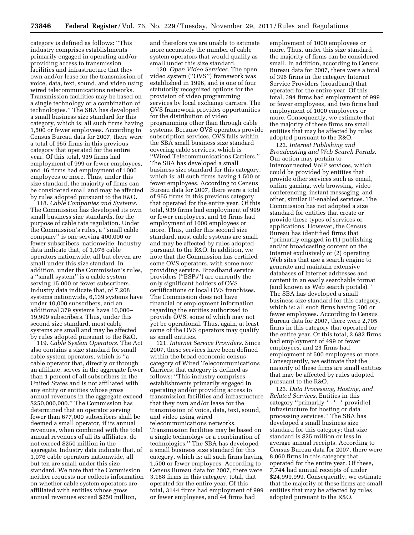category is defined as follows: ''This industry comprises establishments primarily engaged in operating and/or providing access to transmission facilities and infrastructure that they own and/or lease for the transmission of voice, data, text, sound, and video using wired telecommunications networks. Transmission facilities may be based on a single technology or a combination of technologies.'' The SBA has developed a small business size standard for this category, which is: all such firms having 1,500 or fewer employees. According to Census Bureau data for 2007, there were a total of 955 firms in this previous category that operated for the entire year. Of this total, 939 firms had employment of 999 or fewer employees, and 16 firms had employment of 1000 employees or more. Thus, under this size standard, the majority of firms can be considered small and may be affected by rules adopted pursuant to the R&O.

118. *Cable Companies and Systems.*  The Commission has developed its own small business size standards, for the purpose of cable rate regulation. Under the Commission's rules, a ''small cable company'' is one serving 400,000 or fewer subscribers, nationwide. Industry data indicate that, of 1,076 cable operators nationwide, all but eleven are small under this size standard. In addition, under the Commission's rules, a ''small system'' is a cable system serving 15,000 or fewer subscribers. Industry data indicate that, of 7,208 systems nationwide, 6,139 systems have under 10,000 subscribers, and an additional 379 systems have 10,000– 19,999 subscribers. Thus, under this second size standard, most cable systems are small and may be affected by rules adopted pursuant to the R&O.

119. *Cable System Operators.* The Act also contains a size standard for small cable system operators, which is ''a cable operator that, directly or through an affiliate, serves in the aggregate fewer than 1 percent of all subscribers in the United States and is not affiliated with any entity or entities whose gross annual revenues in the aggregate exceed \$250,000,000.'' The Commission has determined that an operator serving fewer than 677,000 subscribers shall be deemed a small operator, if its annual revenues, when combined with the total annual revenues of all its affiliates, do not exceed \$250 million in the aggregate. Industry data indicate that, of 1,076 cable operators nationwide, all but ten are small under this size standard. We note that the Commission neither requests nor collects information on whether cable system operators are affiliated with entities whose gross annual revenues exceed \$250 million,

and therefore we are unable to estimate more accurately the number of cable system operators that would qualify as small under this size standard.

120. *Open Video Services.* The open video system (''OVS'') framework was established in 1996, and is one of four statutorily recognized options for the provision of video programming services by local exchange carriers. The OVS framework provides opportunities for the distribution of video programming other than through cable systems. Because OVS operators provide subscription services, OVS falls within the SBA small business size standard covering cable services, which is ''Wired Telecommunications Carriers.'' The SBA has developed a small business size standard for this category, which is: all such firms having 1,500 or fewer employees. According to Census Bureau data for 2007, there were a total of 955 firms in this previous category that operated for the entire year. Of this total, 939 firms had employment of 999 or fewer employees, and 16 firms had employment of 1000 employees or more. Thus, under this second size standard, most cable systems are small and may be affected by rules adopted pursuant to the R&O. In addition, we note that the Commission has certified some OVS operators, with some now providing service. Broadband service providers (''BSPs'') are currently the only significant holders of OVS certifications or local OVS franchises. The Commission does not have financial or employment information regarding the entities authorized to provide OVS, some of which may not yet be operational. Thus, again, at least some of the OVS operators may qualify as small entities.

121. *Internet Service Providers.* Since 2007, these services have been defined within the broad economic census category of Wired Telecommunications Carriers; that category is defined as follows: ''This industry comprises establishments primarily engaged in operating and/or providing access to transmission facilities and infrastructure that they own and/or lease for the transmission of voice, data, text, sound, and video using wired telecommunications networks. Transmission facilities may be based on a single technology or a combination of technologies.'' The SBA has developed a small business size standard for this category, which is: all such firms having 1,500 or fewer employees. According to Census Bureau data for 2007, there were 3,188 firms in this category, total, that operated for the entire year. Of this total, 3144 firms had employment of 999 or fewer employees, and 44 firms had

employment of 1000 employees or more. Thus, under this size standard, the majority of firms can be considered small. In addition, according to Census Bureau data for 2007, there were a total of 396 firms in the category Internet Service Providers (broadband) that operated for the entire year. Of this total, 394 firms had employment of 999 or fewer employees, and two firms had employment of 1000 employees or more. Consequently, we estimate that the majority of these firms are small entities that may be affected by rules adopted pursuant to the R&O.

122. *Internet Publishing and Broadcasting and Web Search Portals.*  Our action may pertain to interconnected VoIP services, which could be provided by entities that provide other services such as email, online gaming, web browsing, video conferencing, instant messaging, and other, similar IP-enabled services. The Commission has not adopted a size standard for entities that create or provide these types of services or applications. However, the Census Bureau has identified firms that ''primarily engaged in (1) publishing and/or broadcasting content on the Internet exclusively or (2) operating Web sites that use a search engine to generate and maintain extensive databases of Internet addresses and content in an easily searchable format (and known as Web search portals).'' The SBA has developed a small business size standard for this category, which is: all such firms having 500 or fewer employees. According to Census Bureau data for 2007, there were 2,705 firms in this category that operated for the entire year. Of this total, 2,682 firms had employment of 499 or fewer employees, and 23 firms had employment of 500 employees or more. Consequently, we estimate that the majority of these firms are small entities that may be affected by rules adopted pursuant to the R&O.

123. *Data Processing, Hosting, and Related Services.* Entities in this category ''primarily \* \* \* provid[e] infrastructure for hosting or data processing services.'' The SBA has developed a small business size standard for this category; that size standard is \$25 million or less in average annual receipts. According to Census Bureau data for 2007, there were 8,060 firms in this category that operated for the entire year. Of these, 7,744 had annual receipts of under \$24,999,999. Consequently, we estimate that the majority of these firms are small entities that may be affected by rules adopted pursuant to the R&O.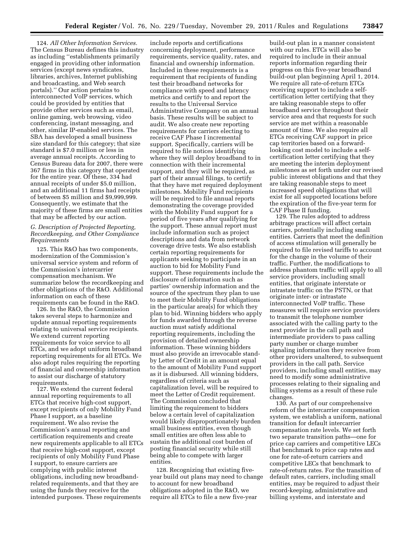124. *All Other Information Services.*  The Census Bureau defines this industry as including ''establishments primarily engaged in providing other information services (except news syndicates, libraries, archives, Internet publishing and broadcasting, and Web search portals).'' Our action pertains to interconnected VoIP services, which could be provided by entities that provide other services such as email, online gaming, web browsing, video conferencing, instant messaging, and other, similar IP-enabled services. The SBA has developed a small business size standard for this category; that size standard is \$7.0 million or less in average annual receipts. According to Census Bureau data for 2007, there were 367 firms in this category that operated for the entire year. Of these, 334 had annual receipts of under \$5.0 million, and an additional 11 firms had receipts of between \$5 million and \$9,999,999. Consequently, we estimate that the majority of these firms are small entities that may be affected by our action.

# *G. Description of Projected Reporting, Recordkeeping, and Other Compliance Requirements*

125. This R&O has two components, modernization of the Commission's universal service system and reform of the Commission's intercarrier compensation mechanism. We summarize below the recordkeeping and other obligations of the R&O. Additional information on each of these requirements can be found in the R&O.

126. In the R&O, the Commission takes several steps to harmonize and update annual reporting requirements relating to universal service recipients. We extend current reporting requirements for voice service to all ETCs, and we adopt uniform broadband reporting requirements for all ETCs. We also adopt rules requiring the reporting of financial and ownership information to assist our discharge of statutory requirements.

127. We extend the current federal annual reporting requirements to all ETCs that receive high-cost support, except recipients of only Mobility Fund Phase I support, as a baseline requirement. We also revise the Commission's annual reporting and certification requirements and create new requirements applicable to all ETCs that receive high-cost support, except recipients of only Mobility Fund Phase I support, to ensure carriers are complying with public interest obligations, including new broadbandrelated requirements, and that they are using the funds they receive for the intended purposes. These requirements

include reports and certifications concerning deployment, performance requirements, service quality, rates, and financial and ownership information. Included in these requirements is a requirement that recipients of funding test their broadband networks for compliance with speed and latency metrics and certify to and report the results to the Universal Service Administrative Company on an annual basis. These results will be subject to audit. We also create new reporting requirements for carriers electing to receive CAF Phase I incremental support. Specifically, carriers will be required to file notices identifying where they will deploy broadband to in connection with their incremental support, and they will be required, as part of their annual filings, to certify that they have met required deployment milestones. Mobility Fund recipients will be required to file annual reports demonstrating the coverage provided with the Mobility Fund support for a period of five years after qualifying for the support. These annual report must include information such as project descriptions and data from network coverage drive tests. We also establish certain reporting requirements for applicants seeking to participate in an auction to bid for Mobility Fund support. These requirements include the disclosure of information such as parties' ownership information and the source of the spectrum they plan to use to meet their Mobility Fund obligations in the particular area(s) for which they plan to bid. Winning bidders who apply for funds awarded through the reverse auction must satisfy additional reporting requirements, including the provision of detailed ownership information. These winning bidders must also provide an irrevocable standby Letter of Credit in an amount equal to the amount of Mobility Fund support as it is disbursed. All winning bidders, regardless of criteria such as capitalization level, will be required to meet the Letter of Credit requirement. The Commission concluded that limiting the requirement to bidders below a certain level of capitalization would likely disproportionately burden small business entities, even though small entities are often less able to sustain the additional cost burden of posting financial security while still being able to compete with larger entities.

128. Recognizing that existing fiveyear build out plans may need to change to account for new broadband obligations adopted in the R&O, we require all ETCs to file a new five-year

build-out plan in a manner consistent with our rules. ETCs will also be required to include in their annual reports information regarding their progress on this five-year broadband build-out plan beginning April 1, 2014. We require all rate-of-return ETCs receiving support to include a selfcertification letter certifying that they are taking reasonable steps to offer broadband service throughout their service area and that requests for such service are met within a reasonable amount of time. We also require all ETCs receiving CAF support in price cap territories based on a forwardlooking cost model to include a selfcertification letter certifying that they are meeting the interim deployment milestones as set forth under our revised public interest obligations and that they are taking reasonable steps to meet increased speed obligations that will exist for all supported locations before the expiration of the five-year term for CAF Phase II funding.

129. The rules adopted to address arbitrage practices will affect certain carriers, potentially including small entities. Carriers that meet the definition of access stimulation will generally be required to file revised tariffs to account for the change in the volume of their traffic. Further, the modifications to address phantom traffic will apply to all service providers, including small entities, that originate interstate or intrastate traffic on the PSTN, or that originate inter- or intrastate interconnected VoIP traffic. These measures will require service providers to transmit the telephone number associated with the calling party to the next provider in the call path and intermediate providers to pass calling party number or charge number signaling information they receive from other providers unaltered, to subsequent providers in the call path. Service providers, including small entities, may need to modify some administrative processes relating to their signaling and billing systems as a result of these rule changes.

130. As part of our comprehensive reform of the intercarrier compensation system, we establish a uniform, national transition for default intercarrier compensation rate levels. We set forth two separate transition paths—one for price cap carriers and competitive LECs that benchmark to price cap rates and one for rate-of-return carriers and competitive LECs that benchmark to rate-of-return rates. For the transition of default rates, carriers, including small entities, may be required to adjust their record-keeping, administrative and billing systems, and interstate and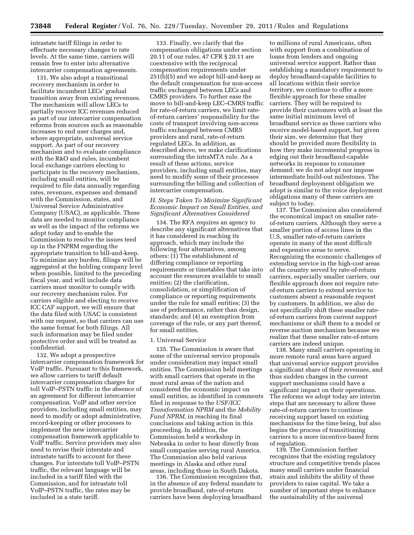intrastate tariff filings in order to effectuate necessary changes to rate levels. At the same time, carriers will remain free to enter into alternative intercarrier compensation agreements.

131. We also adopt a transitional recovery mechanism in order to facilitate incumbent LECs' gradual transition away from existing revenues. The mechanism will allow LECs to partially recover ICC revenues reduced as part of our intercarrier compensation reforms from sources such as reasonable increases to end user charges and, where appropriate, universal service support. As part of our recovery mechanism and to evaluate compliance with the R&O and rules, incumbent local exchange carriers electing to participate in the recovery mechanism, including small entities, will be required to file data annually regarding rates, revenues, expenses and demand with the Commission, states, and Universal Service Administrative Company (USAC), as applicable. These data are needed to monitor compliance as well as the impact of the reforms we adopt today and to enable the Commission to resolve the issues teed up in the FNPRM regarding the appropriate transition to bill-and-keep. To minimize any burden, filings will be aggregated at the holding company level when possible, limited to the preceding fiscal year, and will include data carriers must monitor to comply with our recovery mechanism rules. For carriers eligible and electing to receive ICC CAF support, we will ensure that the data filed with USAC is consistent with our request, so that carriers can use the same format for both filings. All such information may be filed under protective order and will be treated as confidential.

132. We adopt a prospective intercarrier compensation framework for VoIP traffic. Pursuant to this framework, we allow carriers to tariff default intercarrier compensation charges for toll VoIP–PSTN traffic in the absence of an agreement for different intercarrier compensation. VoIP and other service providers, including small entities, may need to modify or adopt administrative, record-keeping or other processes to implement the new intercarrier compensation framework applicable to VoIP traffic. Service providers may also need to revise their interstate and intrastate tariffs to account for these changes. For interstate toll VoIP–PSTN traffic, the relevant language will be included in a tariff filed with the Commission, and for intrastate toll VoIP–PSTN traffic, the rates may be included in a state tariff.

133. Finally, we clarify that the compensation obligations under section 20.11 of our rules, 47 CFR § 20.11 are coextensive with the reciprocal compensation requirements under 251(b)(5) and we adopt bill-and-keep as the default compensation for non-access traffic exchanged between LECs and CMRS providers. To further ease the move to bill-and-keep LEC–CMRS traffic for rate-of-return carriers, we limit rateof-return carriers' responsibility for the costs of transport involving non-access traffic exchanged between CMRS providers and rural, rate-of-return regulated LECs. In addition, as described above, we make clarifications surrounding the intraMTA rule. As a result of these actions, service providers, including small entities, may need to modify some of their processes surrounding the billing and collection of intercarrier compensation.

# *H. Steps Taken To Minimize Significant Economic Impact on Small Entities, and Significant Alternatives Considered*

134. The RFA requires an agency to describe any significant alternatives that it has considered in reaching its approach, which may include the following four alternatives, among others: (1) The establishment of differing compliance or reporting requirements or timetables that take into account the resources available to small entities; (2) the clarification, consolidation, or simplification of compliance or reporting requirements under the rule for small entities; (3) the use of performance, rather than design, standards; and (4) an exemption from coverage of the rule, or any part thereof, for small entities.

#### 1. Universal Service

135. The Commission is aware that some of the universal service proposals under consideration may impact small entities. The Commission held meetings with small carriers that operate in the most rural areas of the nation and considered the economic impact on small entities, as identified in comments filed in response to the *USF/ICC Transformation NPRM* and the *Mobility Fund NPRM,* in reaching its final conclusions and taking action in this proceeding. In addition, the Commission held a workshop in Nebraska in order to hear directly from small companies serving rural America. The Commission also held various meetings in Alaska and other rural areas, including those in South Dakota.

136. The Commission recognizes that, in the absence of any federal mandate to provide broadband, rate-of-return carriers have been deploying broadband

to millions of rural Americans, often with support from a combination of loans from lenders and ongoing universal service support. Rather than establishing a mandatory requirement to deploy broadband-capable facilities to all locations within their service territory, we continue to offer a more flexible approach for these smaller carriers. They will be required to provide their customers with at least the same initial minimum level of broadband service as those carriers who receive model-based support, but given their size, we determine that they should be provided more flexibility in how they make incremental progress in edging out their broadband-capable networks in response to consumer demand; we do not adopt nor impose intermediate build-out milestones. The broadband deployment obligation we adopt is similar to the voice deployment obligations many of these carriers are subject to today.

137. The Commission also considered the economical impact on smaller rateof-return carriers. Although they serve a smaller portion of access lines in the U.S, smaller rate-of-return carriers operate in many of the most difficult and expensive areas to serve. Recognizing the economic challenges of extending service in the high-cost areas of the country served by rate-of-return carriers, especially smaller carriers, our flexible approach does not require rateof-return carriers to extend service to customers absent a reasonable request by customers. In addition, we also do not specifically shift these smaller rateof-return carriers from current support mechanisms or shift them to a model or reverse auction mechanism because we realize that these smaller rate-of-return carriers are indeed unique.

138. Many small carriers operating in more remote rural areas have argued that universal service support provides a significant share of their revenues, and thus sudden changes in the current support mechanisms could have a significant impact on their operations. The reforms we adopt today are interim steps that are necessary to allow these rate-of-return carriers to continue receiving support based on existing mechanisms for the time being, but also begins the process of transitioning carriers to a more incentive-based form of regulation.

139. The Commission further recognizes that the existing regulatory structure and competitive trends places many small carriers under financial strain and inhibits the ability of these providers to raise capital. We take a number of important steps to enhance the sustainability of the universal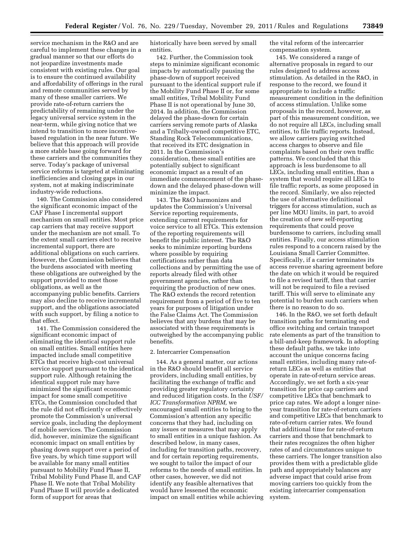service mechanism in the R&O and are careful to implement these changes in a gradual manner so that our efforts do not jeopardize investments made consistent with existing rules. Our goal is to ensure the continued availability and affordability of offerings in the rural and remote communities served by many of these smaller carriers. We provide rate-of-return carriers the predictability of remaining under the legacy universal service system in the near-term, while giving notice that we intend to transition to more incentivebased regulation in the near future. We believe that this approach will provide a more stable base going forward for these carriers and the communities they serve. Today's package of universal service reforms is targeted at eliminating inefficiencies and closing gaps in our system, not at making indiscriminate industry-wide reductions.

140. The Commission also considered the significant economic impact of the CAF Phase I incremental support mechanism on small entities. Most price cap carriers that may receive support under the mechanism are not small. To the extent small carriers elect to receive incremental support, there are additional obligations on such carriers. However, the Commission believes that the burdens associated with meeting these obligations are outweighed by the support provided to meet those obligations, as well as the accompanying public benefits. Carriers may also decline to receive incremental support, and the obligations associated with such support, by filing a notice to that effect.

141. The Commission considered the significant economic impact of eliminating the identical support rule on small entities. Small entities here impacted include small competitive ETCs that receive high-cost universal service support pursuant to the identical support rule. Although retaining the identical support rule may have minimized the significant economic impact for some small competitive ETCs, the Commission concluded that the rule did not efficiently or effectively promote the Commission's universal service goals, including the deployment of mobile services. The Commission did, however, minimize the significant economic impact on small entities by phasing down support over a period of five years, by which time support will be available for many small entities pursuant to Mobility Fund Phase II, Tribal Mobility Fund Phase II, and CAF Phase II. We note that Tribal Mobility Fund Phase II will provide a dedicated form of support for areas that

historically have been served by small entities.

142. Further, the Commission took steps to minimize significant economic impacts by automatically pausing the phase-down of support received pursuant to the identical support rule if the Mobility Fund Phase II or, for some small entities, Tribal Mobility Fund Phase II is not operational by June 30, 2014. In addition, the Commission delayed the phase-down for certain carriers serving remote parts of Alaska and a Tribally-owned competitive ETC, Standing Rock Telecommunications, that received its ETC designation in 2011. In the Commission's consideration, these small entities are potentially subject to significant economic impact as a result of an immediate commencement of the phasedown and the delayed phase-down will minimize the impact.

143. The R&O harmonizes and updates the Commission's Universal Service reporting requirements, extending current requirements for voice service to all ETCs. This extension of the reporting requirements will benefit the public interest. The R&O seeks to minimize reporting burdens where possible by requiring certifications rather than data collections and by permitting the use of reports already filed with other government agencies, rather than requiring the production of new ones. The R&O extends the record retention requirement from a period of five to ten years for purposes of litigation under the False Claims Act. The Commission believes that any burdens that may be associated with these requirements is outweighed by the accompanying public benefits.

# 2. Intercarrier Compensation

144. As a general matter, our actions in the R&O should benefit all service providers, including small entities, by facilitating the exchange of traffic and providing greater regulatory certainty and reduced litigation costs. In the *USF/ ICC Transformation NPRM,* we encouraged small entities to bring to the Commission's attention any specific concerns that they had, including on any issues or measures that may apply to small entities in a unique fashion. As described below, in many cases, including for transition paths, recovery, and for certain reporting requirements, we sought to tailor the impact of our reforms to the needs of small entities. In other cases, however, we did not identify any feasible alternatives that would have lessened the economic impact on small entities while achieving the vital reform of the intercarrier compensation system.

145. We considered a range of alternative proposals in regard to our rules designed to address access stimulation. As detailed in the R&O, in response to the record, we found it appropriate to include a traffic measurement condition in the definition of access stimulation. Unlike some proposals in the record, however, as part of this measurement condition, we do not require all LECs, including small entities, to file traffic reports. Instead, we allow carriers paying switched access charges to observe and file complaints based on their own traffic patterns. We concluded that this approach is less burdensome to all LECs, including small entities, than a system that would require all LECs to file traffic reports, as some proposed in the record. Similarly, we also rejected the use of alternative definitional triggers for access stimulation, such as per line MOU limits, in part, to avoid the creation of new self-reporting requirements that could prove burdensome to carriers, including small entities. Finally, our access stimulation rules respond to a concern raised by the Louisiana Small Carrier Committee. Specifically, if a carrier terminates its access revenue sharing agreement before the date on which it would be required to file a revised tariff, then that carrier will not be required to file a revised tariff. This will serve to eliminate any potential to burden such carriers when there is no reason to do so.

146. In the R&O, we set forth default transition paths for terminating end office switching and certain transport rate elements as part of the transition to a bill-and-keep framework. In adopting these default paths, we take into account the unique concerns facing small entities, including many rate-ofreturn LECs as well as entities that operate in rate-of-return service areas. Accordingly, we set forth a six-year transition for price cap carriers and competitive LECs that benchmark to price cap rates. We adopt a longer nineyear transition for rate-of-return carriers and competitive LECs that benchmark to rate-of-return carrier rates. We found that additional time for rate-of-return carriers and those that benchmark to their rates recognizes the often higher rates of and circumstances unique to these carriers. The longer transition also provides them with a predictable glide path and appropriately balances any adverse impact that could arise from moving carriers too quickly from the existing intercarrier compensation system.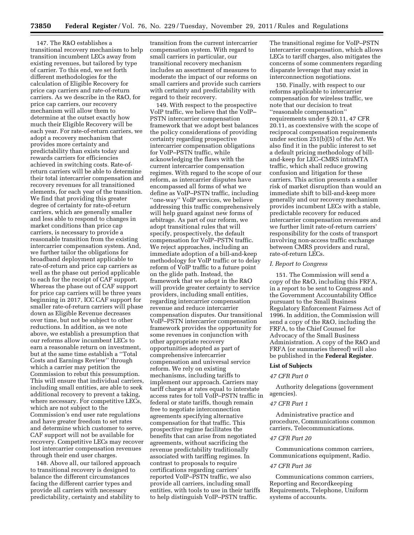147. The R&O establishes a transitional recovery mechanism to help transition incumbent LECs away from existing revenues, but tailored by type of carrier. To this end, we set forth different methodologies for the calculation of Eligible Recovery for price cap carriers and rate-of-return carriers. As we describe in the R&O, for price cap carriers, our recovery mechanism will allow them to determine at the outset exactly how much their Eligible Recovery will be each year. For rate-of-return carriers, we adopt a recovery mechanism that provides more certainty and predictability than exists today and rewards carriers for efficiencies achieved in switching costs. Rate-ofreturn carriers will be able to determine their total intercarrier compensation and recovery revenues for all transitioned elements, for each year of the transition. We find that providing this greater degree of certainty for rate-of-return carriers, which are generally smaller and less able to respond to changes in market conditions than price cap carriers, is necessary to provide a reasonable transition from the existing intercarrier compensation system. And, we further tailor the obligations for broadband deployment applicable to rate-of-return and price cap carriers as well as the phase out period applicable to each for the receipt of CAF support. Whereas the phase out of CAF support for price cap carriers will be three years beginning in 2017, ICC CAF support for smaller rate-of-return carriers will phase down as Eligible Revenue decreases over time, but not be subject to other reductions. In addition, as we note above, we establish a presumption that our reforms allow incumbent LECs to earn a reasonable return on investment, but at the same time establish a ''Total Costs and Earnings Review'' through which a carrier may petition the Commission to rebut this presumption. This will ensure that individual carriers, including small entities, are able to seek additional recovery to prevent a taking, where necessary. For competitive LECs, which are not subject to the Commission's end user rate regulations and have greater freedom to set rates and determine which customer to serve, CAF support will not be available for recovery. Competitive LECs may recover lost intercarrier compensation revenues through their end user charges.

148. Above all, our tailored approach to transitional recovery is designed to balance the different circumstances facing the different carrier types and provide all carriers with necessary predictability, certainty and stability to

transition from the current intercarrier compensation system. With regard to small carriers in particular, our transitional recovery mechanism includes an assortment of measures to moderate the impact of our reforms on small carriers and provide such carriers with certainty and predictability with regard to their recovery.

149. With respect to the prospective VoIP traffic, we believe that the VoIP– PSTN intercarrier compensation framework that we adopt best balances the policy considerations of providing certainty regarding prospective intercarrier compensation obligations for VoIP–PSTN traffic, while acknowledging the flaws with the current intercarrier compensation regimes. With regard to the scope of our reform, as intercarrier disputes have encompassed all forms of what we define as VoIP–PSTN traffic, including ''one-way'' VoIP services, we believe addressing this traffic comprehensively will help guard against new forms of arbitrage. As part of our reform, we adopt transitional rules that will specify, prospectively, the default compensation for VoIP–PSTN traffic. We reject approaches, including an immediate adoption of a bill-and-keep methodology for VoIP traffic or to delay reform of VoIP traffic to a future point on the glide path. Instead, the framework that we adopt in the R&O will provide greater certainty to service providers, including small entities, regarding intercarrier compensation revenue and reduce intercarrier compensation disputes. Our transitional VoIP–PSTN intercarrier compensation framework provides the opportunity for some revenues in conjunction with other appropriate recovery opportunities adopted as part of comprehensive intercarrier compensation and universal service reform. We rely on existing mechanisms, including tariffs to implement our approach. Carriers may tariff charges at rates equal to interstate access rates for toll VoIP–PSTN traffic in federal or state tariffs, though remain free to negotiate interconnection agreements specifying alternative compensation for that traffic. This prospective regime facilitates the benefits that can arise from negotiated agreements, without sacrificing the revenue predictability traditionally associated with tariffing regimes. In contrast to proposals to require certifications regarding carriers' reported VoIP–PSTN traffic, we also provide all carriers, including small entities, with tools to use in their tariffs to help distinguish VoIP–PSTN traffic.

The transitional regime for VoIP–PSTN intercarrier compensation, which allows LECs to tariff charges, also mitigates the concerns of some commenters regarding disparate leverage that may exist in interconnection negotiations.

150. Finally, with respect to our reforms applicable to intercarrier compensation for wireless traffic, we note that our decision to treat ''reasonable compensation'' requirements under § 20.11, 47 CFR 20.11, as coextensive with the scope of reciprocal compensation requirements under section 251(b)(5) of the Act. We also find it in the public interest to set a default pricing methodology of billand-keep for LEC–CMRS intraMTA traffic, which shall reduce growing confusion and litigation for these carriers. This action presents a smaller risk of market disruption than would an immediate shift to bill-and-keep more generally and our recovery mechanism provides incumbent LECs with a stable, predictable recovery for reduced intercarrier compensation revenues and we further limit rate-of-return carriers' responsibility for the costs of transport involving non-access traffic exchange between CMRS providers and rural, rate-of-return LECs.

#### *I. Report to Congress*

151. The Commission will send a copy of the R&O, including this FRFA, in a report to be sent to Congress and the Government Accountability Office pursuant to the Small Business Regulatory Enforcement Fairness Act of 1996. In addition, the Commission will send a copy of the R&O, including the FRFA, to the Chief Counsel for Advocacy of the Small Business Administration. A copy of the R&O and FRFA (or summaries thereof) will also be published in the **Federal Register**.

## **List of Subjects**

#### *47 CFR Part 0*

Authority delegations (government agencies).

# *47 CFR Part 1*

Administrative practice and procedure, Communications common carriers, Telecommunications.

#### *47 CFR Part 20*

Communications common carriers, Communications equipment, Radio.

#### *47 CFR Part 36*

Communications common carriers, Reporting and Recordkeeping Requirements, Telephone, Uniform systems of accounts.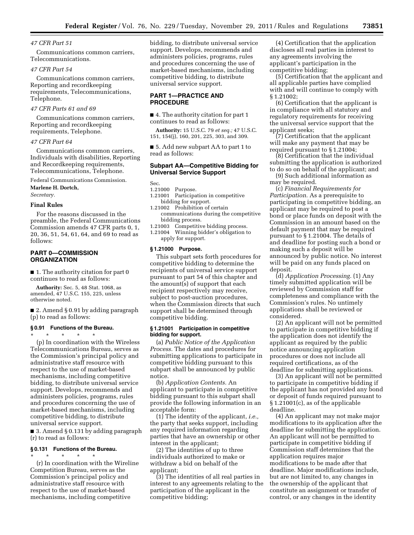# *47 CFR Part 51*

Communications common carriers, Telecommunications.

# *47 CFR Part 54*

Communications common carriers, Reporting and recordkeeping requirements, Telecommunications, Telephone.

# *47 CFR Parts 61 and 69*

Communications common carriers, Reporting and recordkeeping requirements, Telephone.

#### *47 CFR Part 64*

Communications common carriers, Individuals with disabilities, Reporting and Recordkeeping requirements, Telecommunications, Telephone.

Federal Communications Commission.

**Marlene H. Dortch,** 

*Secretary.* 

# **Final Rules**

For the reasons discussed in the preamble, the Federal Communications Commission amends 47 CFR parts 0, 1, 20, 36, 51, 54, 61, 64, and 69 to read as follows:

# **PART 0—COMMISSION ORGANIZATION**

■ 1. The authority citation for part 0 continues to read as follows:

**Authority:** Sec. 5, 48 Stat. 1068, as amended, 47 U.S.C. 155, 225, unless otherwise noted.

■ 2. Amend § 0.91 by adding paragraph (p) to read as follows:

# **§ 0.91 Functions of the Bureau.**

\* \* \* \* \* (p) In coordination with the Wireless Telecommunications Bureau, serves as the Commission's principal policy and administrative staff resource with respect to the use of market-based mechanisms, including competitive bidding, to distribute universal service support. Develops, recommends and administers policies, programs, rules and procedures concerning the use of market-based mechanisms, including competitive bidding, to distribute universal service support.

■ 3. Amend § 0.131 by adding paragraph (r) to read as follows:

#### **§ 0.131 Functions of the Bureau.**

\* \* \* \* \* (r) In coordination with the Wireline Competition Bureau, serves as the Commission's principal policy and administrative staff resource with respect to the use of market-based mechanisms, including competitive

bidding, to distribute universal service support. Develops, recommends and administers policies, programs, rules and procedures concerning the use of market-based mechanisms, including competitive bidding, to distribute universal service support.

# **PART 1—PRACTICE AND PROCEDURE**

■ 4. The authority citation for part 1 continues to read as follows:

**Authority:** 15 U.S.C. 79 *et seq.;* 47 U.S.C. 151, 154(j), 160, 201, 225, 303, and 309.

■ 5. Add new subpart AA to part 1 to read as follows:

# **Subpart AA—Competitive Bidding for Universal Service Support**

Sec.

- 1.21000 Purpose.
- 1.21001 Participation in competitive bidding for support.
- 1.21002 Prohibition of certain communications during the competitive bidding process.
- 1.21003 Competitive bidding process. 1.21004 Winning bidder's obligation to apply for support.

#### **§ 1.21000 Purpose.**

This subpart sets forth procedures for competitive bidding to determine the recipients of universal service support pursuant to part 54 of this chapter and the amount(s) of support that each recipient respectively may receive, subject to post-auction procedures, when the Commission directs that such support shall be determined through competitive bidding.

# **§ 1.21001 Participation in competitive bidding for support.**

(a) *Public Notice of the Application Process.* The dates and procedures for submitting applications to participate in competitive bidding pursuant to this subpart shall be announced by public notice.

(b) *Application Contents.* An applicant to participate in competitive bidding pursuant to this subpart shall provide the following information in an acceptable form:

(1) The identity of the applicant, *i.e.,*  the party that seeks support, including any required information regarding parties that have an ownership or other interest in the applicant;

(2) The identities of up to three individuals authorized to make or withdraw a bid on behalf of the applicant;

(3) The identities of all real parties in interest to any agreements relating to the participation of the applicant in the competitive bidding;

(4) Certification that the application discloses all real parties in interest to any agreements involving the applicant's participation in the competitive bidding;

(5) Certification that the applicant and all applicable parties have complied with and will continue to comply with § 1.21002;

(6) Certification that the applicant is in compliance with all statutory and regulatory requirements for receiving the universal service support that the applicant seeks;

(7) Certification that the applicant will make any payment that may be required pursuant to § 1.21004;

(8) Certification that the individual submitting the application is authorized to do so on behalf of the applicant; and

(9) Such additional information as may be required.

(c) *Financial Requirements for Participation.* As a prerequisite to participating in competitive bidding, an applicant may be required to post a bond or place funds on deposit with the Commission in an amount based on the default payment that may be required pursuant to § 1.21004. The details of and deadline for posting such a bond or making such a deposit will be announced by public notice. No interest will be paid on any funds placed on deposit.

(d) *Application Processing.* (1) Any timely submitted application will be reviewed by Commission staff for completeness and compliance with the Commission's rules. No untimely applications shall be reviewed or considered.

(2) An applicant will not be permitted to participate in competitive bidding if the application does not identify the applicant as required by the public notice announcing application procedures or does not include all required certifications, as of the deadline for submitting applications.

(3) An applicant will not be permitted to participate in competitive bidding if the applicant has not provided any bond or deposit of funds required pursuant to § 1.21001(c), as of the applicable deadline.

(4) An applicant may not make major modifications to its application after the deadline for submitting the application. An applicant will not be permitted to participate in competitive bidding if Commission staff determines that the application requires major modifications to be made after that deadline. Major modifications include, but are not limited to, any changes in the ownership of the applicant that constitute an assignment or transfer of control, or any changes in the identity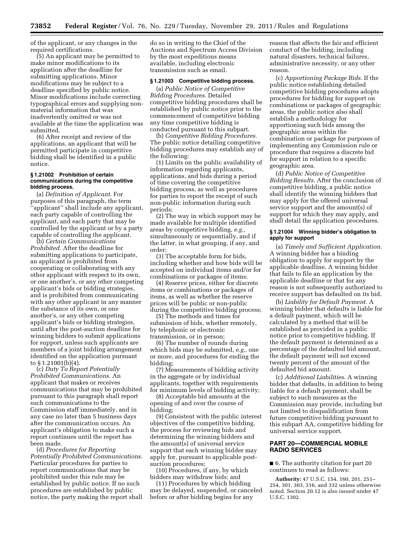of the applicant, or any changes in the required certifications.

(5) An applicant may be permitted to make minor modifications to its application after the deadline for submitting applications. Minor modifications may be subject to a deadline specified by public notice. Minor modifications include correcting typographical errors and supplying nonmaterial information that was inadvertently omitted or was not available at the time the application was submitted.

(6) After receipt and review of the applications, an applicant that will be permitted participate in competitive bidding shall be identified in a public notice.

# **§ 1.21002 Prohibition of certain communications during the competitive bidding process.**

(a) *Definition of Applicant.* For purposes of this paragraph, the term ''applicant'' shall include any applicant, each party capable of controlling the applicant, and each party that may be controlled by the applicant or by a party capable of controlling the applicant.

(b) *Certain Communications Prohibited.* After the deadline for submitting applications to participate, an applicant is prohibited from cooperating or collaborating with any other applicant with respect to its own, or one another's, or any other competing applicant's bids or bidding strategies, and is prohibited from communicating with any other applicant in any manner the substance of its own, or one another's, or any other competing applicant's bids or bidding strategies, until after the post-auction deadline for winning bidders to submit applications for support, unless such applicants are members of a joint bidding arrangement identified on the application pursuant to § 1.21001(b)(4).

(c) *Duty To Report Potentially Prohibited Communications.* An applicant that makes or receives communications that may be prohibited pursuant to this paragraph shall report such communications to the Commission staff immediately, and in any case no later than 5 business days after the communication occurs. An applicant's obligation to make such a report continues until the report has been made.

(d) *Procedures for Reporting Potentially Prohibited Communications.*  Particular procedures for parties to report communications that may be prohibited under this rule may be established by public notice. If no such procedures are established by public notice, the party making the report shall

do so in writing to the Chief of the Auctions and Spectrum Access Division by the most expeditious means available, including electronic transmission such as email.

# **§ 1.21003 Competitive bidding process.**

(a) *Public Notice of Competitive Bidding Procedures.* Detailed competitive bidding procedures shall be established by public notice prior to the commencement of competitive bidding any time competitive bidding is conducted pursuant to this subpart.

(b) *Competitive Bidding Procedures.*  The public notice detailing competitive bidding procedures may establish any of the following:

(1) Limits on the public availability of information regarding applicants, applications, and bids during a period of time covering the competitive bidding process, as well as procedures for parties to report the receipt of such non-public information during such periods;

(2) The way in which support may be made available for multiple identified areas by competitive bidding, *e.g.,*  simultaneously or sequentially, and if the latter, in what grouping, if any, and order;

(3) The acceptable form for bids, including whether and how bids will be accepted on individual items and/or for combinations or packages of items;

(4) Reserve prices, either for discrete items or combinations or packages of items, as well as whether the reserve prices will be public or non-public during the competitive bidding process;

(5) The methods and times for submission of bids, whether remotely, by telephonic or electronic transmission, or in person;

(6) The number of rounds during which bids may be submitted, *e.g.,* one or more, and procedures for ending the bidding;

(7) Measurements of bidding activity in the aggregate or by individual applicants, together with requirements for minimum levels of bidding activity;

(8) Acceptable bid amounts at the opening of and over the course of bidding;

(9) Consistent with the public interest objectives of the competitive bidding, the process for reviewing bids and determining the winning bidders and the amount(s) of universal service support that each winning bidder may apply for, pursuant to applicable postauction procedures;

(10) Procedures, if any, by which bidders may withdraw bids; and

(11) Procedures by which bidding may be delayed, suspended, or canceled before or after bidding begins for any

reason that affects the fair and efficient conduct of the bidding, including natural disasters, technical failures, administrative necessity, or any other reason.

(c) *Apportioning Package Bids.* If the public notice establishing detailed competitive bidding procedures adopts procedures for bidding for support on combinations or packages of geographic areas, the public notice also shall establish a methodology for apportioning such bids among the geographic areas within the combination or package for purposes of implementing any Commission rule or procedure that requires a discrete bid for support in relation to a specific geographic area.

(d) *Public Notice of Competitive Bidding Results.* After the conclusion of competitive bidding, a public notice shall identify the winning bidders that may apply for the offered universal service support and the amount(s) of support for which they may apply, and shall detail the application procedures.

# **§ 1.21004 Winning bidder's obligation to apply for support**

(a) *Timely and Sufficient Application.*  A winning bidder has a binding obligation to apply for support by the applicable deadline. A winning bidder that fails to file an application by the applicable deadline or that for any reason is not subsequently authorized to receive support has defaulted on its bid.

(b) *Liability for Default Payment.* A winning bidder that defaults is liable for a default payment, which will be calculated by a method that will be established as provided in a public notice prior to competitive bidding. If the default payment is determined as a percentage of the defaulted bid amount, the default payment will not exceed twenty percent of the amount of the defaulted bid amount.

(c) *Additional Liabilities.* A winning bidder that defaults, in addition to being liable for a default payment, shall be subject to such measures as the Commission may provide, including but not limited to disqualification from future competitive bidding pursuant to this subpart AA, competitive bidding for universal service support.

# **PART 20—COMMERCIAL MOBILE RADIO SERVICES**

■ 6. The authority citation for part 20 continues to read as follows:

**Authority:** 47 U.S.C. 154, 160, 201, 251– 254, 301, 303, 316, and 332 unless otherwise noted. Section 20.12 is also issued under 47 U.S.C. 1302.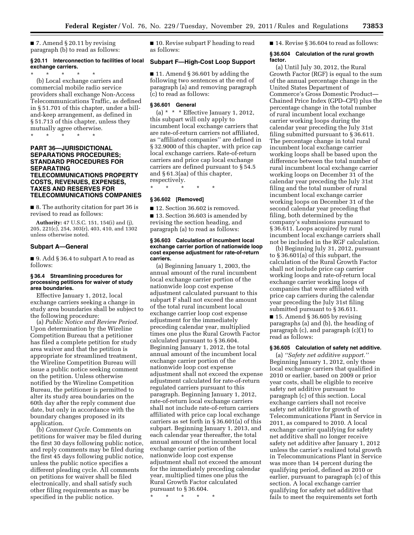■ 7. Amend § 20.11 by revising paragraph (b) to read as follows:

# **§ 20.11 Interconnection to facilities of local exchange carriers.**

\* \* \* \* \* (b) Local exchange carriers and commercial mobile radio service providers shall exchange Non-Access Telecommunications Traffic, as defined in § 51.701 of this chapter, under a billand-keep arrangement, as defined in § 51.713 of this chapter, unless they mutually agree otherwise.

\* \* \* \* \*

# **PART 36—JURISDICTIONAL SEPARATIONS PROCEDURES; STANDARD PROCEDURES FOR SEPARATING TELECOMMUNICATIONS PROPERTY COSTS, REVENUES, EXPENSES, TAXES AND RESERVES FOR TELECOMMUNICATIONS COMPANIES**

■ 8. The authority citation for part 36 is revised to read as follows:

**Authority:** 47 U.S.C. 151, 154(i) and (j), 205, 221(c), 254, 303(r), 403, 410, and 1302 unless otherwise noted.

# **Subpart A—General**

■ 9. Add § 36.4 to subpart A to read as follows:

# **§ 36.4 Streamlining procedures for processing petitions for waiver of study area boundaries.**

Effective January 1, 2012, local exchange carriers seeking a change in study area boundaries shall be subject to the following procedure:

(a) *Public Notice and Review Period.*  Upon determination by the Wireline Competition Bureau that a petitioner has filed a complete petition for study area waiver and that the petition is appropriate for streamlined treatment, the Wireline Competition Bureau will issue a public notice seeking comment on the petition. Unless otherwise notified by the Wireline Competition Bureau, the petitioner is permitted to alter its study area boundaries on the 60th day after the reply comment due date, but only in accordance with the boundary changes proposed in its application.

(b) *Comment Cycle.* Comments on petitions for waiver may be filed during the first 30 days following public notice, and reply comments may be filed during the first 45 days following public notice, unless the public notice specifies a different pleading cycle. All comments on petitions for waiver shall be filed electronically, and shall satisfy such other filing requirements as may be specified in the public notice.

■ 10. Revise subpart F heading to read as follows:

# **Subpart F—High-Cost Loop Support**

■ 11. Amend § 36.601 by adding the following two sentences at the end of paragraph (a) and removing paragraph (c) to read as follows:

# **§ 36.601 General**

(a)  $* * *$  Effective January 1, 2012, this subpart will only apply to incumbent local exchange carriers that are rate-of-return carriers not affiliated, as ''affiliated companies'' are defined in § 32.9000 of this chapter, with price cap local exchange carriers. Rate-of-return carriers and price cap local exchange carriers are defined pursuant to § 54.5 and § 61.3(aa) of this chapter, respectively.

\* \* \* \* \*

# **§ 36.602 [Removed]**

■ 12. Section 36.602 is removed. ■ 13. Section 36.603 is amended by revising the section heading, and paragraph (a) to read as follows:

# **§ 36.603 Calculation of incumbent local exchange carrier portion of nationwide loop cost expense adjustment for rate-of-return carriers.**

(a) Beginning January 1, 2003, the annual amount of the rural incumbent local exchange carrier portion of the nationwide loop cost expense adjustment calculated pursuant to this subpart F shall not exceed the amount of the total rural incumbent local exchange carrier loop cost expense adjustment for the immediately preceding calendar year, multiplied times one plus the Rural Growth Factor calculated pursuant to § 36.604. Beginning January 1, 2012, the total annual amount of the incumbent local exchange carrier portion of the nationwide loop cost expense adjustment shall not exceed the expense adjustment calculated for rate-of-return regulated carriers pursuant to this paragraph. Beginning January 1, 2012, rate-of-return local exchange carriers shall not include rate-of-return carriers affiliated with price cap local exchange carriers as set forth in § 36.601(a) of this subpart. Beginning January 1, 2013, and each calendar year thereafter, the total annual amount of the incumbent local exchange carrier portion of the nationwide loop cost expense adjustment shall not exceed the amount for the immediately preceding calendar year, multiplied times one plus the Rural Growth Factor calculated pursuant to § 36.604.

\* \* \* \* \*

■ 14. Revise § 36.604 to read as follows:

#### **§ 36.604 Calculation of the rural growth factor.**

(a) Until July 30, 2012, the Rural Growth Factor (RGF) is equal to the sum of the annual percentage change in the United States Department of Commerce's Gross Domestic Product— Chained Price Index (GPD–CPI) plus the percentage change in the total number of rural incumbent local exchange carrier working loops during the calendar year preceding the July 31st filing submitted pursuant to § 36.611. The percentage change in total rural incumbent local exchange carrier working loops shall be based upon the difference between the total number of rural incumbent local exchange carrier working loops on December 31 of the calendar year preceding the July 31st filing and the total number of rural incumbent local exchange carrier working loops on December 31 of the second calendar year preceding that filing, both determined by the company's submissions pursuant to § 36.611. Loops acquired by rural incumbent local exchange carriers shall not be included in the RGF calculation.

(b) Beginning July 31, 2012, pursuant to § 36.601(a) of this subpart, the calculation of the Rural Growth Factor shall not include price cap carrier working loops and rate-of-return local exchange carrier working loops of companies that were affiliated with price cap carriers during the calendar year preceding the July 31st filing submitted pursuant to § 36.611.

 $\blacksquare$  15. Amend § 36.605 by revising paragraphs (a) and (b), the heading of paragraph (c), and paragraph (c)(1) to read as follows:

#### **§ 36.605 Calculation of safety net additive.**

(a) *''Safety net additive support.''*  Beginning January 1, 2012, only those local exchange carriers that qualified in 2010 or earlier, based on 2009 or prior year costs, shall be eligible to receive safety net additive pursuant to paragraph (c) of this section. Local exchange carriers shall not receive safety net additive for growth of Telecommunications Plant in Service in 2011, as compared to 2010. A local exchange carrier qualifying for safety net additive shall no longer receive safety net additive after January 1, 2012 unless the carrier's realized total growth in Telecommunications Plant in Service was more than 14 percent during the qualifying period, defined as 2010 or earlier, pursuant to paragraph (c) of this section. A local exchange carrier qualifying for safety net additive that fails to meet the requirements set forth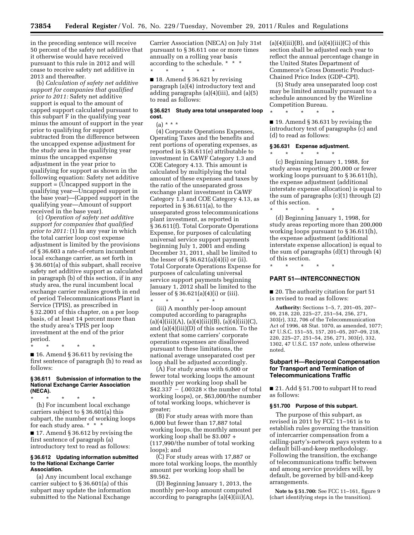in the preceding sentence will receive 50 percent of the safety net additive that it otherwise would have received pursuant to this rule in 2012 and will cease to receive safety net additive in 2013 and thereafter.

(b) *Calculation of safety net additive support for companies that qualified prior to 2011:* Safety net additive support is equal to the amount of capped support calculated pursuant to this subpart F in the qualifying year minus the amount of support in the year prior to qualifying for support subtracted from the difference between the uncapped expense adjustment for the study area in the qualifying year minus the uncapped expense adjustment in the year prior to qualifying for support as shown in the following equation: Safety net additive support = (Uncapped support in the qualifying year—Uncapped support in the base year)—(Capped support in the qualifying year—Amount of support received in the base year).

(c) *Operation of safety net additive support for companies that qualified prior to 2011:* (1) In any year in which the total carrier loop cost expense adjustment is limited by the provisions of § 36.603 a rate-of-return incumbent local exchange carrier, as set forth in § 36.601(a) of this subpart, shall receive safety net additive support as calculated in paragraph (b) of this section, if in any study area, the rural incumbent local exchange carrier realizes growth in end of period Telecommunications Plant in Service (TPIS), as prescribed in § 32.2001 of this chapter, on a per loop basis, of at least 14 percent more than the study area's TPIS per loop investment at the end of the prior period.

\* \* \* \* \*  $\blacksquare$  16. Amend § 36.611 by revising the first sentence of paragraph (h) to read as follows:

#### **§ 36.611 Submission of information to the National Exchange Carrier Association (NECA).**

\* \* \* \* \* (h) For incumbent local exchange carriers subject to § 36.601(a) this subpart, the number of working loops for each study area. \* \* \*

■ 17. Amend § 36.612 by revising the first sentence of paragraph (a) introductory text to read as follows:

#### **§ 36.612 Updating information submitted to the National Exchange Carrier Association.**

(a) Any incumbent local exchange carrier subject to § 36.601(a) of this subpart may update the information submitted to the National Exchange

Carrier Association (NECA) on July 31st pursuant to § 36.611 one or more times annually on a rolling year basis according to the schedule. \* \* \* \* \* \* \* \*

 $\blacksquare$  18. Amend § 36.621 by revising paragraph (a)(4) introductory text and adding paragraphs (a)(4)(iii), and (a)(5) to read as follows:

# **§ 36.621 Study area total unseparated loop cost.**

(a) \* \* \*

(4) Corporate Operations Expenses, Operating Taxes and the benefits and rent portions of operating expenses, as reported in § 36.611(e) attributable to investment in C&WF Category 1.3 and COE Category 4.13. This amount is calculated by multiplying the total amount of these expenses and taxes by the ratio of the unseparated gross exchange plant investment in C&WF Category 1.3 and COE Category 4.13, as reported in § 36.611(a), to the unseparated gross telecommunications plant investment, as reported in § 36.611(f). Total Corporate Operations Expense, for purposes of calculating universal service support payments beginning July 1, 2001 and ending December 31, 2011, shall be limited to the lesser of § 36.621(a)(4)(i) or (ii). Total Corporate Operations Expense for purposes of calculating universal service support payments beginning January 1, 2012 shall be limited to the lesser of § 36.621(a)(4)(i) or (iii). \* \* \* \* \*

(iii) A monthly per-loop amount computed according to paragraphs  $(a)(4)(iii)(A), (a)(4)(iii)(B), (a)(4)(iii)(C),$ and (a)(4)(iii)(D) of this section. To the extent that some carriers' corporate operations expenses are disallowed pursuant to these limitations, the national average unseparated cost per loop shall be adjusted accordingly.

(A) For study areas with 6,000 or fewer total working loops the amount monthly per working loop shall be  $$42.337 - (.00328 \times the number of total$ working loops), or, \$63,000/the number of total working loops, whichever is greater;

(B) For study areas with more than 6,000 but fewer than 17,887 total working loops, the monthly amount per working loop shall be \$3.007 + (117,990/the number of total working loops); and

(C) For study areas with 17,887 or more total working loops, the monthly amount per working loop shall be \$9.562.

(D) Beginning January 1, 2013, the monthly per-loop amount computed according to paragraphs  $(a)(4)(iii)(A)$ ,  $(a)(4)(iii)(B)$ , and  $(a)(4)(iii)(C)$  of this section shall be adjusted each year to reflect the annual percentage change in the United States Department of Commerce's Gross Domestic Product-Chained Price Index (GDP–CPI).

(5) Study area unseparated loop cost may be limited annually pursuant to a schedule announced by the Wireline Competition Bureau.

■ 19. Amend § 36.631 by revising the introductory text of paragraphs (c) and

#### **§ 36.631 Expense adjustment.**

\* \* \* \* \*

(d) to read as follows:

\* \* \* \* \* (c) Beginning January 1, 1988, for study areas reporting 200,000 or fewer working loops pursuant to § 36.611(h), the expense adjustment (additional interstate expense allocation) is equal to the sum of paragraphs (c)(1) through (2) of this section.

\* \* \* \* \* (d) Beginning January 1, 1998, for study areas reporting more than 200,000 working loops pursuant to § 36.611(h), the expense adjustment (additional interstate expense allocation) is equal to the sum of paragraphs (d)(1) through (4) of this section.

\* \* \* \* \*

# **PART 51—INTERCONNECTION**

■ 20. The authority citation for part 51 is revised to read as follows:

**Authority:** Sections 1–5, 7, 201–05, 207– 09, 218, 220, 225–27, 251–54, 256, 271, 303(r), 332, 706 of the Telecommunication Act of 1996, 48 Stat. 1070, as amended, 1077; 47 U.S.C. 151–55, 157, 201–05, 207–09, 218, 220, 225–27, 251–54, 256, 271, 303(r), 332, 1302, 47 U.S.C. 157 *note,* unless otherwise noted.

# **Subpart H—Reciprocal Compensation for Transport and Termination of Telecommunications Traffic**

■ 21. Add § 51.700 to subpart H to read as follows:

#### **§ 51.700 Purpose of this subpart.**

The purpose of this subpart, as revised in 2011 by FCC 11–161 is to establish rules governing the transition of intercarrier compensation from a calling-party's-network pays system to a default bill-and-keep methodology. Following the transition, the exchange of telecommunications traffic between and among service providers will, by default, be governed by bill-and-keep arrangements.

**Note to § 51.700:** See FCC 11–161, figure 9 (chart identifying steps in the transition).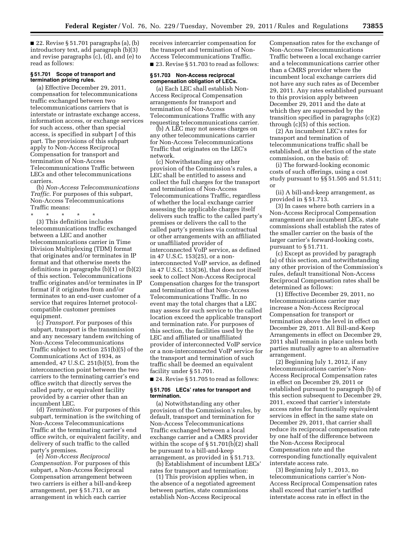■ 22. Revise § 51.701 paragraphs (a), (b) introductory text, add paragraph (b)(3) and revise paragraphs (c), (d), and (e) to read as follows:

# **§ 51.701 Scope of transport and termination pricing rules.**

(a) Effective December 29, 2011, compensation for telecommunications traffic exchanged between two telecommunications carriers that is interstate or intrastate exchange access, information access, or exchange services for such access, other than special access, is specified in subpart J of this part. The provisions of this subpart apply to Non-Access Reciprocal Compensation for transport and termination of Non-Access Telecommunications Traffic between LECs and other telecommunications carriers.

(b) *Non-Access Telecommunications Traffic.* For purposes of this subpart, Non-Access Telecommunications Traffic means:

\* \* \* \* \* (3) This definition includes telecommunications traffic exchanged between a LEC and another telecommunications carrier in Time Division Multiplexing (TDM) format that originates and/or terminates in IP format and that otherwise meets the definitions in paragraphs (b)(1) or (b)(2) of this section. Telecommunications traffic originates and/or terminates in IP format if it originates from and/or terminates to an end-user customer of a service that requires Internet protocolcompatible customer premises equipment.

(c) *Transport.* For purposes of this subpart, transport is the transmission and any necessary tandem switching of Non-Access Telecommunications Traffic subject to section 251(b)(5) of the Communications Act of 1934, as amended, 47 U.S.C. 251(b)(5), from the interconnection point between the two carriers to the terminating carrier's end office switch that directly serves the called party, or equivalent facility provided by a carrier other than an incumbent LEC.

(d) *Termination.* For purposes of this subpart, termination is the switching of Non-Access Telecommunications Traffic at the terminating carrier's end office switch, or equivalent facility, and delivery of such traffic to the called party's premises.

(e) *Non-Access Reciprocal Compensation.* For purposes of this subpart, a Non-Access Reciprocal Compensation arrangement between two carriers is either a bill-and-keep arrangement, per § 51.713, or an arrangement in which each carrier

receives intercarrier compensation for the transport and termination of Non-Access Telecommunications Traffic. ■ 23. Revise § 51.703 to read as follows:

#### **§ 51.703 Non-Access reciprocal compensation obligation of LECs.**

(a) Each LEC shall establish Non-Access Reciprocal Compensation arrangements for transport and termination of Non-Access Telecommunications Traffic with any requesting telecommunications carrier.

(b) A LEC may not assess charges on any other telecommunications carrier for Non-Access Telecommunications Traffic that originates on the LEC's network.

(c) Notwithstanding any other provision of the Commission's rules, a LEC shall be entitled to assess and collect the full charges for the transport and termination of Non-Access Telecommunications Traffic, regardless of whether the local exchange carrier assessing the applicable charges itself delivers such traffic to the called party's premises or delivers the call to the called party's premises via contractual or other arrangements with an affiliated or unaffiliated provider of interconnected VoIP service, as defined in 47 U.S.C. 153(25), or a noninterconnected VoIP service, as defined in 47 U.S.C. 153(36), that does not itself seek to collect Non-Access Reciprocal Compensation charges for the transport and termination of that Non-Access Telecommunications Traffic. In no event may the total charges that a LEC may assess for such service to the called location exceed the applicable transport and termination rate. For purposes of this section, the facilities used by the LEC and affiliated or unaffiliated provider of interconnected VoIP service or a non-interconnected VoIP service for the transport and termination of such traffic shall be deemed an equivalent facility under § 51.701.

■ 24. Revise § 51.705 to read as follows:

# **§ 51.705 LECs' rates for transport and termination.**

(a) Notwithstanding any other provision of the Commission's rules, by default, transport and termination for Non-Access Telecommunications Traffic exchanged between a local exchange carrier and a CMRS provider within the scope of § 51.701(b)(2) shall be pursuant to a bill-and-keep arrangement, as provided in § 51.713.

(b) Establishment of incumbent LECs' rates for transport and termination:

(1) This provision applies when, in the absence of a negotiated agreement between parties, state commissions establish Non-Access Reciprocal

Compensation rates for the exchange of Non-Access Telecommunications Traffic between a local exchange carrier and a telecommunications carrier other than a CMRS provider where the incumbent local exchange carriers did not have any such rates as of December 29, 2011. Any rates established pursuant to this provision apply between December 29, 2011 and the date at which they are superseded by the transition specified in paragraphs (c)(2) through (c)(5) of this section.

(2) An incumbent LEC's rates for transport and termination of telecommunications traffic shall be established, at the election of the state commission, on the basis of:

(i) The forward-looking economic costs of such offerings, using a cost study pursuant to §§ 51.505 and 51.511; or

(ii) A bill-and-keep arrangement, as provided in § 51.713.

(3) In cases where both carriers in a Non-Access Reciprocal Compensation arrangement are incumbent LECs, state commissions shall establish the rates of the smaller carrier on the basis of the larger carrier's forward-looking costs, pursuant to § 51.711.

(c) Except as provided by paragraph (a) of this section, and notwithstanding any other provision of the Commission's rules, default transitional Non-Access Reciprocal Compensation rates shall be determined as follows:

(1) Effective December 29, 2011, no telecommunications carrier may increase a Non-Access Reciprocal Compensation for transport or termination above the level in effect on December 29, 2011. All Bill-and-Keep Arrangements in effect on December 29, 2011 shall remain in place unless both parties mutually agree to an alternative arrangement.

(2) Beginning July 1, 2012, if any telecommunications carrier's Non-Access Reciprocal Compensation rates in effect on December 29, 2011 or established pursuant to paragraph (b) of this section subsequent to December 29, 2011, exceed that carrier's interstate access rates for functionally equivalent services in effect in the same state on December 29, 2011, that carrier shall reduce its reciprocal compensation rate by one half of the difference between the Non-Access Reciprocal Compensation rate and the corresponding functionally equivalent interstate access rate.

(3) Beginning July 1, 2013, no telecommunications carrier's Non-Access Reciprocal Compensation rates shall exceed that carrier's tariffed interstate access rate in effect in the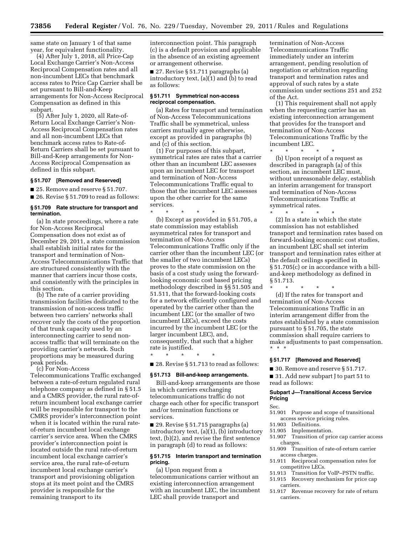same state on January 1 of that same year, for equivalent functionality.

(4) After July 1, 2018, all Price-Cap Local Exchange Carrier's Non-Access Reciprocal Compensation rates and all non-incumbent LECs that benchmark access rates to Price Cap Carrier shall be set pursuant to Bill-and-Keep arrangements for Non-Access Reciprocal Compensation as defined in this subpart.

(5) After July 1, 2020, all Rate-of-Return Local Exchange Carrier's Non-Access Reciprocal Compensation rates and all non-incumbent LECs that benchmark access rates to Rate-of-Return Carriers shall be set pursuant to Bill-and-Keep arrangements for Non-Access Reciprocal Compensation as defined in this subpart.

# **§ 51.707 [Removed and Reserved]**

■ 25. Remove and reserve § 51.707.

■ 26. Revise § 51.709 to read as follows:

#### **§ 51.709 Rate structure for transport and termination.**

(a) In state proceedings, where a rate for Non-Access Reciprocal Compensation does not exist as of December 29, 2011, a state commission shall establish initial rates for the transport and termination of Non-Access Telecommunications Traffic that are structured consistently with the manner that carriers incur those costs, and consistently with the principles in this section.

(b) The rate of a carrier providing transmission facilities dedicated to the transmission of non-access traffic between two carriers' networks shall recover only the costs of the proportion of that trunk capacity used by an interconnecting carrier to send nonaccess traffic that will terminate on the providing carrier's network. Such proportions may be measured during peak periods.

(c) For Non-Access

Telecommunications Traffic exchanged between a rate-of-return regulated rural telephone company as defined in § 51.5 and a CMRS provider, the rural rate-ofreturn incumbent local exchange carrier will be responsible for transport to the CMRS provider's interconnection point when it is located within the rural rateof-return incumbent local exchange carrier's service area. When the CMRS provider's interconnection point is located outside the rural rate-of-return incumbent local exchange carrier's service area, the rural rate-of-return incumbent local exchange carrier's transport and provisioning obligation stops at its meet point and the CMRS provider is responsible for the remaining transport to its

interconnection point. This paragraph (c) is a default provision and applicable in the absence of an existing agreement or arrangement otherwise.

■ 27. Revise § 51.711 paragraphs (a) introductory text,  $(a)(1)$  and  $(b)$  to read as follows:

## **§ 51.711 Symmetrical non-access reciprocal compensation.**

(a) Rates for transport and termination of Non-Access Telecommunications Traffic shall be symmetrical, unless carriers mutually agree otherwise, except as provided in paragraphs (b) and (c) of this section.

(1) For purposes of this subpart, symmetrical rates are rates that a carrier other than an incumbent LEC assesses upon an incumbent LEC for transport and termination of Non-Access Telecommunications Traffic equal to those that the incumbent LEC assesses upon the other carrier for the same services.

\* \* \* \* \* (b) Except as provided in § 51.705, a state commission may establish asymmetrical rates for transport and termination of Non-Access Telecommunications Traffic only if the carrier other than the incumbent LEC (or the smaller of two incumbent LECs) proves to the state commission on the basis of a cost study using the forwardlooking economic cost based pricing methodology described in §§ 51.505 and 51.511, that the forward-looking costs for a network efficiently configured and operated by the carrier other than the incumbent LEC (or the smaller of two incumbent LECs), exceed the costs incurred by the incumbent LEC (or the larger incumbent LEC), and, consequently, that such that a higher rate is justified.

■ 28. Revise § 51.713 to read as follows:

# **§ 51.713 Bill-and-keep arrangements.**

\* \* \* \* \*

Bill-and-keep arrangements are those in which carriers exchanging telecommunications traffic do not charge each other for specific transport and/or termination functions or services.

■ 29. Revise § 51.715 paragraphs (a) introductory text, (a)(1), (b) introductory text, (b)(2), and revise the first sentence in paragraph (d) to read as follows:

# **§ 51.715 Interim transport and termination pricing.**

(a) Upon request from a telecommunications carrier without an existing interconnection arrangement with an incumbent LEC, the incumbent LEC shall provide transport and

termination of Non-Access Telecommunications Traffic immediately under an interim arrangement, pending resolution of negotiation or arbitration regarding transport and termination rates and approval of such rates by a state commission under sections 251 and 252 of the Act.

(1) This requirement shall not apply when the requesting carrier has an existing interconnection arrangement that provides for the transport and termination of Non-Access Telecommunications Traffic by the incumbent LEC.

\* \* \* \* \* (b) Upon receipt of a request as described in paragraph (a) of this section, an incumbent LEC must, without unreasonable delay, establish an interim arrangement for transport and termination of Non-Access Telecommunications Traffic at symmetrical rates.

\* \* \* \* \* (2) In a state in which the state commission has not established transport and termination rates based on forward-looking economic cost studies, an incumbent LEC shall set interim transport and termination rates either at the default ceilings specified in § 51.705(c) or in accordance with a billand-keep methodology as defined in § 51.713.

\* \* \* \* \* (d) If the rates for transport and termination of Non-Access Telecommunications Traffic in an interim arrangement differ from the rates established by a state commission pursuant to § 51.705, the state commission shall require carriers to make adjustments to past compensation. \* \* \*

# **§ 51.717 [Removed and Reserved]**

■ 30. Remove and reserve § 51.717.

■ 31. Add new subpart J to part 51 to read as follows:

# **Subpart J—Transitional Access Service Pricing**

# Sec.

- 51.901 Purpose and scope of transitional access service pricing rules.<br>51.903 Definitions.
- Definitions.
- 51.905 Implementation.<br>51.907 Transition of pri
- Transition of price cap carrier access charges.
- 51.909 Transition of rate-of-return carrier access charges.
- 51.911 Reciprocal compensation rates for competitive LECs.
- 51.913 Transition for VoIP–PSTN traffic.
- 51.915 Recovery mechanism for price cap carriers.
- 51.917 Revenue recovery for rate of return carriers.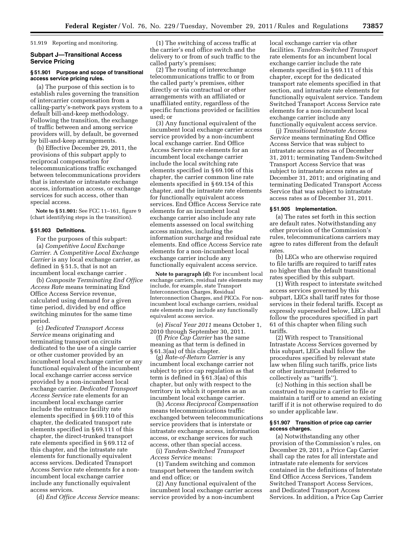51.919 Reporting and monitoring.

# **Subpart J—Transitional Access Service Pricing**

# **§ 51.901 Purpose and scope of transitional access service pricing rules.**

(a) The purpose of this section is to establish rules governing the transition of intercarrier compensation from a calling-party's-network pays system to a default bill-and-keep methodology. Following the transition, the exchange of traffic between and among service providers will, by default, be governed by bill-and-keep arrangements.

(b) Effective December 29, 2011, the provisions of this subpart apply to reciprocal compensation for telecommunications traffic exchanged between telecommunications providers that is interstate or intrastate exchange access, information access, or exchange services for such access, other than special access.

**Note to § 51.901:** See FCC 11–161, figure 9 (chart identifying steps in the transition).

# **§ 51.903 Definitions.**

For the purposes of this subpart: (a) *Competitive Local Exchange Carrier.* A *Competitive Local Exchange Carrier* is any local exchange carrier, as defined in § 51.5, that is not an incumbent local exchange carrier .

(b) *Composite Terminating End Office Access Rate* means terminating End Office Access Service revenue, calculated using demand for a given time period, divided by end office switching minutes for the same time period.

(c) *Dedicated Transport Access Service* means originating and terminating transport on circuits dedicated to the use of a single carrier or other customer provided by an incumbent local exchange carrier or any functional equivalent of the incumbent local exchange carrier access service provided by a non-incumbent local exchange carrier. *Dedicated Transport Access Service* rate elements for an incumbent local exchange carrier include the entrance facility rate elements specified in § 69.110 of this chapter, the dedicated transport rate elements specified in § 69.111 of this chapter, the direct-trunked transport rate elements specified in § 69.112 of this chapter, and the intrastate rate elements for functionally equivalent access services. Dedicated Transport Access Service rate elements for a nonincumbent local exchange carrier include any functionally equivalent access services.

(d) *End Office Access Service* means:

(1) The switching of access traffic at the carrier's end office switch and the delivery to or from of such traffic to the called party's premises;

(2) The routing of interexchange telecommunications traffic to or from the called party's premises, either directly or via contractual or other arrangements with an affiliated or unaffiliated entity, regardless of the specific functions provided or facilities used; or

(3) Any functional equivalent of the incumbent local exchange carrier access service provided by a non-incumbent local exchange carrier. End Office Access Service rate elements for an incumbent local exchange carrier include the local switching rate elements specified in § 69.106 of this chapter, the carrier common line rate elements specified in § 69.154 of this chapter, and the intrastate rate elements for functionally equivalent access services. End Office Access Service rate elements for an incumbent local exchange carrier also include any rate elements assessed on local switching access minutes, including the information surcharge and residual rate elements. End office Access Service rate elements for a non-incumbent local exchange carrier include any functionally equivalent access service.

**Note to paragraph (d):** For incumbent local exchange carriers, residual rate elements may include, for example, state Transport Interconnection Charges, Residual Interconnection Charges, and PICCs. For nonincumbent local exchange carriers, residual rate elements may include any functionally equivalent access service.

(e) *Fiscal Year 2011* means October 1, 2010 through September 30, 2011.

(f) *Price Cap Carrier* has the same meaning as that term is defined in § 61.3(aa) of this chapter.

(g) *Rate-of-Return Carrier* is any incumbent local exchange carrier not subject to price cap regulation as that term is defined in § 61.3(aa) of this chapter, but only with respect to the territory in which it operates as an incumbent local exchange carrier.

(h) *Access Reciprocal Compensation*  means telecommunications traffic exchanged between telecommunications service providers that is interstate or intrastate exchange access, information access, or exchange services for such access, other than special access.

(i) *Tandem-Switched Transport Access Service* means:

(1) Tandem switching and common transport between the tandem switch and end office; or

(2) Any functional equivalent of the incumbent local exchange carrier access service provided by a non-incumbent

local exchange carrier via other facilities. *Tandem-Switched Transport*  rate elements for an incumbent local exchange carrier include the rate elements specified in § 69.111 of this chapter, except for the dedicated transport rate elements specified in that section, and intrastate rate elements for functionally equivalent service. Tandem Switched Transport Access Service rate elements for a non-incumbent local exchange carrier include any functionally equivalent access service.

(j) *Transitional Intrastate Access Service* means terminating End Office Access Service that was subject to intrastate access rates as of December 31, 2011; terminating Tandem-Switched Transport Access Service that was subject to intrastate access rates as of December 31, 2011; and originating and terminating Dedicated Transport Access Service that was subject to intrastate access rates as of December 31, 2011.

# **§ 51.905 Implementation.**

(a) The rates set forth in this section are default rates. Notwithstanding any other provision of the Commission's rules, telecommunications carriers may agree to rates different from the default rates.

(b) LECs who are otherwise required to file tariffs are required to tariff rates no higher than the default transitional rates specified by this subpart.

(1) With respect to interstate switched access services governed by this subpart, LECs shall tariff rates for those services in their federal tariffs. Except as expressly superseded below, LECs shall follow the procedures specified in part 61 of this chapter when filing such tariffs.

(2) With respect to Transitional Intrastate Access Services governed by this subpart, LECs shall follow the procedures specified by relevant state law when filing such tariffs, price lists or other instrument (referred to collectively as ''tariffs'').

(c) Nothing in this section shall be construed to require a carrier to file or maintain a tariff or to amend an existing tariff if it is not otherwise required to do so under applicable law.

# **§ 51.907 Transition of price cap carrier access charges.**

(a) Notwithstanding any other provision of the Commission's rules, on December 29, 2011, a Price Cap Carrier shall cap the rates for all interstate and intrastate rate elements for services contained in the definitions of Interstate End Office Access Services, Tandem Switched Transport Access Services, and Dedicated Transport Access Services. In addition, a Price Cap Carrier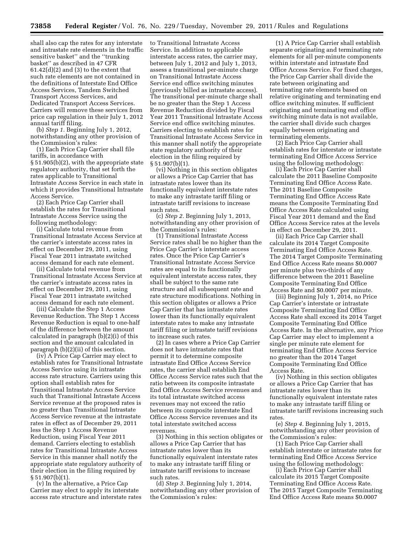shall also cap the rates for any interstate and intrastate rate elements in the traffic sensitive basket'' and the ''trunking basket'' as described in 47 CFR  $61.42(d)(2)$  and  $(3)$  to the extent that such rate elements are not contained in the definitions of Interstate End Office Access Services, Tandem Switched Transport Access Services, and Dedicated Transport Access Services. Carriers will remove these services from price cap regulation in their July 1, 2012 annual tariff filing.

(b) *Step 1.* Beginning July 1, 2012, notwithstanding any other provision of the Commission's rules:

(1) Each Price Cap Carrier shall file tariffs, in accordance with § 51.905(b)(2), with the appropriate state regulatory authority, that set forth the rates applicable to Transitional Intrastate Access Service in each state in which it provides Transitional Intrastate Access Service.

(2) Each Price Cap Carrier shall establish the rates for Transitional Intrastate Access Service using the following methodology:

(i) Calculate total revenue from Transitional Intrastate Access Service at the carrier's interstate access rates in effect on December 29, 2011, using Fiscal Year 2011 intrastate switched access demand for each rate element.

(ii) Calculate total revenue from Transitional Intrastate Access Service at the carrier's intrastate access rates in effect on December 29, 2011, using Fiscal Year 2011 intrastate switched access demand for each rate element.

(iii) Calculate the Step 1 Access Revenue Reduction. The Step 1 Access Revenue Reduction is equal to one-half of the difference between the amount calculated in paragraph (b)(2)(i) of this section and the amount calculated in paragraph (b)(2)(ii) of this section.

(iv) A Price Cap Carrier may elect to establish rates for Transitional Intrastate Access Service using its intrastate access rate structure. Carriers using this option shall establish rates for Transitional Intrastate Access Service such that Transitional Intrastate Access Service revenue at the proposed rates is no greater than Transitional Intrastate Access Service revenue at the intrastate rates in effect as of December 29, 2011 less the Step 1 Access Revenue Reduction, using Fiscal Year 2011 demand. Carriers electing to establish rates for Transitional Intrastate Access Service in this manner shall notify the appropriate state regulatory authority of their election in the filing required by § 51.907(b)(1).

(v) In the alternative, a Price Cap Carrier may elect to apply its interstate access rate structure and interstate rates to Transitional Intrastate Access Service. In addition to applicable interstate access rates, the carrier may, between July 1, 2012 and July 1, 2013, assess a transitional per-minute charge on Transitional Intrastate Access Service end office switching minutes (previously billed as intrastate access). The transitional per-minute charge shall be no greater than the Step 1 Access Revenue Reduction divided by Fiscal Year 2011 Transitional Intrastate Access Service end office switching minutes. Carriers electing to establish rates for Transitional Intrastate Access Service in this manner shall notify the appropriate state regulatory authority of their election in the filing required by § 51.907(b)(1).

(vi) Nothing in this section obligates or allows a Price Cap Carrier that has intrastate rates lower than its functionally equivalent interstate rates to make any intrastate tariff filing or intrastate tariff revisions to increase such rates.

(c) *Step 2.* Beginning July 1, 2013, notwithstanding any other provision of the Commission's rules:

(1) Transitional Intrastate Access Service rates shall be no higher than the Price Cap Carrier's interstate access rates. Once the Price Cap Carrier's Transitional Intrastate Access Service rates are equal to its functionally equivalent interstate access rates, they shall be subject to the same rate structure and all subsequent rate and rate structure modifications. Nothing in this section obligates or allows a Price Cap Carrier that has intrastate rates lower than its functionally equivalent interstate rates to make any intrastate tariff filing or intrastate tariff revisions to increase such rates.

(2) In cases where a Price Cap Carrier does not have intrastate rates that permit it to determine composite intrastate End Office Access Service rates, the carrier shall establish End Office Access Service rates such that the ratio between its composite intrastate End Office Access Service revenues and its total intrastate switched access revenues may not exceed the ratio between its composite interstate End Office Access Service revenues and its total interstate switched access revenues.

(3) Nothing in this section obligates or allows a Price Cap Carrier that has intrastate rates lower than its functionally equivalent interstate rates to make any intrastate tariff filing or intrastate tariff revisions to increase such rates.

(d) *Step 3.* Beginning July 1, 2014, notwithstanding any other provision of the Commission's rules:

(1) A Price Cap Carrier shall establish separate originating and terminating rate elements for all per-minute components within interstate and intrastate End Office Access Service. For fixed charges, the Price Cap Carrier shall divide the rate between originating and terminating rate elements based on relative originating and terminating end office switching minutes. If sufficient originating and terminating end office switching minute data is not available, the carrier shall divide such charges equally between originating and terminating elements.

(2) Each Price Cap Carrier shall establish rates for interstate or intrastate terminating End Office Access Service using the following methodology:

(i) Each Price Cap Carrier shall calculate the 2011 Baseline Composite Terminating End Office Access Rate. The 2011 Baseline Composite Terminating End Office Access Rate means the Composite Terminating End Office Access Rate calculated using Fiscal Year 2011 demand and the End Office Access Service rates at the levels in effect on December 29, 2011.

(ii) Each Price Cap Carrier shall calculate its 2014 Target Composite Terminating End Office Access Rate. The 2014 Target Composite Terminating End Office Access Rate means \$0.0007 per minute plus two-thirds of any difference between the 2011 Baseline Composite Terminating End Office Access Rate and \$0.0007 per minute.

(iii) Beginning July 1, 2014, no Price Cap Carrier's interstate or intrastate Composite Terminating End Office Access Rate shall exceed its 2014 Target Composite Terminating End Office Access Rate. In the alternative, any Price Cap Carrier may elect to implement a single per minute rate element for terminating End Office Access Service no greater than the 2014 Target Composite Terminating End Office Access Rate.

(iv) Nothing in this section obligates or allows a Price Cap Carrier that has intrastate rates lower than its functionally equivalent interstate rates to make any intrastate tariff filing or intrastate tariff revisions increasing such rates.

(e) *Step 4.* Beginning July 1, 2015, notwithstanding any other provision of the Commission's rules:

(1) Each Price Cap Carrier shall establish interstate or intrastate rates for terminating End Office Access Service using the following methodology:

(i) Each Price Cap Carrier shall calculate its 2015 Target Composite Terminating End Office Access Rate. The 2015 Target Composite Terminating End Office Access Rate means \$0.0007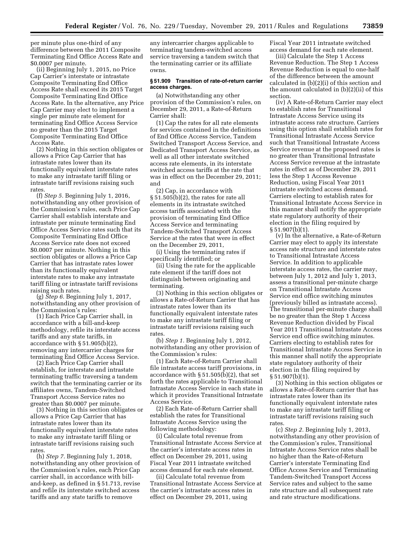per minute plus one-third of any difference between the 2011 Composite Terminating End Office Access Rate and \$0.0007 per minute.

(ii) Beginning July 1, 2015, no Price Cap Carrier's interstate or intrastate Composite Terminating End Office Access Rate shall exceed its 2015 Target Composite Terminating End Office Access Rate. In the alternative, any Price Cap Carrier may elect to implement a single per minute rate element for terminating End Office Access Service no greater than the 2015 Target Composite Terminating End Office Access Rate.

(2) Nothing in this section obligates or allows a Price Cap Carrier that has intrastate rates lower than its functionally equivalent interstate rates to make any intrastate tariff filing or intrastate tariff revisions raising such rates.

(f) *Step 5.* Beginning July 1, 2016, notwithstanding any other provision of the Commission's rules, each Price Cap Carrier shall establish interstate and intrastate per minute terminating End Office Access Service rates such that its Composite Terminating End Office Access Service rate does not exceed \$0.0007 per minute. Nothing in this section obligates or allows a Price Cap Carrier that has intrastate rates lower than its functionally equivalent interstate rates to make any intrastate tariff filing or intrastate tariff revisions raising such rates.

(g) *Step 6.* Beginning July 1, 2017, notwithstanding any other provision of the Commission's rules:

(1) Each Price Cap Carrier shall, in accordance with a bill-and-keep methodology, refile its interstate access tariffs and any state tariffs, in accordance with § 51.905(b)(2), removing any intercarrier charges for terminating End Office Access Service.

(2) Each Price Cap Carrier shall establish, for interstate and intrastate terminating traffic traversing a tandem switch that the terminating carrier or its affiliates owns, Tandem-Switched Transport Access Service rates no greater than \$0.0007 per minute.

(3) Nothing in this section obligates or allows a Price Cap Carrier that has intrastate rates lower than its functionally equivalent interstate rates to make any intrastate tariff filing or intrastate tariff revisions raising such rates.

(h) *Step 7.* Beginning July 1, 2018, notwithstanding any other provision of the Commission's rules, each Price Cap carrier shall, in accordance with billand-keep, as defined in § 51.713, revise and refile its interstate switched access tariffs and any state tariffs to remove

any intercarrier charges applicable to terminating tandem-switched access service traversing a tandem switch that the terminating carrier or its affiliate owns.

## **§ 51.909 Transition of rate-of-return carrier access charges.**

(a) Notwithstanding any other provision of the Commission's rules, on December 29, 2011, a Rate-of-Return Carrier shall:

(1) Cap the rates for all rate elements for services contained in the definitions of End Office Access Service, Tandem Switched Transport Access Service, and Dedicated Transport Access Service, as well as all other interstate switched access rate elements, in its interstate switched access tariffs at the rate that was in effect on the December 29, 2011; and

(2) Cap, in accordance with § 51.505(b)(2), the rates for rate all elements in its intrastate switched access tariffs associated with the provision of terminating End Office Access Service and terminating Tandem-Switched Transport Access Service at the rates that were in effect on the December 29, 2011,

(i) Using the terminating rates if specifically identified; or

(ii) Using the rate for the applicable rate element if the tariff does not distinguish between originating and terminating.

(3) Nothing in this section obligates or allows a Rate-of-Return Carrier that has intrastate rates lower than its functionally equivalent interstate rates to make any intrastate tariff filing or intrastate tariff revisions raising such rates.

(b) *Step 1.* Beginning July 1, 2012, notwithstanding any other provision of the Commission's rules:

(1) Each Rate-of-Return Carrier shall file intrastate access tariff provisions, in accordance with  $\S 51.505(b)(2)$ , that set forth the rates applicable to Transitional Intrastate Access Service in each state in which it provides Transitional Intrastate Access Service.

(2) Each Rate-of-Return Carrier shall establish the rates for Transitional Intrastate Access Service using the following methodology:

(i) Calculate total revenue from Transitional Intrastate Access Service at the carrier's interstate access rates in effect on December 29, 2011, using Fiscal Year 2011 intrastate switched access demand for each rate element.

(ii) Calculate total revenue from Transitional Intrastate Access Service at the carrier's intrastate access rates in effect on December 29, 2011, using

Fiscal Year 2011 intrastate switched access demand for each rate element.

(iii) Calculate the Step 1 Access Revenue Reduction. The Step 1 Access Revenue Reduction is equal to one-half of the difference between the amount calculated in (b)(2)(i) of this section and the amount calculated in (b)(2)(ii) of this section.

(iv) A Rate-of-Return Carrier may elect to establish rates for Transitional Intrastate Access Service using its intrastate access rate structure. Carriers using this option shall establish rates for Transitional Intrastate Access Service such that Transitional Intrastate Access Service revenue at the proposed rates is no greater than Transitional Intrastate Access Service revenue at the intrastate rates in effect as of December 29, 2011 less the Step 1 Access Revenue Reduction, using Fiscal Year 2011 intrastate switched access demand. Carriers electing to establish rates for Transitional Intrastate Access Service in this manner shall notify the appropriate state regulatory authority of their election in the filing required by § 51.907(b)(1).

(v) In the alternative, a Rate-of-Return Carrier may elect to apply its interstate access rate structure and interstate rates to Transitional Intrastate Access Service. In addition to applicable interstate access rates, the carrier may, between July 1, 2012 and July 1, 2013, assess a transitional per-minute charge on Transitional Intrastate Access Service end office switching minutes (previously billed as intrastate access). The transitional per-minute charge shall be no greater than the Step 1 Access Revenue Reduction divided by Fiscal Year 2011 Transitional Intrastate Access Service end office switching minutes. Carriers electing to establish rates for Transitional Intrastate Access Service in this manner shall notify the appropriate state regulatory authority of their election in the filing required by § 51.907(b)(1).

(3) Nothing in this section obligates or allows a Rate-of-Return carrier that has intrastate rates lower than its functionally equivalent interstate rates to make any intrastate tariff filing or intrastate tariff revisions raising such rates

(c) *Step 2.* Beginning July 1, 2013, notwithstanding any other provision of the Commission's rules, Transitional Intrastate Access Service rates shall be no higher than the Rate-of-Return Carrier's interstate Terminating End Office Access Service and Terminating Tandem-Switched Transport Access Service rates and subject to the same rate structure and all subsequent rate and rate structure modifications.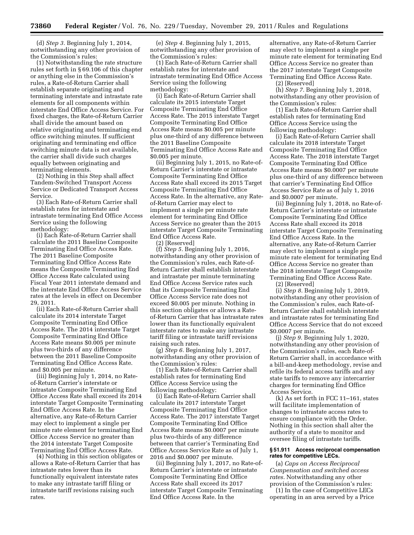(d) *Step 3.* Beginning July 1, 2014, notwithstanding any other provision of the Commission's rules:

(1) Notwithstanding the rate structure rules set forth in § 69.106 of this chapter or anything else in the Commission's rules, a Rate-of-Return Carrier shall establish separate originating and terminating interstate and intrastate rate elements for all components within interstate End Office Access Service. For fixed charges, the Rate-of-Return Carrier shall divide the amount based on relative originating and terminating end office switching minutes. If sufficient originating and terminating end office switching minute data is not available, the carrier shall divide such charges equally between originating and terminating elements.

(2) Nothing in this Step shall affect Tandem-Switched Transport Access Service or Dedicated Transport Access Service.

(3) Each Rate-of-Return Carrier shall establish rates for interstate and intrastate terminating End Office Access Service using the following methodology:

(i) Each Rate-of-Return Carrier shall calculate the 2011 Baseline Composite Terminating End Office Access Rate. The 2011 Baseline Composite Terminating End Office Access Rate means the Composite Terminating End Office Access Rate calculated using Fiscal Year 2011 interstate demand and the interstate End Office Access Service rates at the levels in effect on December 29, 2011.

(ii) Each Rate-of-Return Carrier shall calculate its 2014 interstate Target Composite Terminating End Office Access Rate. The 2014 interstate Target Composite Terminating End Office Access Rate means \$0.005 per minute plus two-thirds of any difference between the 2011 Baseline Composite Terminating End Office Access Rate. and \$0.005 per minute.

(iii) Beginning July 1, 2014, no Rateof-Return Carrier's interstate or intrastate Composite Terminating End Office Access Rate shall exceed its 2014 interstate Target Composite Terminating End Office Access Rate. In the alternative, any Rate-of-Return Carrier may elect to implement a single per minute rate element for terminating End Office Access Service no greater than the 2014 interstate Target Composite Terminating End Office Access Rate.

(4) Nothing in this section obligates or allows a Rate-of-Return Carrier that has intrastate rates lower than its functionally equivalent interstate rates to make any intrastate tariff filing or intrastate tariff revisions raising such rates.

(e) *Step 4.* Beginning July 1, 2015, notwithstanding any other provision of the Commission's rules:

(1) Each Rate-of-Return Carrier shall establish rates for interstate and intrastate terminating End Office Access Service using the following methodology:

(i) Each Rate-of-Return Carrier shall calculate its 2015 interstate Target Composite Terminating End Office Access Rate. The 2015 interstate Target Composite Terminating End Office Access Rate means \$0.005 per minute plus one-third of any difference between the 2011 Baseline Composite Terminating End Office Access Rate and \$0.005 per minute.

(ii) Beginning July 1, 2015, no Rate-of-Return Carrier's interstate or intrastate Composite Terminating End Office Access Rate shall exceed its 2015 Target Composite Terminating End Office Access Rate. In the alternative, any Rateof-Return Carrier may elect to implement a single per minute rate element for terminating End Office Access Service no greater than the 2015 interstate Target Composite Terminating End Office Access Rate.

(2) [Reserved]

(f) *Step 5.* Beginning July 1, 2016, notwithstanding any other provision of the Commission's rules, each Rate-of-Return Carrier shall establish interstate and intrastate per minute terminating End Office Access Service rates such that its Composite Terminating End Office Access Service rate does not exceed \$0.005 per minute. Nothing in this section obligates or allows a Rateof-Return Carrier that has intrastate rates lower than its functionally equivalent interstate rates to make any intrastate tariff filing or intrastate tariff revisions raising such rates.

(g) *Step 6.* Beginning July 1, 2017, notwithstanding any other provision of the Commission's rules:

(1) Each Rate-of-Return Carrier shall establish rates for terminating End Office Access Service using the following methodology:

(i) Each Rate-of-Return Carrier shall calculate its 2017 interstate Target Composite Terminating End Office Access Rate. The 2017 interstate Target Composite Terminating End Office Access Rate means \$0.0007 per minute plus two-thirds of any difference between that carrier's Terminating End Office Access Service Rate as of July 1, 2016 and \$0.0007 per minute.

(ii) Beginning July 1, 2017, no Rate-of-Return Carrier's interstate or intrastate Composite Terminating End Office Access Rate shall exceed its 2017 interstate Target Composite Terminating End Office Access Rate. In the

alternative, any Rate-of-Return Carrier may elect to implement a single per minute rate element for terminating End Office Access Service no greater than the 2017 interstate Target Composite Terminating End Office Access Rate. (2) [Reserved]

(h) *Step 7.* Beginning July 1, 2018, notwithstanding any other provision of the Commission's rules:

(1) Each Rate-of-Return Carrier shall establish rates for terminating End Office Access Service using the following methodology:

(i) Each Rate-of-Return Carrier shall calculate its 2018 interstate Target Composite Terminating End Office Access Rate. The 2018 interstate Target Composite Terminating End Office Access Rate means \$0.0007 per minute plus one-third of any difference between that carrier's Terminating End Office Access Service Rate as of July 1, 2016 and \$0.0007 per minute.

(ii) Beginning July 1, 2018, no Rate-of-Return Carrier's interstate or intrastate Composite Terminating End Office Access Rate shall exceed its 2018 interstate Target Composite Terminating End Office Access Rate. In the alternative, any Rate-of-Return Carrier may elect to implement a single per minute rate element for terminating End Office Access Service no greater than the 2018 interstate Target Composite Terminating End Office Access Rate.

(2) [Reserved]

(i) *Step 8.* Beginning July 1, 2019, notwithstanding any other provision of the Commission's rules, each Rate-of-Return Carrier shall establish interstate and intrastate rates for terminating End Office Access Service that do not exceed \$0.0007 per minute.

(j) *Step 9.* Beginning July 1, 2020, notwithstanding any other provision of the Commission's rules, each Rate-of-Return Carrier shall, in accordance with a bill-and-keep methodology, revise and refile its federal access tariffs and any state tariffs to remove any intercarrier charges for terminating End Office Access Service.

(k) As set forth in FCC 11–161, states will facilitate implementation of changes to intrastate access rates to ensure compliance with the Order. Nothing in this section shall alter the authority of a state to monitor and oversee filing of intrastate tariffs.

#### **§ 51.911 Access reciprocal compensation rates for competitive LECs.**

(a) *Caps on Access Reciprocal Compensation and switched access rates.* Notwithstanding any other provision of the Commission's rules:

(1) In the case of Competitive LECs operating in an area served by a Price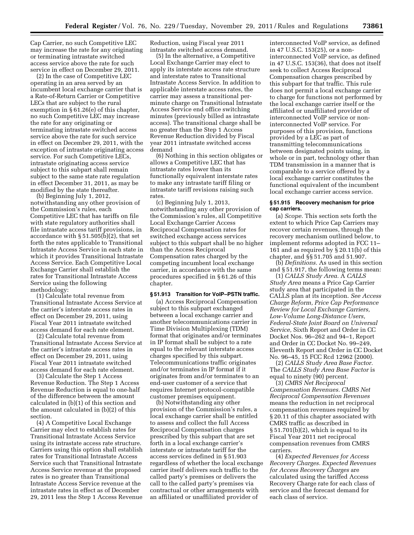Cap Carrier, no such Competitive LEC may increase the rate for any originating or terminating intrastate switched access service above the rate for such service in effect on December 29, 2011.

(2) In the case of Competitive LEC operating in an area served by an incumbent local exchange carrier that is a Rate-of-Return Carrier or Competitive LECs that are subject to the rural exemption in § 61.26(e) of this chapter, no such Competitive LEC may increase the rate for any originating or terminating intrastate switched access service above the rate for such service in effect on December 29, 2011, with the exception of intrastate originating access service. For such Competitive LECs, intrastate originating access service subject to this subpart shall remain subject to the same state rate regulation in effect December 31, 2011, as may be modified by the state thereafter.

(b) Beginning July 1, 2012, notwithstanding any other provision of the Commission's rules, each Competitive LEC that has tariffs on file with state regulatory authorities shall file intrastate access tariff provisions, in accordance with § 51.505(b)(2), that set forth the rates applicable to Transitional Intrastate Access Service in each state in which it provides Transitional Intrastate Access Service. Each Competitive Local Exchange Carrier shall establish the rates for Transitional Intrastate Access Service using the following methodology:

(1) Calculate total revenue from Transitional Intrastate Access Service at the carrier's interstate access rates in effect on December 29, 2011, using Fiscal Year 2011 intrastate switched access demand for each rate element.

(2) Calculate total revenue from Transitional Intrastate Access Service at the carrier's intrastate access rates in effect on December 29, 2011, using Fiscal Year 2011 intrastate switched access demand for each rate element.

(3) Calculate the Step 1 Access Revenue Reduction. The Step 1 Access Revenue Reduction is equal to one-half of the difference between the amount calculated in (b)(1) of this section and the amount calculated in (b)(2) of this section.

(4) A Competitive Local Exchange Carrier may elect to establish rates for Transitional Intrastate Access Service using its intrastate access rate structure. Carriers using this option shall establish rates for Transitional Intrastate Access Service such that Transitional Intrastate Access Service revenue at the proposed rates is no greater than Transitional Intrastate Access Service revenue at the intrastate rates in effect as of December 29, 2011 less the Step 1 Access Revenue

Reduction, using Fiscal year 2011 intrastate switched access demand.

(5) In the alternative, a Competitive Local Exchange Carrier may elect to apply its interstate access rate structure and interstate rates to Transitional Intrastate Access Service. In addition to applicable interstate access rates, the carrier may assess a transitional perminute charge on Transitional Intrastate Access Service end office switching minutes (previously billed as intrastate access). The transitional charge shall be no greater than the Step 1 Access Revenue Reduction divided by Fiscal year 2011 intrastate switched access demand

(6) Nothing in this section obligates or allows a Competitive LEC that has intrastate rates lower than its functionally equivalent interstate rates to make any intrastate tariff filing or intrastate tariff revisions raising such rates.

(c) Beginning July 1, 2013, notwithstanding any other provision of the Commission's rules, all Competitive Local Exchange Carrier Access Reciprocal Compensation rates for switched exchange access services subject to this subpart shall be no higher than the Access Reciprocal Compensation rates charged by the competing incumbent local exchange carrier, in accordance with the same procedures specified in § 61.26 of this chapter.

# **§ 51.913 Transition for VoIP–PSTN traffic.**

(a) Access Reciprocal Compensation subject to this subpart exchanged between a local exchange carrier and another telecommunications carrier in Time Division Multiplexing (TDM) format that originates and/or terminates in IP format shall be subject to a rate equal to the relevant interstate access charges specified by this subpart. Telecommunications traffic originates and/or terminates in IP format if it originates from and/or terminates to an end-user customer of a service that requires Internet protocol-compatible customer premises equipment.

(b) Notwithstanding any other provision of the Commission's rules, a local exchange carrier shall be entitled to assess and collect the full Access Reciprocal Compensation charges prescribed by this subpart that are set forth in a local exchange carrier's interstate or intrastate tariff for the access services defined in § 51.903 regardless of whether the local exchange carrier itself delivers such traffic to the called party's premises or delivers the call to the called party's premises via contractual or other arrangements with an affiliated or unaffiliated provider of

interconnected VoIP service, as defined in 47 U.S.C. 153(25), or a noninterconnected VoIP service, as defined in 47 U.S.C. 153(36), that does not itself seek to collect Access Reciprocal Compensation charges prescribed by this subpart for that traffic. This rule does not permit a local exchange carrier to charge for functions not performed by the local exchange carrier itself or the affiliated or unaffiliated provider of interconnected VoIP service or noninterconnected VoIP service. For purposes of this provision, functions provided by a LEC as part of transmitting telecommunications between designated points using, in whole or in part, technology other than TDM transmission in a manner that is comparable to a service offered by a local exchange carrier constitutes the functional equivalent of the incumbent local exchange carrier access service.

#### **§ 51.915 Recovery mechanism for price cap carriers.**

(a) *Scope.* This section sets forth the extent to which Price Cap Carriers may recover certain revenues, through the recovery mechanism outlined below, to implement reforms adopted in FCC 11– 161 and as required by § 20.11(b) of this chapter, and §§ 51.705 and 51.907.

(b) *Definitions.* As used in this section and § 51.917, the following terms mean:

(1) *CALLS Study Area.* A *CALLS Study Area* means a Price Cap Carrier study area that participated in the CALLS plan at its inception. *See Access Charge Reform, Price Cap Performance Review for Local Exchange Carriers, Low-Volume Long-Distance Users, Federal-State Joint Board on Universal Service,* Sixth Report and Order in CC Docket Nos. 96–262 and 94–1, Report and Order in CC Docket No. 99–249, Eleventh Report and Order in CC Docket No. 96–45, 15 FCC Rcd 12962 (2000).

(2) *CALLS Study Area Base Factor.*  The *CALLS Study Area Base Factor* is equal to ninety (90) percent.

(3) *CMRS Net Reciprocal Compensation Revenues. CMRS Net Reciprocal Compensation Revenues*  means the reduction in net reciprocal compensation revenues required by § 20.11 of this chapter associated with CMRS traffic as described in  $§ 51.701(b)(2)$ , which is equal to its Fiscal Year 2011 net reciprocal compensation revenues from CMRS carriers.

(4) *Expected Revenues for Access Recovery Charges. Expected Revenues for Access Recovery Charges* are calculated using the tariffed Access Recovery Charge rate for each class of service and the forecast demand for each class of service.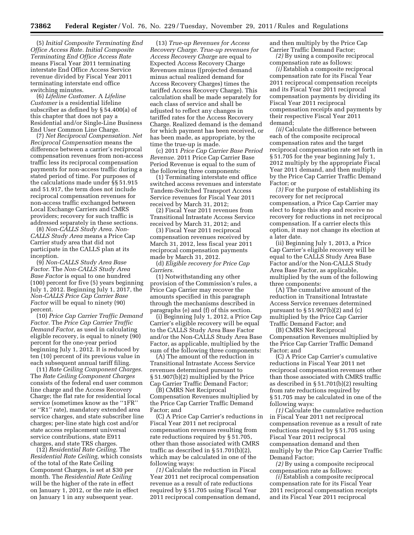(5) *Initial Composite Terminating End Office Access Rate. Initial Composite Terminating End Office Access Rate*  means Fiscal Year 2011 terminating interstate End Office Access Service revenue divided by Fiscal Year 2011 terminating interstate end office switching minutes.

(6) *Lifeline Customer.* A *Lifeline Customer* is a residential lifeline subscriber as defined by § 54.400(a) of this chapter that does not pay a Residential and/or Single-Line Business End User Common Line Charge.

(7) *Net Reciprocal Compensation. Net Reciprocal Compensation* means the difference between a carrier's reciprocal compensation revenues from non-access traffic less its reciprocal compensation payments for non-access traffic during a stated period of time. For purposes of the calculations made under §§ 51.915 and 51.917, the term does not include reciprocal compensation revenues for non-access traffic exchanged between Local Exchange Carriers and CMRS providers; recovery for such traffic is addressed separately in these sections.

(8) *Non-CALLS Study Area. Non-CALLS Study Area* means a Price Cap Carrier study area that did not participate in the CALLS plan at its inception.

(9) *Non-CALLS Study Area Base Factor.* The *Non-CALLS Study Area Base Factor* is equal to one hundred (100) percent for five (5) years beginning July 1, 2012. Beginning July 1, 2017, the *Non-CALLS Price Cap Carrier Base Factor* will be equal to ninety (90) percent.

(10) *Price Cap Carrier Traffic Demand Factor.* The *Price Cap Carrier Traffic Demand Factor,* as used in calculating eligible recovery, is equal to ninety (90) percent for the one-year period beginning July 1, 2012. It is reduced by ten (10) percent of its previous value in each subsequent annual tariff filing.

(11) *Rate Ceiling Component Charges.*  The *Rate Ceiling Component Charges*  consists of the federal end user common line charge and the Access Recovery Charge; the flat rate for residential local service (sometimes know as the ''1FR'' or ''R1'' rate), mandatory extended area service charges, and state subscriber line charges; per-line state high cost and/or state access replacement universal service contributions, state E911 charges, and state TRS charges.

(12) *Residential Rate Ceiling.* The *Residential Rate Ceiling,* which consists of the total of the Rate Ceiling Component Charges, is set at \$30 per month. The *Residential Rate Ceiling*  will be the higher of the rate in effect on January 1, 2012, or the rate in effect on January 1 in any subsequent year.

(13) *True-up Revenues for Access Recovery Charge. True-up revenues for Access Recovery Charge* are equal to Expected Access Recovery Charge Revenues minus ((projected demand minus actual realized demand for Access Recovery Charges) times the tariffed Access Recovery Charge). This calculation shall be made separately for each class of service and shall be adjusted to reflect any changes in tariffed rates for the Access Recovery Charge. Realized demand is the demand for which payment has been received, or has been made, as appropriate, by the time the true-up is made.

(c) 2011 *Price Cap Carrier Base Period Revenue.* 2011 Price Cap Carrier Base Period Revenue is equal to the sum of the following three components:

(1) Terminating interstate end office switched access revenues and interstate Tandem-Switched Transport Access Service revenues for Fiscal Year 2011 received by March 31, 2012;

(2) Fiscal Year 2011 revenues from Transitional Intrastate Access Service received by March 31, 2012; and

(3) Fiscal Year 2011 reciprocal compensation revenues received by March 31, 2012, less fiscal year 2011 reciprocal compensation payments made by March 31, 2012.

(d) *Eligible recovery for Price Cap Carriers.* 

(1) Notwithstanding any other provision of the Commission's rules, a Price Cap Carrier may recover the amounts specified in this paragraph through the mechanisms described in paragraphs (e) and (f) of this section.

(i) Beginning July 1, 2012, a Price Cap Carrier's eligible recovery will be equal to the CALLS Study Area Base Factor and/or the Non-CALLS Study Area Base Factor, as applicable, multiplied by the sum of the following three components:

(A) The amount of the reduction in Transitional Intrastate Access Service revenues determined pursuant to § 51.907(b)(2) multiplied by the Price Cap Carrier Traffic Demand Factor;

(B) CMRS Net Reciprocal Compensation Revenues multiplied by the Price Cap Carrier Traffic Demand Factor; and

(C) A Price Cap Carrier's reductions in Fiscal Year 2011 net reciprocal compensation revenues resulting from rate reductions required by § 51.705, other than those associated with CMRS traffic as described in § 51.701(b)(2), which may be calculated in one of the following ways:

*(1)* Calculate the reduction in Fiscal Year 2011 net reciprocal compensation revenue as a result of rate reductions required by § 51.705 using Fiscal Year 2011 reciprocal compensation demand, and then multiply by the Price Cap Carrier Traffic Demand Factor;

*(2)* By using a composite reciprocal compensation rate as follows:

*(i)* Establish a composite reciprocal compensation rate for its Fiscal Year 2011 reciprocal compensation receipts and its Fiscal Year 2011 reciprocal compensation payments by dividing its Fiscal Year 2011 reciprocal compensation receipts and payments by their respective Fiscal Year 2011 demand;

*(ii)* Calculate the difference between each of the composite reciprocal compensation rates and the target reciprocal compensation rate set forth in § 51.705 for the year beginning July 1, 2012 multiply by the appropriate Fiscal Year 2011 demand, and then multiply by the Price Cap Carrier Traffic Demand Factor; or

*(3)* For the purpose of establishing its recovery for net reciprocal compensation, a Price Cap Carrier may elect to forgo this step and receive no recovery for reductions in net reciprocal compensation. If a carrier elects this option, it may not change its election at a later date.

(ii) Beginning July 1, 2013, a Price Cap Carrier's eligible recovery will be equal to the CALLS Study Area Base Factor and/or the Non-CALLS Study Area Base Factor, as applicable, multiplied by the sum of the following three components:

(A) The cumulative amount of the reduction in Transitional Intrastate Access Service revenues determined pursuant to  $\S 51.907(b)(2)$  and (c) multiplied by the Price Cap Carrier Traffic Demand Factor; and

(B) CMRS Net Reciprocal Compensation Revenues multiplied by the Price Cap Carrier Traffic Demand Factor; and

(C) A Price Cap Carrier's cumulative reductions in Fiscal Year 2011 net reciprocal compensation revenues other than those associated with CMRS traffic as described in § 51.701(b)(2) resulting from rate reductions required by § 51.705 may be calculated in one of the following ways:

*(1)* Calculate the cumulative reduction in Fiscal Year 2011 net reciprocal compensation revenue as a result of rate reductions required by § 51.705 using Fiscal Year 2011 reciprocal compensation demand and then multiply by the Price Cap Carrier Traffic Demand Factor;

*(2)* By using a composite reciprocal compensation rate as follows:

*(i)* Establish a composite reciprocal compensation rate for its Fiscal Year 2011 reciprocal compensation receipts and its Fiscal Year 2011 reciprocal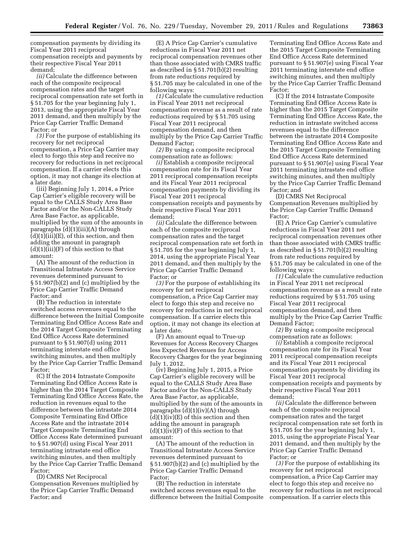compensation payments by dividing its Fiscal Year 2011 reciprocal compensation receipts and payments by their respective Fiscal Year 2011 demand;

*(ii)* Calculate the difference between each of the composite reciprocal compensation rates and the target reciprocal compensation rate set forth in § 51.705 for the year beginning July 1, 2013, using the appropriate Fiscal Year 2011 demand, and then multiply by the Price Cap Carrier Traffic Demand Factor; or

*(3)* For the purpose of establishing its recovery for net reciprocal compensation, a Price Cap Carrier may elect to forgo this step and receive no recovery for reductions in net reciprocal compensation. If a carrier elects this option, it may not change its election at a later date.

(iii) Beginning July 1, 2014, a Price Cap Carrier's eligible recovery will be equal to the CALLS Study Area Base Factor and/or the Non-CALLS Study Area Base Factor, as applicable, multiplied by the sum of the amounts in paragraphs (d)(1)(iii)(A) through (d)(1)(iii)(E), of this section, and then adding the amount in paragraph  $(d)(1)(iii)(F)$  of this section to that amount:

(A) The amount of the reduction in Transitional Intrastate Access Service revenues determined pursuant to § 51.907(b)(2) and (c) multiplied by the Price Cap Carrier Traffic Demand Factor; and

(B) The reduction in interstate switched access revenues equal to the difference between the Initial Composite Terminating End Office Access Rate and the 2014 Target Composite Terminating End Office Access Rate determined pursuant to § 51.907(d) using 2011 terminating interstate end office switching minutes, and then multiply by the Price Cap Carrier Traffic Demand Factor;

(C) If the 2014 Intrastate Composite Terminating End Office Access Rate is higher than the 2014 Target Composite Terminating End Office Access Rate, the reduction in revenues equal to the difference between the intrastate 2014 Composite Terminating End Office Access Rate and the intrastate 2014 Target Composite Terminating End Office Access Rate determined pursuant to § 51.907(d) using Fiscal Year 2011 terminating intrastate end office switching minutes, and then multiply by the Price Cap Carrier Traffic Demand Factor;

(D) CMRS Net Reciprocal Compensation Revenues multiplied by the Price Cap Carrier Traffic Demand Factor; and

(E) A Price Cap Carrier's cumulative reductions in Fiscal Year 2011 net reciprocal compensation revenues other than those associated with CMRS traffic as described in § 51.701(b)(2) resulting from rate reductions required by § 51.705 may be calculated in one of the following ways:

*(1)* Calculate the cumulative reduction in Fiscal Year 2011 net reciprocal compensation revenue as a result of rate reductions required by § 51.705 using Fiscal Year 2011 reciprocal compensation demand, and then multiply by the Price Cap Carrier Traffic Demand Factor;

*(2)* By using a composite reciprocal compensation rate as follows:

*(i)* Establish a composite reciprocal compensation rate for its Fiscal Year 2011 reciprocal compensation receipts and its Fiscal Year 2011 reciprocal compensation payments by dividing its Fiscal Year 2011 reciprocal compensation receipts and payments by their respective Fiscal Year 2011 demand;

*(ii)* Calculate the difference between each of the composite reciprocal compensation rates and the target reciprocal compensation rate set forth in § 51.705 for the year beginning July 1, 2014, using the appropriate Fiscal Year 2011 demand, and then multiply by the Price Cap Carrier Traffic Demand Factor; or

*(3)* For the purpose of establishing its recovery for net reciprocal compensation, a Price Cap Carrier may elect to forgo this step and receive no recovery for reductions in net reciprocal compensation. If a carrier elects this option, it may not change its election at a later date.

(F) An amount equal to True-up Revenues for Access Recovery Charges less Expected Revenues for Access Recovery Charges for the year beginning July 1, 2012.

(iv) Beginning July 1, 2015, a Price Cap Carrier's eligible recovery will be equal to the CALLS Study Area Base Factor and/or the Non-CALLS Study Area Base Factor, as applicable, multiplied by the sum of the amounts in paragraphs  $(d)(1)(iv)(A)$  through  $(d)(1)(iv)(E)$  of this section and then adding the amount in paragraph  $(d)(1)(iv)(F)$  of this section to that amount:

(A) The amount of the reduction in Transitional Intrastate Access Service revenues determined pursuant to § 51.907(b)(2) and (c) multiplied by the Price Cap Carrier Traffic Demand Factor;

(B) The reduction in interstate switched access revenues equal to the difference between the Initial Composite

Terminating End Office Access Rate and the 2015 Target Composite Terminating End Office Access Rate determined pursuant to § 51.907(e) using Fiscal Year 2011 terminating interstate end office switching minutes, and then multiply by the Price Cap Carrier Traffic Demand Factor;

(C) If the 2014 Intrastate Composite Terminating End Office Access Rate is higher than the 2015 Target Composite Terminating End Office Access Rate, the reduction in intrastate switched access revenues equal to the difference between the intrastate 2014 Composite Terminating End Office Access Rate and the 2015 Target Composite Terminating End Office Access Rate determined pursuant to § 51.907(e) using Fiscal Year 2011 terminating intrastate end office switching minutes, and then multiply by the Price Cap Carrier Traffic Demand Factor; and

(D) CMRS Net Reciprocal Compensation Revenues multiplied by the Price Cap Carrier Traffic Demand Factor;

(E) A Price Cap Carrier's cumulative reductions in Fiscal Year 2011 net reciprocal compensation revenues other than those associated with CMRS traffic as described in § 51.701(b)(2) resulting from rate reductions required by § 51.705 may be calculated in one of the following ways:

*(1)* Calculate the cumulative reduction in Fiscal Year 2011 net reciprocal compensation revenue as a result of rate reductions required by § 51.705 using Fiscal Year 2011 reciprocal compensation demand, and then multiply by the Price Cap Carrier Traffic Demand Factor;

*(2)* By using a composite reciprocal compensation rate as follows:

*(i)* Establish a composite reciprocal compensation rate for its Fiscal Year 2011 reciprocal compensation receipts and its Fiscal Year 2011 reciprocal compensation payments by dividing its Fiscal Year 2011 reciprocal compensation receipts and payments by their respective Fiscal Year 2011 demand;

*(ii)* Calculate the difference between each of the composite reciprocal compensation rates and the target reciprocal compensation rate set forth in § 51.705 for the year beginning July 1, 2015, using the appropriate Fiscal Year 2011 demand, and then multiply by the Price Cap Carrier Traffic Demand Factor; or

*(3)* For the purpose of establishing its recovery for net reciprocal compensation, a Price Cap Carrier may elect to forgo this step and receive no recovery for reductions in net reciprocal compensation. If a carrier elects this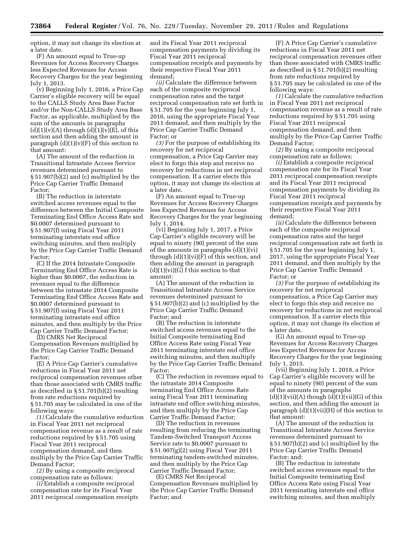option, it may not change its election at a later date.

(F) An amount equal to True-up Revenues for Access Recovery Charges less Expected Revenues for Access Recovery Charges for the year beginning July 1, 2013.

(v) Beginning July 1, 2016, a Price Cap Carrier's eligible recovery will be equal to the CALLS Study Area Base Factor and/or the Non-CALLS Study Area Base Factor, as applicable, multiplied by the sum of the amounts in paragraphs  $(d)(1)(v)(A)$  through  $(d)(1)(v)(E)$ , of this section and then adding the amount in paragraph  $(d)(1)(v)(F)$  of this section to that amount:

(A) The amount of the reduction in Transitional Intrastate Access Service revenues determined pursuant to § 51.907(b)(2) and (c) multiplied by the Price Cap Carrier Traffic Demand Factor;

(B) The reduction in interstate switched access revenues equal to the difference between the Initial Composite Terminating End Office Access Rate and \$0.0007 determined pursuant to § 51.907(f) using Fiscal Year 2011 terminating interstate end office switching minutes, and then multiply by the Price Cap Carrier Traffic Demand Factor;

(C) If the 2014 Intrastate Composite Terminating End Office Access Rate is higher than \$0.0007, the reduction in revenues equal to the difference between the intrastate 2014 Composite Terminating End Office Access Rate and \$0.0007 determined pursuant to § 51.907(f) using Fiscal Year 2011 terminating intrastate end office minutes, and then multiply by the Price Cap Carrier Traffic Demand Factor;

(D) CMRS Net Reciprocal Compensation Revenues multiplied by the Price Cap Carrier Traffic Demand Factor;

(E) A Price Cap Carrier's cumulative reductions in Fiscal Year 2011 net reciprocal compensation revenues other than those associated with CMRS traffic as described in § 51.701(b)(2) resulting from rate reductions required by § 51.705 may be calculated in one of the following ways:

*(1)* Calculate the cumulative reduction in Fiscal Year 2011 net reciprocal compensation revenue as a result of rate reductions required by § 51.705 using Fiscal Year 2011 reciprocal compensation demand, and then multiply by the Price Cap Carrier Traffic Demand Factor;

*(2)* By using a composite reciprocal compensation rate as follows:

*(i)* Establish a composite reciprocal compensation rate for its Fiscal Year 2011 reciprocal compensation receipts and its Fiscal Year 2011 reciprocal compensation payments by dividing its Fiscal Year 2011 reciprocal compensation receipts and payments by their respective Fiscal Year 2011 demand;

*(ii)* Calculate the difference between each of the composite reciprocal compensation rates and the target reciprocal compensation rate set forth in § 51.705 for the year beginning July 1, 2016, using the appropriate Fiscal Year 2011 demand, and then multiply by the Price Cap Carrier Traffic Demand Factor; or

*(3)* For the purpose of establishing its recovery for net reciprocal compensation, a Price Cap Carrier may elect to forgo this step and receive no recovery for reductions in net reciprocal compensation. If a carrier elects this option, it may not change its election at a later date.

(F) An amount equal to True-up Revenues for Access Recovery Charges less Expected Revenues for Access Recovery Charges for the year beginning July 1, 2014.

(vi) Beginning July 1, 2017, a Price Cap Carrier's eligible recovery will be equal to ninety (90) percent of the sum of the amounts in paragraphs (d)(1)(vi) through  $(d)(1)(vi)(F)$  of this section, and then adding the amount in paragraph  $(d)(1)(vi)(G)$  f this section to that amount:

(A) The amount of the reduction in Transitional Intrastate Access Service revenues determined pursuant to § 51.907(b)(2) and (c) multiplied by the Price Cap Carrier Traffic Demand Factor; and

(B) The reduction in interstate switched access revenues equal to the Initial Composite terminating End Office Access Rate using Fiscal Year 2011 terminating interstate end office switching minutes, and then multiply by the Price Cap Carrier Traffic Demand Factor;

(C) The reduction in revenues equal to the intrastate 2014 Composite terminating End Office Access Rate using Fiscal Year 2011 terminating intrastate end office switching minutes, and then multiply by the Price Cap Carrier Traffic Demand Factor;

(D) The reduction in revenues resulting from reducing the terminating Tandem-Switched Transport Access Service rate to \$0.0007 pursuant to § 51.907(g)(2) using Fiscal Year 2011 terminating tandem-switched minutes, and then multiply by the Price Cap Carrier Traffic Demand Factor;

(E) CMRS Net Reciprocal Compensation Revenues multiplied by the Price Cap Carrier Traffic Demand Factor; and

(F) A Price Cap Carrier's cumulative reductions in Fiscal Year 2011 net reciprocal compensation revenues other than those associated with CMRS traffic as described in § 51.701(b)(2) resulting from rate reductions required by § 51.705 may be calculated in one of the following ways:

*(1)* Calculate the cumulative reduction in Fiscal Year 2011 net reciprocal compensation revenue as a result of rate reductions required by § 51.705 using Fiscal Year 2011 reciprocal compensation demand, and then multiply by the Price Cap Carrier Traffic Demand Factor;

*(2)* By using a composite reciprocal compensation rate as follows:

*(i)* Establish a composite reciprocal compensation rate for its Fiscal Year 2011 reciprocal compensation receipts and its Fiscal Year 2011 reciprocal compensation payments by dividing its Fiscal Year 2011 reciprocal compensation receipts and payments by their respective Fiscal Year 2011 demand;

*(ii)* Calculate the difference between each of the composite reciprocal compensation rates and the target reciprocal compensation rate set forth in § 51.705 for the year beginning July 1, 2017, using the appropriate Fiscal Year 2011 demand, and then multiply by the Price Cap Carrier Traffic Demand Factor; or

*(3)* For the purpose of establishing its recovery for net reciprocal compensation, a Price Cap Carrier may elect to forgo this step and receive no recovery for reductions in net reciprocal compensation. If a carrier elects this option, it may not change its election at a later date.

(G) An amount equal to True-up Revenues for Access Recovery Charges less Expected Revenues for Access Recovery Charges for the year beginning July 1, 2015.

(vii) Beginning July 1, 2018, a Price Cap Carrier's eligible recovery will be equal to ninety (90) percent of the sum of the amounts in paragraphs  $(d)(1)(vii)(A)$  though  $(d)(1)(vi)(G)$  of this section, and then adding the amount in paragraph  $(d)(1)(vii)(H)$  of this section to that amount:

(A) The amount of the reduction in Transitional Intrastate Access Service revenues determined pursuant to § 51.907(b)(2) and (c) multiplied by the Price Cap Carrier Traffic Demand Factor; and:

(B) The reduction in interstate switched access revenues equal to the Initial Composite terminating End Office Access Rate using Fiscal Year 2011 terminating interstate end office switching minutes, and then multiply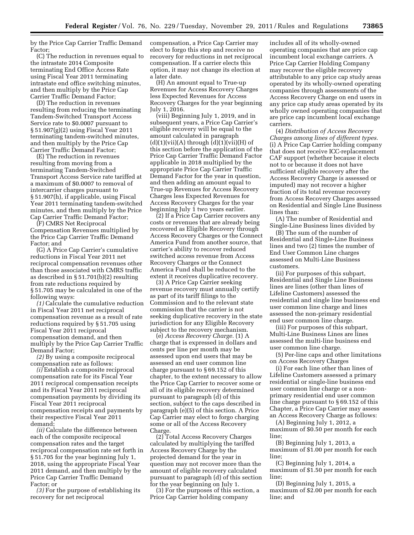by the Price Cap Carrier Traffic Demand Factor;

(C) The reduction in revenues equal to the intrastate 2014 Composite terminating End Office Access Rate using Fiscal Year 2011 terminating intrastate end office switching minutes, and then multiply by the Price Cap Carrier Traffic Demand Factor;

(D) The reduction in revenues resulting from reducing the terminating Tandem-Switched Transport Access Service rate to \$0.0007 pursuant to § 51.907(g)(2) using Fiscal Year 2011 terminating tandem-switched minutes, and then multiply by the Price Cap Carrier Traffic Demand Factor;

(E) The reduction in revenues resulting from moving from a terminating Tandem-Switched Transport Access Service rate tariffed at a maximum of \$0.0007 to removal of intercarrier charges pursuant to § 51.907(h), if applicable, using Fiscal Year 2011 terminating tandem-switched minutes, and then multiply by the Price Cap Carrier Traffic Demand Factor;

(F) CMRS Net Reciprocal Compensation Revenues multiplied by the Price Cap Carrier Traffic Demand Factor; and

(G) A Price Cap Carrier's cumulative reductions in Fiscal Year 2011 net reciprocal compensation revenues other than those associated with CMRS traffic as described in § 51.701(b)(2) resulting from rate reductions required by § 51.705 may be calculated in one of the following ways:

*(1)* Calculate the cumulative reduction in Fiscal Year 2011 net reciprocal compensation revenue as a result of rate reductions required by § 51.705 using Fiscal Year 2011 reciprocal compensation demand, and then multiply by the Price Cap Carrier Traffic Demand Factor;

*(2)* By using a composite reciprocal compensation rate as follows:

*(i)* Establish a composite reciprocal compensation rate for its Fiscal Year 2011 reciprocal compensation receipts and its Fiscal Year 2011 reciprocal compensation payments by dividing its Fiscal Year 2011 reciprocal compensation receipts and payments by their respective Fiscal Year 2011 demand;

*(ii)* Calculate the difference between each of the composite reciprocal compensation rates and the target reciprocal compensation rate set forth in § 51.705 for the year beginning July 1, 2018, using the appropriate Fiscal Year 2011 demand, and then multiply by the Price Cap Carrier Traffic Demand Factor; or

*(3)* For the purpose of establishing its recovery for net reciprocal

compensation, a Price Cap Carrier may elect to forgo this step and receive no recovery for reductions in net reciprocal compensation. If a carrier elects this option, it may not change its election at a later date.

(H) An amount equal to True-up Revenues for Access Recovery Charges less Expected Revenues for Access Recovery Charges for the year beginning July 1, 2016.

(viii) Beginning July 1, 2019, and in subsequent years, a Price Cap Carrier's eligible recovery will be equal to the amount calculated in paragraph  $(d)(1)(vii)(A)$  through  $(d)(1)(vi)(H)$  of this section before the application of the Price Cap Carrier Traffic Demand Factor applicable in 2018 multiplied by the appropriate Price Cap Carrier Traffic Demand Factor for the year in question, and then adding an amount equal to True-up Revenues for Access Recovery Charges less Expected Revenues for Access Recovery Charges for the year beginning July 1 two years earlier.

(2) If a Price Cap Carrier recovers any costs or revenues that are already being recovered as Eligible Recovery through Access Recovery Charges or the Connect America Fund from another source, that carrier's ability to recover reduced switched access revenue from Access Recovery Charges or the Connect America Fund shall be reduced to the extent it receives duplicative recovery.

(3) A Price Cap Carrier seeking revenue recovery must annually certify as part of its tariff filings to the Commission and to the relevant state commission that the carrier is not seeking duplicative recovery in the state jurisdiction for any Eligible Recovery subject to the recovery mechanism.

(e) *Access Recovery Charge.* (1) A charge that is expressed in dollars and cents per line per month may be assessed upon end users that may be assessed an end user common line charge pursuant to § 69.152 of this chapter, to the extent necessary to allow the Price Cap Carrier to recover some or all of its eligible recovery determined pursuant to paragraph (d) of this section, subject to the caps described in paragraph (e)(5) of this section. A Price Cap Carrier may elect to forgo charging some or all of the Access Recovery Charge.

(2) Total Access Recovery Charges calculated by multiplying the tariffed Access Recovery Charge by the projected demand for the year in question may not recover more than the amount of eligible recovery calculated pursuant to paragraph (d) of this section for the year beginning on July 1.

(3) For the purposes of this section, a Price Cap Carrier holding company

includes all of its wholly-owned operating companies that are price cap incumbent local exchange carriers. A Price Cap Carrier Holding Company may recover the eligible recovery attributable to any price cap study areas operated by its wholly-owned operating companies through assessments of the Access Recovery Charge on end users in any price cap study areas operated by its wholly owned operating companies that are price cap incumbent local exchange carriers.

(4) *Distribution of Access Recovery Charges among lines of different types.*  (i) A Price Cap Carrier holding company that does not receive ICC-replacement CAF support (whether because it elects not to or because it does not have sufficient eligible recovery after the Access Recovery Charge is assessed or imputed) may not recover a higher fraction of its total revenue recovery from Access Recovery Charges assessed on Residential and Single Line Business lines than:

(A) The number of Residential and Single-Line Business lines divided by

(B) The sum of the number of Residential and Single-Line Business lines and two (2) times the number of End User Common Line charges assessed on Multi-Line Business customers.

(ii) For purposes of this subpart, Residential and Single Line Business lines are lines (other than lines of Lifeline Customers) assessed the residential and single line business end user common line charge and lines assessed the non-primary residential end user common line charge.

(iii) For purposes of this subpart, Multi-Line Business Lines are lines assessed the multi-line business end user common line charge.

(5) Per-line caps and other limitations on Access Recovery Charges

(i) For each line other than lines of Lifeline Customers assessed a primary residential or single-line business end user common line charge or a nonprimary residential end user common line charge pursuant to § 69.152 of this Chapter, a Price Cap Carrier may assess an Access Recovery Charge as follows:

(A) Beginning July 1, 2012, a maximum of \$0.50 per month for each line;

(B) Beginning July 1, 2013, a maximum of \$1.00 per month for each line;

(C) Beginning July 1, 2014, a maximum of \$1.50 per month for each line;

(D) Beginning July 1, 2015, a maximum of \$2.00 per month for each line; and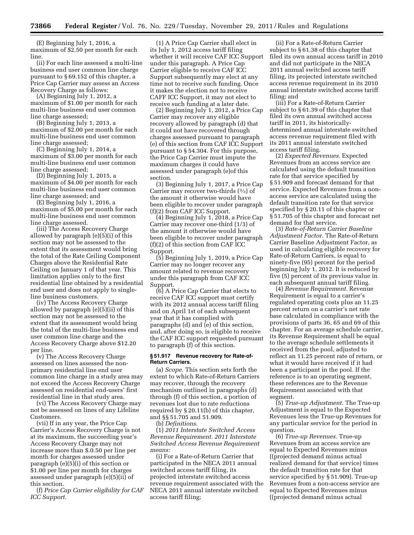(E) Beginning July 1, 2016, a maximum of \$2.50 per month for each line.

(ii) For each line assessed a multi-line business end user common line charge pursuant to § 69.152 of this chapter, a Price Cap Carrier may assess an Access Recovery Charge as follows:

(A) Beginning July 1, 2012, a maximum of \$1.00 per month for each multi-line business end user common line charge assessed;

(B) Beginning July 1, 2013, a maximum of \$2.00 per month for each multi-line business end user common line charge assessed;

(C) Beginning July 1, 2014, a maximum of \$3.00 per month for each multi-line business end user common line charge assessed;

(D) Beginning July 1, 2015, a maximum of \$4.00 per month for each multi-line business end user common line charge assessed; and

(E) Beginning July 1, 2016, a maximum of \$5.00 per month for each multi-line business end user common line charge assessed.

(iii) The Access Recovery Charge allowed by paragraph (e)(5)(i) of this section may not be assessed to the extent that its assessment would bring the total of the Rate Ceiling Component Charges above the Residential Rate Ceiling on January 1 of that year. This limitation applies only to the first residential line obtained by a residential end user and does not apply to singleline business customers.

(iv) The Access Recovery Charge allowed by paragraph (e)(5)(ii) of this section may not be assessed to the extent that its assessment would bring the total of the multi-line business end user common line charge and the Access Recovery Charge above \$12.20 per line.

(v) The Access Recovery Charge assessed on lines assessed the nonprimary residential line end user common line charge in a study area may not exceed the Access Recovery Charge assessed on residential end-users' first residential line in that study area.

(vi) The Access Recovery Charge may not be assessed on lines of any Lifeline Customers.

(vii) If in any year, the Price Cap Carrier's Access Recovery Charge is not at its maximum, the succeeding year's Access Recovery Charge may not increase more than \$.0.50 per line per month for charges assessed under paragraph (e)(5)(i) of this section or \$1.00 per line per month for charges assessed under paragraph (e)(5)(ii) of this section.

(f) *Price Cap Carrier eligibility for CAF ICC Support.* 

(1) A Price Cap Carrier shall elect in its July 1, 2012 access tariff filing whether it will receive CAF ICC Support under this paragraph. A Price Cap Carrier eligible to receive CAF ICC Support subsequently may elect at any time not to receive such funding. Once it makes the election not to receive CAFF ICC Support, it may not elect to receive such funding at a later date.

(2) Beginning July 1, 2012, a Price Cap Carrier may recover any eligible recovery allowed by paragraph (d) that it could not have recovered through charges assessed pursuant to paragraph (e) of this section from CAF ICC Support pursuant to § 54.304. For this purpose, the Price Cap Carrier must impute the maximum charges it could have assessed under paragraph (e)of this section.

(3) Beginning July 1, 2017, a Price Cap Carrier may recover two-thirds (2⁄3) of the amount it otherwise would have been eligible to recover under paragraph (f)(2) from CAF ICC Support.

(4) Beginning July 1, 2018, a Price Cap Carrier may recover one-third (1/3) of the amount it otherwise would have been eligible to recover under paragraph (f)(2) of this section from CAF ICC Support.

(5) Beginning July 1, 2019, a Price Cap Carrier may no longer recover any amount related to revenue recovery under this paragraph from CAF ICC Support.

(6) A Price Cap Carrier that elects to receive CAF ICC support must certify with its 2012 annual access tariff filing and on April 1st of each subsequent year that it has complied with paragraphs (d) and (e) of this section, and, after doing so, is eligible to receive the CAF ICC support requested pursuant to paragraph (f) of this section.

# **§ 51.917 Revenue recovery for Rate-of-Return Carriers.**

(a) *Scope.* This section sets forth the extent to which Rate-of-Return Carriers may recover, through the recovery mechanism outlined in paragraphs (d) through (f) of this section, a portion of revenues lost due to rate reductions required by § 20.11(b) of this chapter, and §§ 51.705 and 51.909.

(b) *Definitions.* 

(1) *2011 Interstate Switched Access Revenue Requirement. 2011 Interstate Switched Access Revenue Requirement means:* 

(i) For a Rate-of-Return Carrier that participated in the NECA 2011 annual switched access tariff filing, its projected interstate switched access revenue requirement associated with the NECA 2011 annual interstate switched access tariff filing;

(ii) For a Rate-of-Return Carrier subject to § 61.38 of this chapter that filed its own annual access tariff in 2010 and did not participate in the NECA 2011 annual switched access tariff filing, its projected interstate switched access revenue requirement in its 2010 annual interstate switched access tariff filing; and

(iii) For a Rate-of-Return Carrier subject to § 61.39 of this chapter that filed its own annual switched access tariff in 2011, its historicallydetermined annual interstate switched access revenue requirement filed with its 2011 annual interstate switched access tariff filing.

(2) *Expected Revenues.* Expected Revenues from an access service are calculated using the default transition rate for that service specified by § 51.909 and forecast demand for that service. Expected Revenues from a nonaccess service are calculated using the default transition rate for that service specified by § 20.11 of this chapter or § 51.705 of this chapter and forecast net demand for that service.

(3) *Rate-of-Return Carrier Baseline Adjustment Factor.* The Rate-of-Return Carrier Baseline Adjustment Factor, as used in calculating eligible recovery for Rate-of-Return Carriers, is equal to ninety-five (95) percent for the period beginning July 1, 2012. It is reduced by five (5) percent of its previous value in each subsequent annual tariff filing.

(4) *Revenue Requirement.* Revenue Requirement is equal to a carrier's regulated operating costs plus an 11.25 percent return on a carrier's net rate base calculated in compliance with the provisions of parts 36, 65 and 69 of this chapter. For an average schedule carrier, its Revenue Requirement shall be equal to the average schedule settlements it received from the pool, adjusted to reflect an 11.25 percent rate of return, or what it would have received if it had been a participant in the pool. If the reference is to an operating segment, these references are to the Revenue Requirement associated with that segment.

(5) *True-up Adjustment.* The True-up Adjustment is equal to the Expected Revenues less the True-up Revenues for any particular service for the period in question.

(6) *True-up Revenues.* True-up Revenues from an access service are equal to Expected Revenues minus ((projected demand minus actual realized demand for that service) times the default transition rate for that service specified by § 51.909). True-up Revenues from a non-access service are equal to Expected Revenues minus ((projected demand minus actual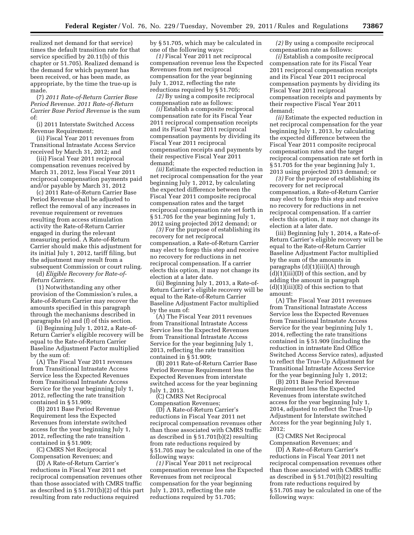realized net demand for that service) times the default transition rate for that service specified by 20.11(b) of this chapter or 51.705). Realized demand is the demand for which payment has been received, or has been made, as appropriate, by the time the true-up is made.

(7) *2011 Rate-of-Return Carrier Base Period Revenue. 2011 Rate-of-Return Carrier Base Period Revenue* is the sum of:

(i) 2011 Interstate Switched Access Revenue Requirement;

(ii) Fiscal Year 2011 revenues from Transitional Intrastate Access Service received by March 31, 2012; and

(iii) Fiscal Year 2011 reciprocal compensation revenues received by March 31, 2012, less Fiscal Year 2011 reciprocal compensation payments paid and/or payable by March 31, 2012

(c) 2011 Rate-of-Return Carrier Base Period Revenue shall be adjusted to reflect the removal of any increases in revenue requirement or revenues resulting from access stimulation activity the Rate-of-Return Carrier engaged in during the relevant measuring period. A Rate-of-Return Carrier should make this adjustment for its initial July 1, 2012, tariff filing, but the adjustment may result from a subsequent Commission or court ruling.

(d) *Eligible Recovery for Rate-of-Return Carriers.* 

(1) Notwithstanding any other provision of the Commission's rules, a Rate-of-Return Carrier may recover the amounts specified in this paragraph through the mechanisms described in paragraphs (e) and (f) of this section.

(i) Beginning July 1, 2012, a Rate-of-Return Carrier's eligible recovery will be equal to the Rate-of-Return Carrier Baseline Adjustment Factor multiplied by the sum of:

(A) The Fiscal Year 2011 revenues from Transitional Intrastate Access Service less the Expected Revenues from Transitional Intrastate Access Service for the year beginning July 1, 2012, reflecting the rate transition contained in § 51.909;

(B) 2011 Base Period Revenue Requirement less the Expected Revenues from interstate switched access for the year beginning July 1, 2012, reflecting the rate transition contained in § 51.909;

(C) CMRS Net Reciprocal Compensation Revenues; and

(D) A Rate-of-Return Carrier's reductions in Fiscal Year 2011 net reciprocal compensation revenues other than those associated with CMRS traffic as described in § 51.701(b)(2) of this part resulting from rate reductions required

by § 51.705, which may be calculated in one of the following ways:

*(1)* Fiscal Year 2011 net reciprocal compensation revenue less the Expected Revenues from net reciprocal compensation for the year beginning July 1, 2012, reflecting the rate reductions required by § 51.705;

*(2)* By using a composite reciprocal compensation rate as follows:

*(i)* Establish a composite reciprocal compensation rate for its Fiscal Year 2011 reciprocal compensation receipts and its Fiscal Year 2011 reciprocal compensation payments by dividing its Fiscal Year 2011 reciprocal compensation receipts and payments by their respective Fiscal Year 2011 demand;

*(ii)* Estimate the expected reduction in net reciprocal compensation for the year beginning July 1, 2012, by calculating the expected difference between the Fiscal Year 2011 composite reciprocal compensation rates and the target reciprocal compensation rate set forth in § 51.705 for the year beginning July 1, 2012 using projected 2012 demand; or

*(3)* For the purpose of establishing its recovery for net reciprocal compensation, a Rate-of-Return Carrier may elect to forgo this step and receive no recovery for reductions in net reciprocal compensation. If a carrier elects this option, it may not change its election at a later date.

(ii) Beginning July 1, 2013, a Rate-of-Return Carrier's eligible recovery will be equal to the Rate-of-Return Carrier Baseline Adjustment Factor multiplied by the sum of:

(A) The Fiscal Year 2011 revenues from Transitional Intrastate Access Service less the Expected Revenues from Transitional Intrastate Access Service for the year beginning July 1, 2013, reflecting the rate transition contained in § 51.909;

(B) 2011 Rate-of-Return Carrier Base Period Revenue Requirement less the Expected Revenues from interstate switched access for the year beginning July 1, 2013.

(C) CMRS Net Reciprocal Compensation Revenues;

(D) A Rate-of-Return Carrier's reductions in Fiscal Year 2011 net reciprocal compensation revenues other than those associated with CMRS traffic as described in § 51.701(b)(2) resulting from rate reductions required by § 51.705 may be calculated in one of the following ways:

*(1)* Fiscal Year 2011 net reciprocal compensation revenue less the Expected Revenues from net reciprocal compensation for the year beginning July 1, 2013, reflecting the rate reductions required by 51.705;

*(2)* By using a composite reciprocal compensation rate as follows:

*(i)* Establish a composite reciprocal compensation rate for its Fiscal Year 2011 reciprocal compensation receipts and its Fiscal Year 2011 reciprocal compensation payments by dividing its Fiscal Year 2011 reciprocal compensation receipts and payments by their respective Fiscal Year 2011 demand;

*(ii)* Estimate the expected reduction in net reciprocal compensation for the year beginning July 1, 2013, by calculating the expected difference between the Fiscal Year 2011 composite reciprocal compensation rates and the target reciprocal compensation rate set forth in § 51.705 for the year beginning July 1, 2013 using projected 2013 demand; or

*(3)* For the purpose of establishing its recovery for net reciprocal compensation, a Rate-of-Return Carrier may elect to forgo this step and receive no recovery for reductions in net reciprocal compensation. If a carrier elects this option, it may not change its election at a later date.

(iii) Beginning July 1, 2014, a Rate-of-Return Carrier's eligible recovery will be equal to the Rate-of-Return Carrier Baseline Adjustment Factor multiplied by the sum of the amounts in paragraphs (d)(1)(iii)(A) through  $(d)(1)(iii)(D)$  of this section, and by adding the amount in paragraph  $(d)(1)(iii)(E)$  of this section to that amount:

(A) The Fiscal Year 2011 revenues from Transitional Intrastate Access Service less the Expected Revenues from Transitional Intrastate Access Service for the year beginning July 1, 2014, reflecting the rate transitions contained in § 51.909 (including the reduction in intrastate End Office Switched Access Service rates), adjusted to reflect the True-Up Adjustment for Transitional Intrastate Access Service for the year beginning July 1, 2012;

(B) 2011 Base Period Revenue Requirement less the Expected Revenues from interstate switched access for the year beginning July 1, 2014, adjusted to reflect the True-Up Adjustment for Interstate switched Access for the year beginning July 1, 2012;

(C) CMRS Net Reciprocal Compensation Revenues; and

(D) A Rate-of-Return Carrier's reductions in Fiscal Year 2011 net reciprocal compensation revenues other than those associated with CMRS traffic as described in § 51.701(b)(2) resulting from rate reductions required by § 51.705 may be calculated in one of the following ways: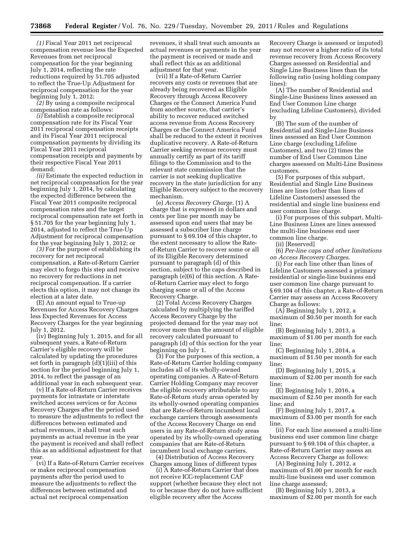*(1)* Fiscal Year 2011 net reciprocal compensation revenue less the Expected Revenues from net reciprocal compensation for the year beginning July 1, 2014, reflecting the rate reductions required by 51.705 adjusted to reflect the True-Up Adjustment for reciprocal compensation for the year beginning July 1, 2012;

*(2)* By using a composite reciprocal compensation rate as follows:

*(i)* Establish a composite reciprocal compensation rate for its Fiscal Year 2011 reciprocal compensation receipts and its Fiscal Year 2011 reciprocal compensation payments by dividing its Fiscal Year 2011 reciprocal compensation receipts and payments by their respective Fiscal Year 2011 demand;

*(ii)* Estimate the expected reduction in net reciprocal compensation for the year beginning July 1, 2014, by calculating the expected difference between the Fiscal Year 2011 composite reciprocal compensation rates and the target reciprocal compensation rate set forth in § 51.705 for the year beginning July 1, 2014, adjusted to reflect the True-Up Adjustment for reciprocal compensation for the year beginning July 1, 2012; or

*(3)* For the purpose of establishing its recovery for net reciprocal compensation, a Rate-of-Return Carrier may elect to forgo this step and receive no recovery for reductions in net reciprocal compensation. If a carrier elects this option, it may not change its election at a later date.

(E) An amount equal to True-up Revenues for Access Recovery Charges less Expected Revenues for Access Recovery Charges for the year beginning July 1, 2012.

(iv) Beginning July 1, 2015, and for all subsequent years, a Rate-of-Return Carrier's eligible recovery will be calculated by updating the procedures set forth in paragraph (d)(1)(iii) of this section for the period beginning July 1, 2014, to reflect the passage of an additional year in each subsequent year.

(v) If a Rate-of-Return Carrier receives payments for intrastate or interstate switched access services or for Access Recovery Charges after the period used to measure the adjustments to reflect the differences between estimated and actual revenues, it shall treat such payments as actual revenue in the year the payment is received and shall reflect this as an additional adjustment for that year.

(vi) If a Rate-of-Return Carrier receives or makes reciprocal compensation payments after the period used to measure the adjustments to reflect the differences between estimated and actual net reciprocal compensation

revenues, it shall treat such amounts as actual revenues or payments in the year the payment is received or made and shall reflect this as an additional adjustment for that year.

(vii) If a Rate-of-Return Carrier recovers any costs or revenues that are already being recovered as Eligible Recovery through Access Recovery Charges or the Connect America Fund from another source, that carrier's ability to recover reduced switched access revenue from Access Recovery Charges or the Connect America Fund shall be reduced to the extent it receives duplicative recovery. A Rate-of-Return Carrier seeking revenue recovery must annually certify as part of its tariff filings to the Commission and to the relevant state commission that the carrier is not seeking duplicative recovery in the state jurisdiction for any Eligible Recovery subject to the recovery mechanism.

(e) *Access Recovery Charge.* (1) A charge that is expressed in dollars and cents per line per month may be assessed upon end users that may be assessed a subscriber line charge pursuant to § 69.104 of this chapter, to the extent necessary to allow the Rateof-Return Carrier to recover some or all of its Eligible Recovery determined pursuant to paragraph (d) of this section, subject to the caps described in paragraph (e)(6) of this section. A Rateof-Return Carrier may elect to forgo charging some or all of the Access Recovery Charge.

(2) Total Access Recovery Charges calculated by multiplying the tariffed Access Recovery Charge by the projected demand for the year may not recover more than the amount of eligible recovery calculated pursuant to paragraph (d) of this section for the year beginning on July 1.

(3) For the purposes of this section, a Rate-of-Return Carrier holding company includes all of its wholly-owned operating companies. A Rate-of-Return Carrier Holding Company may recover the eligible recovery attributable to any Rate-of-Return study areas operated by its wholly-owned operating companies that are Rate-of-Return incumbent local exchange carriers through assessments of the Access Recovery Charge on end users in any Rate-of-Return study areas operated by its wholly-owned operating companies that are Rate-of-Return incumbent local exchange carriers.

(4) Distribution of Access Recovery Charges among lines of different types

(i) A Rate-of-Return Carrier that does not receive ICC-replacement CAF support (whether because they elect not to or because they do not have sufficient eligible recovery after the Access

Recovery Charge is assessed or imputed) may not recover a higher ratio of its total revenue recovery from Access Recovery Charges assessed on Residential and Single Line Business lines than the following ratio (using holding company lines):

(A) The number of Residential and Single-Line Business lines assessed an End User Common Line charge (excluding Lifeline Customers), divided by

(B) The sum of the number of Residential and Single-Line Business lines assessed an End User Common Line charge (excluding Lifeline Customers), and two (2) times the number of End User Common Line charges assessed on Multi-Line Business customers.

(5) For purposes of this subpart, Residential and Single Line Business lines are lines (other than lines of Lifeline Customers) assessed the residential and single line business end user common line charge.

(i) For purposes of this subpart, Multi-Line Business Lines are lines assessed the multi-line business end user common line charge.

(ii) [Reserved]

(6) *Per-line caps and other limitations on Access Recovery Charges.* 

(i) For each line other than lines of Lifeline Customers assessed a primary residential or single-line business end user common line charge pursuant to § 69.104 of this chapter, a Rate-of-Return Carrier may assess an Access Recovery Charge as follows:

(A) Beginning July 1, 2012, a maximum of \$0.50 per month for each line;

(B) Beginning July 1, 2013, a maximum of \$1.00 per month for each line;

(C) Beginning July 1, 2014, a maximum of \$1.50 per month for each line;

(D) Beginning July 1, 2015, a maximum of \$2.00 per month for each line;

(E) Beginning July 1, 2016, a maximum of \$2.50 per month for each line; and

(F) Beginning July 1, 2017, a maximum of \$3.00 per month for each line.

(ii) For each line assessed a multi-line business end user common line charge pursuant to § 69.104 of this chapter, a Rate-of-Return Carrier may assess an Access Recovery Charge as follows:

(A) Beginning July 1, 2012, a maximum of \$1.00 per month for each multi-line business end user common line charge assessed;

(B) Beginning July 1, 2013, a maximum of \$2.00 per month for each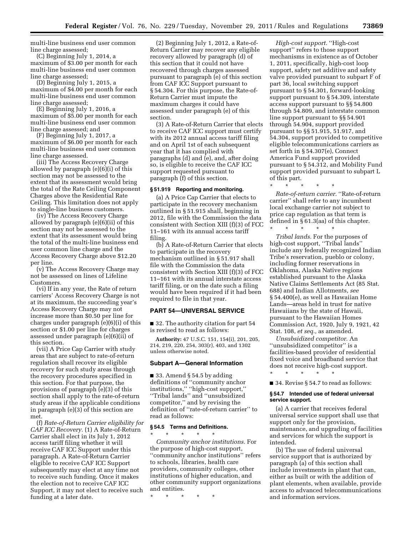multi-line business end user common line charge assessed;

(C) Beginning July 1, 2014, a maximum of \$3.00 per month for each multi-line business end user common line charge assessed;

(D) Beginning July 1, 2015, a maximum of \$4.00 per month for each multi-line business end user common line charge assessed;

(E) Beginning July 1, 2016, a maximum of \$5.00 per month for each multi-line business end user common line charge assessed; and

(F) Beginning July 1, 2017, a maximum of \$6.00 per month for each multi-line business end user common line charge assessed.

(iii) The Access Recovery Charge allowed by paragraph (e)(6)(i) of this section may not be assessed to the extent that its assessment would bring the total of the Rate Ceiling Component Charges above the Residential Rate Ceiling. This limitation does not apply to single-line business customers.

(iv) The Access Recovery Charge allowed by paragraph (e)(6)(ii) of this section may not be assessed to the extent that its assessment would bring the total of the multi-line business end user common line charge and the Access Recovery Charge above \$12.20 per line.

(v) The Access Recovery Charge may not be assessed on lines of Lifeline Customers.

(vi) If in any year, the Rate of return carriers' Access Recovery Charge is not at its maximum, the succeeding year's Access Recovery Charge may not increase more than \$0.50 per line for charges under paragraph (e)(6)(i) of this section or \$1.00 per line for charges assessed under paragraph (e)(6)(ii) of this section.

(vii) A Price Cap Carrier with study areas that are subject to rate-of-return regulation shall recover its eligible recovery for such study areas through the recovery procedures specified in this section. For that purpose, the provisions of paragraph (e)(3) of this section shall apply to the rate-of-return study areas if the applicable conditions in paragraph (e)(3) of this section are met.

(f) *Rate-of-Return Carrier eligibility for CAF ICC Recovery.* (1) A Rate-of-Return Carrier shall elect in its July 1, 2012 access tariff filing whether it will receive CAF ICC Support under this paragraph. A Rate-of-Return Carrier eligible to receive CAF ICC Support subsequently may elect at any time not to receive such funding. Once it makes the election not to receive CAF ICC Support, it may not elect to receive such funding at a later date.

(2) Beginning July 1, 2012, a Rate-of-Return Carrier may recover any eligible recovery allowed by paragraph (d) of this section that it could not have recovered through charges assessed pursuant to paragraph (e) of this section from CAF ICC Support pursuant to § 54.304. For this purpose, the Rate-of-Return Carrier must impute the maximum charges it could have assessed under paragraph (e) of this section.

(3) A Rate-of-Return Carrier that elects to receive CAF ICC support must certify with its 2012 annual access tariff filing and on April 1st of each subsequent year that it has complied with paragraphs (d) and (e), and, after doing so, is eligible to receive the CAF ICC support requested pursuant to paragraph (f) of this section.

# **§ 51.919 Reporting and monitoring.**

(a) A Price Cap Carrier that elects to participate in the recovery mechanism outlined in § 51.915 shall, beginning in 2012, file with the Commission the data consistent with Section XIII (f)(3) of FCC 11–161 with its annual access tariff filing.

(b) A Rate-of-Return Carrier that elects to participate in the recovery mechanism outlined in § 51.917 shall file with the Commission the data consistent with Section XIII (f)(3) of FCC 11–161 with its annual interstate access tariff filing, or on the date such a filing would have been required if it had been required to file in that year.

# **PART 54—UNIVERSAL SERVICE**

■ 32. The authority citation for part 54 is revised to read as follows:

**Authority:** 47 U.S.C. 151, 154(i), 201, 205, 214, 219, 220, 254, 303(r), 403, and 1302 unless otherwise noted.

#### **Subpart A—General Information**

■ 33. Amend § 54.5 by adding definitions of ''community anchor institutions,'' ''high-cost support,'' ''Tribal lands'' and ''unsubsidized competitor,'' and by revising the definition of ''rate-of-return carrier'' to read as follows:

#### **§ 54.5 Terms and Definitions.**

\* \* \* \* \*

*Community anchor institutions.* For the purpose of high-cost support, ''community anchor institutions'' refers to schools, libraries, health care providers, community colleges, other institutions of higher education, and other community support organizations and entities.

\* \* \* \* \*

*High-cost support.* ''High-cost support'' refers to those support mechanisms in existence as of October 1, 2011, specifically, high-cost loop support, safety net additive and safety valve provided pursuant to subpart F of part 36, local switching support pursuant to § 54.301, forward-looking support pursuant to § 54.309, interstate access support pursuant to §§ 54.800 through 54.809, and interstate common line support pursuant to §§ 54.901 through 54.904, support provided pursuant to §§ 51.915, 51.917, and 54.304, support provided to competitive eligible telecommunications carriers as set forth in § 54.307(e), Connect America Fund support provided pursuant to § 54.312, and Mobility Fund support provided pursuant to subpart L of this part.

*Rate-of-return carrier.* ''Rate-of-return carrier'' shall refer to any incumbent local exchange carrier not subject to price cap regulation as that term is defined in § 61.3(aa) of this chapter.

\* \* \* \* \*

\* \* \* \* \* *Tribal lands.* For the purposes of high-cost support, ''Tribal lands'' include any federally recognized Indian Tribe's reservation, pueblo or colony, including former reservations in Oklahoma, Alaska Native regions established pursuant to the Alaska Native Claims Settlements Act (85 Stat. 688) and Indian Allotments, *see*  § 54.400(e), as well as Hawaiian Home Lands—areas held in trust for native Hawaiians by the state of Hawaii, pursuant to the Hawaiian Homes Commission Act, 1920, July 9, 1921, 42 Stat. 108, *et seq.,* as amended.

*Unsubsidized competitor.* An ''unsubsidized competitor'' is a facilities-based provider of residential fixed voice and broadband service that does not receive high-cost support.

\* \* \* \* \*

■ 34. Revise § 54.7 to read as follows:

### **§ 54.7 Intended use of federal universal service support.**

(a) A carrier that receives federal universal service support shall use that support only for the provision, maintenance, and upgrading of facilities and services for which the support is intended.

(b) The use of federal universal service support that is authorized by paragraph (a) of this section shall include investments in plant that can, either as built or with the addition of plant elements, when available, provide access to advanced telecommunications and information services.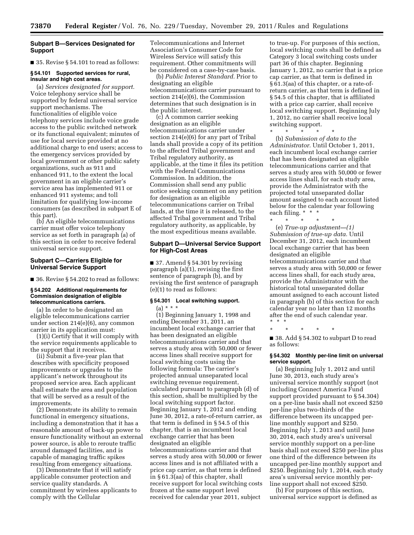# **Subpart B—Services Designated for Support**

■ 35. Revise § 54.101 to read as follows:

# **§ 54.101 Supported services for rural, insular and high cost areas.**

(a) *Services designated for support.*  Voice telephony service shall be supported by federal universal service support mechanisms. The functionalities of eligible voice telephony services include voice grade access to the public switched network or its functional equivalent; minutes of use for local service provided at no additional charge to end users; access to the emergency services provided by local government or other public safety organizations, such as 911 and enhanced 911, to the extent the local government in an eligible carrier's service area has implemented 911 or enhanced 911 systems; and toll limitation for qualifying low-income consumers (as described in subpart E of this part).

(b) An eligible telecommunications carrier must offer voice telephony service as set forth in paragraph (a) of this section in order to receive federal universal service support.

# **Subpart C—Carriers Eligible for Universal Service Support**

■ 36. Revise § 54.202 to read as follows:

#### **§ 54.202 Additional requirements for Commission designation of eligible telecommunications carriers.**

(a) In order to be designated an eligible telecommunications carrier under section 214(e)(6), any common carrier in its application must:

(1)(i) Certify that it will comply with the service requirements applicable to the support that it receives.

(ii) Submit a five-year plan that describes with specificity proposed improvements or upgrades to the applicant's network throughout its proposed service area. Each applicant shall estimate the area and population that will be served as a result of the improvements.

(2) Demonstrate its ability to remain functional in emergency situations, including a demonstration that it has a reasonable amount of back-up power to ensure functionality without an external power source, is able to reroute traffic around damaged facilities, and is capable of managing traffic spikes resulting from emergency situations.

(3) Demonstrate that it will satisfy applicable consumer protection and service quality standards. A commitment by wireless applicants to comply with the Cellular

Telecommunications and Internet Association's Consumer Code for Wireless Service will satisfy this requirement. Other commitments will be considered on a case-by-case basis.

(b) *Public Interest Standard.* Prior to designating an eligible telecommunications carrier pursuant to section 214(e)(6), the Commission determines that such designation is in the public interest.

(c) A common carrier seeking designation as an eligible telecommunications carrier under section 214(e)(6) for any part of Tribal lands shall provide a copy of its petition to the affected Tribal government and Tribal regulatory authority, as applicable, at the time it files its petition with the Federal Communications Commission. In addition, the Commission shall send any public notice seeking comment on any petition for designation as an eligible telecommunications carrier on Tribal lands, at the time it is released, to the affected Tribal government and Tribal regulatory authority, as applicable, by the most expeditious means available.

# **Subpart D—Universal Service Support for High-Cost Areas**

■ 37. Amend § 54.301 by revising paragraph (a)(1), revising the first sentence of paragraph (b), and by revising the first sentence of paragraph (e)(1) to read as follows:

# **§ 54.301 Local switching support.**  (a) \* \* \*

(1) Beginning January 1, 1998 and ending December 31, 2011, an incumbent local exchange carrier that has been designated an eligible telecommunications carrier and that serves a study area with 50,000 or fewer access lines shall receive support for local switching costs using the following formula: The carrier's projected annual unseparated local switching revenue requirement, calculated pursuant to paragraph (d) of this section, shall be multiplied by the local switching support factor. Beginning January 1, 2012 and ending June 30, 2012, a rate-of-return carrier, as that term is defined in § 54.5 of this chapter, that is an incumbent local exchange carrier that has been designated an eligible telecommunications carrier and that serves a study area with 50,000 or fewer access lines and is not affiliated with a price cap carrier, as that term is defined in § 61.3(aa) of this chapter, shall receive support for local switching costs frozen at the same support level received for calendar year 2011, subject

to true-up. For purposes of this section, local switching costs shall be defined as Category 3 local switching costs under part 36 of this chapter. Beginning January 1, 2012, no carrier that is a price cap carrier, as that term is defined in § 61.3(aa) of this chapter, or a rate-ofreturn carrier, as that term is defined in § 54.5 of this chapter, that is affiliated with a price cap carrier, shall receive local switching support. Beginning July 1, 2012, no carrier shall receive local switching support.

\* \* \* \* \* (b) *Submission of data to the Administrator.* Until October 1, 2011, each incumbent local exchange carrier that has been designated an eligible telecommunications carrier and that serves a study area with 50,000 or fewer access lines shall, for each study area, provide the Administrator with the projected total unseparated dollar amount assigned to each account listed

below for the calendar year following

each filing. \* \* \* \* \* \* \* \* (e) *True-up adjustment—(1) Submission of true-up data.* Until December 31, 2012, each incumbent local exchange carrier that has been designated an eligible telecommunications carrier and that serves a study area with 50,000 or fewer access lines shall, for each study area, provide the Administrator with the historical total unseparated dollar amount assigned to each account listed in paragraph (b) of this section for each calendar year no later than 12 months after the end of such calendar year. \* \* \*

\* \* \* \* \*

■ 38. Add § 54.302 to subpart D to read as follows:

# **§ 54.302 Monthly per-line limit on universal service support.**

(a) Beginning July 1, 2012 and until June 30, 2013, each study area's universal service monthly support (not including Connect America Fund support provided pursuant to § 54.304) on a per-line basis shall not exceed \$250 per-line plus two-thirds of the difference between its uncapped perline monthly support and \$250. Beginning July 1, 2013 and until June 30, 2014, each study area's universal service monthly support on a per-line basis shall not exceed \$250 per-line plus one third of the difference between its uncapped per-line monthly support and \$250. Beginning July 1, 2014, each study area's universal service monthly perline support shall not exceed \$250.

(b) For purposes of this section, universal service support is defined as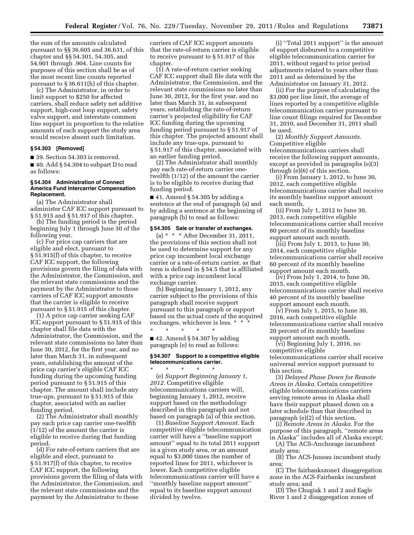the sum of the amounts calculated pursuant to §§ 36.605 and 36.631, of this chapter and §§ 54.301, 54.305, and 54.901 through .904. Line counts for purposes of this section shall be as of the most recent line counts reported pursuant to § 36.611(h) of this chapter.

(c) The Administrator, in order to limit support to \$250 for affected carriers, shall reduce safety net additive support, high-cost loop support, safety valve support, and interstate common line support in proportion to the relative amounts of each support the study area would receive absent such limitation.

#### **§ 54.303 [Removed]**

■ 39. Section 54.303 is removed.

■ 40. Add § 54.304 to subpart D to read as follows:

# **§ 54.304 Administration of Connect America Fund Intercarrier Compensation Replacement.**

(a) The Administrator shall administer CAF ICC support pursuant to § 51.915 and § 51.917 of this chapter.

(b) The funding period is the period beginning July 1 through June 30 of the following year.

(c) For price cap carriers that are eligible and elect, pursuant to § 51.915(f) of this chapter, to receive CAF ICC support, the following provisions govern the filing of data with the Administrator, the Commission, and the relevant state commissions and the payment by the Administrator to those carriers of CAF ICC support amounts that the carrier is eligible to receive pursuant to § 51.915 of this chapter.

(1) A price cap carrier seeking CAF ICC support pursuant to § 51.915 of this chapter shall file data with the Administrator, the Commission, and the relevant state commissions no later than June 30, 2012, for the first year, and no later than March 31, in subsequent years, establishing the amount of the price cap carrier's eligible CAF ICC funding during the upcoming funding period pursuant to § 51.915 of this chapter. The amount shall include any true-ups, pursuant to § 51.915 of this chapter, associated with an earlier funding period.

(2) The Administrator shall monthly pay each price cap carrier one-twelfth (1/12) of the amount the carrier is eligible to receive during that funding period.

(d) For rate-of-return carriers that are eligible and elect, pursuant to § 51.917(f) of this chapter, to receive CAF ICC support, the following provisions govern the filing of data with the Administrator, the Commission, and the relevant state commissions and the payment by the Administrator to those

carriers of CAF ICC support amounts that the rate-of-return carrier is eligible to receive pursuant to § 51.917 of this chapter.

(1) A rate-of-return carrier seeking CAF ICC support shall file data with the Administrator, the Commission, and the relevant state commissions no later than June 30, 2012, for the first year, and no later than March 31, in subsequent years, establishing the rate-of-return carrier's projected eligibility for CAF ICC funding during the upcoming funding period pursuant to § 51.917 of this chapter. The projected amount shall include any true-ups, pursuant to § 51.917 of this chapter, associated with an earlier funding period.

(2) The Administrator shall monthly pay each rate-of-return carrier onetwelfth (1/12) of the amount the carrier is to be eligible to receive during that funding period.

 $\blacksquare$  41. Amend § 54.305 by adding a sentence at the end of paragraph (a) and by adding a sentence at the beginning of paragraph (b) to read as follows:

# **§ 54.305 Sale or transfer of exchanges.**

(a) \* \* \* After December 31, 2011, the provisions of this section shall not be used to determine support for any price cap incumbent local exchange carrier or a rate-of-return carrier, as that term is defined in § 54.5 that is affiliated with a price cap incumbent local exchange carrier.

(b) Beginning January 1, 2012, any carrier subject to the provisions of this paragraph shall receive support pursuant to this paragraph or support based on the actual costs of the acquired exchanges, whichever is less. \* \* \*

 $\blacksquare$  42. Amend § 54.307 by adding paragraph (e) to read as follows:

\* \* \* \* \*

# **§ 54.307 Support to a competitive eligible telecommunications carrier.**

\* \* \* \* \* (e) *Support Beginning January 1, 2012.* Competitive eligible telecommunications carriers will, beginning January 1, 2012, receive support based on the methodology described in this paragraph and not based on paragraph (a) of this section.

(1) *Baseline Support Amount.* Each competitive eligible telecommunication carrier will have a ''baseline support amount'' equal to its total 2011 support in a given study area, or an amount equal to \$3,000 times the number of reported lines for 2011, whichever is lower. Each competitive eligible telecommunications carrier will have a ''monthly baseline support amount'' equal to its baseline support amount divided by twelve.

(i) ''Total 2011 support'' is the amount of support disbursed to a competitive eligible telecommunication carrier for 2011, without regard to prior period adjustments related to years other than 2011 and as determined by the Administrator on January 31, 2012.

(ii) For the purpose of calculating the \$3,000 per line limit, the average of lines reported by a competitive eligible telecommunication carrier pursuant to line count filings required for December 31, 2010, and December 31, 2011 shall be used.

(2) *Monthly Support Amounts.*  Competitive eligible telecommunications carriers shall receive the following support amounts, except as provided in paragraphs (e)(3) through (e)(6) of this section.

(i) From January 1, 2012, to June 30, 2012, each competitive eligible telecommunications carrier shall receive its monthly baseline support amount each month.

(ii) From July 1, 2012 to June 30, 2013, each competitive eligible telecommunications carrier shall receive 80 percent of its monthly baseline support amount each month.

 $(iii)$  From July 1, 2013, to June 30, 2014, each competitive eligible telecommunications carrier shall receive 60 percent of its monthly baseline support amount each month.

(iv) From July 1, 2014, to June 30, 2015, each competitive eligible telecommunications carrier shall receive 40 percent of its monthly baseline support amount each month.

(v) From July 1, 2015, to June 30, 2016, each competitive eligible telecommunications carrier shall receive 20 percent of its monthly baseline support amount each month.

(vi) Beginning July 1, 2016, no competitive eligible telecommunications carrier shall receive universal service support pursuant to this section.

(3) *Delayed Phase Down for Remote Areas in Alaska.* Certain competitive eligible telecommunications carriers serving remote areas in Alaska shall have their support phased down on a later schedule than that described in paragraph (e)(2) of this section.

(i) *Remote Areas in Alaska.* For the purpose of this paragraph, ''remote areas in Alaska'' includes all of Alaska except;

(A) The ACS-Anchorage incumbent study area;

(B) The ACS-Juneau incumbent study area;

(C) The fairbankszone1 disaggregation zone in the ACS-Fairbanks incumbent study area; and

(D) The Chugiak 1 and 2 and Eagle River 1 and 2 disaggregation zones of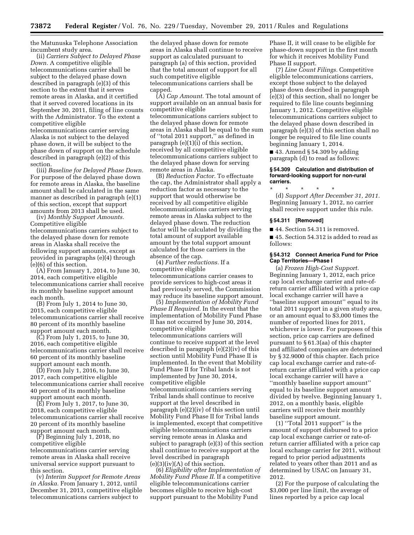the Matunuska Telephone Association incumbent study area.

(ii) *Carriers Subject to Delayed Phase Down.* A competitive eligible telecommunications carrier shall be subject to the delayed phase down described in paragraph (e)(3) of this section to the extent that it serves remote areas in Alaska, and it certified that it served covered locations in its September 30, 2011, filing of line counts with the Administrator. To the extent a competitive eligible

telecommunications carrier serving Alaska is not subject to the delayed phase down, it will be subject to the phase down of support on the schedule described in paragraph (e)(2) of this section.

(iii) *Baseline for Delayed Phase Down.*  For purpose of the delayed phase down for remote areas in Alaska, the baseline amount shall be calculated in the same manner as described in paragraph (e)(1) of this section, except that support amounts from 2013 shall be used.

(iv) *Monthly Support Amounts.*  Competitive eligible telecommunications carriers subject to the delayed phase down for remote areas in Alaska shall receive the following support amounts, except as provided in paragraphs (e)(4) through (e)(6) of this section.

(A) From January 1, 2014, to June 30, 2014, each competitive eligible telecommunications carrier shall receive its monthly baseline support amount each month.

(B) From July 1, 2014 to June 30, 2015, each competitive eligible telecommunications carrier shall receive 80 percent of its monthly baseline support amount each month.

(C) From July 1, 2015, to June 30, 2016, each competitive eligible telecommunications carrier shall receive 60 percent of its monthly baseline support amount each month.

(D) From July 1, 2016, to June 30, 2017, each competitive eligible telecommunications carrier shall receive 40 percent of its monthly baseline support amount each month.

(E) From July 1, 2017, to June 30, 2018, each competitive eligible telecommunications carrier shall receive 20 percent of its monthly baseline support amount each month.

(F) Beginning July 1, 2018, no competitive eligible telecommunications carrier serving remote areas in Alaska shall receive universal service support pursuant to this section.

(v) *Interim Support for Remote Areas in Alaska.* From January 1, 2012, until December 31, 2013, competitive eligible telecommunications carriers subject to

the delayed phase down for remote areas in Alaska shall continue to receive support as calculated pursuant to paragraph (a) of this section, provided that the total amount of support for all such competitive eligible telecommunications carriers shall be capped.

(A) *Cap Amount.* The total amount of support available on an annual basis for competitive eligible telecommunications carriers subject to the delayed phase down for remote areas in Alaska shall be equal to the sum of ''total 2011 support,'' as defined in paragraph (e)(1)(i) of this section, received by all competitive eligible telecommunications carriers subject to the delayed phase down for serving remote areas in Alaska.

(B) *Reduction Factor.* To effectuate the cap, the Administrator shall apply a reduction factor as necessary to the support that would otherwise be received by all competitive eligible telecommunications carriers serving remote areas in Alaska subject to the delayed phase down. The reduction factor will be calculated by dividing the total amount of support available amount by the total support amount calculated for those carriers in the absence of the cap.

(4) *Further reductions.* If a competitive eligible telecommunications carrier ceases to provide services to high-cost areas it had previously served, the Commission may reduce its baseline support amount.

(5) *Implementation of Mobility Fund Phase II Required.* In the event that the implementation of Mobility Fund Phase II has not occurred by June 30, 2014, competitive eligible telecommunications carriers will continue to receive support at the level described in paragraph (e)(2)(iv) of this section until Mobility Fund Phase II is implemented. In the event that Mobility Fund Phase II for Tribal lands is not implemented by June 30, 2014, competitive eligible telecommunications carriers serving Tribal lands shall continue to receive support at the level described in paragraph (e)(2)(iv) of this section until Mobility Fund Phase II for Tribal lands is implemented, except that competitive eligible telecommunications carriers serving remote areas in Alaska and subject to paragraph (e)(3) of this section shall continue to receive support at the level described in paragraph  $(e)(3)(iv)(A)$  of this section.

(6) *Eligibility after Implementation of Mobility Fund Phase II.* If a competitive eligible telecommunications carrier becomes eligible to receive high-cost support pursuant to the Mobility Fund

Phase II, it will cease to be eligible for phase-down support in the first month for which it receives Mobility Fund Phase II support.

(7) *Line Count Filings.* Competitive eligible telecommunications carriers, except those subject to the delayed phase down described in paragraph (e)(3) of this section, shall no longer be required to file line counts beginning January 1, 2012. Competitive eligible telecommunications carriers subject to the delayed phase down described in paragraph (e)(3) of this section shall no longer be required to file line counts beginning January 1, 2014.

 $\blacksquare$  43. Amend § 54.309 by adding paragraph (d) to read as follows:

#### **§ 54.309 Calculation and distribution of forward-looking support for non-rural carriers.**

\* \* \* \* \* (d) *Support After December 31, 2011.*  Beginning January 1, 2012, no carrier shall receive support under this rule.

#### **§ 54.311 [Removed]**

■ 44. Section 54.311 is removed.

■ 45. Section 54.312 is added to read as follows:

#### **§ 54.312 Connect America Fund for Price Cap Territories—Phase I**

(a) *Frozen High-Cost Support.*  Beginning January 1, 2012, each price cap local exchange carrier and rate-ofreturn carrier affiliated with a price cap local exchange carrier will have a ''baseline support amount'' equal to its total 2011 support in a given study area, or an amount equal to \$3,000 times the number of reported lines for 2011, whichever is lower. For purposes of this section, price cap carriers are defined pursuant to § 61.3(aa) of this chapter and affiliated companies are determined by § 32.9000 of this chapter. Each price cap local exchange carrier and rate-ofreturn carrier affiliated with a price cap local exchange carrier will have a ''monthly baseline support amount'' equal to its baseline support amount divided by twelve. Beginning January 1, 2012, on a monthly basis, eligible carriers will receive their monthly baseline support amount.

 $(1)$  "Total 2011 support" is the amount of support disbursed to a price cap local exchange carrier or rate-ofreturn carrier affiliated with a price cap local exchange carrier for 2011, without regard to prior period adjustments related to years other than 2011 and as determined by USAC on January 31, 2012.

(2) For the purpose of calculating the \$3,000 per line limit, the average of lines reported by a price cap local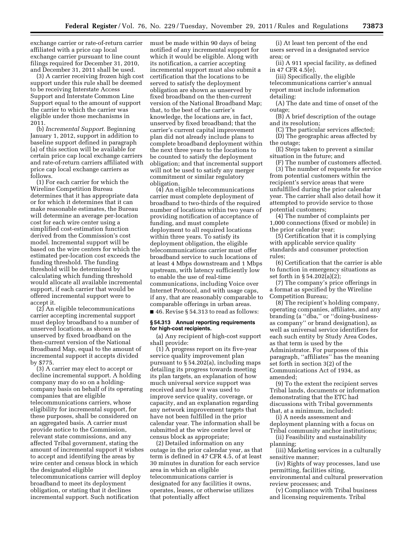exchange carrier or rate-of-return carrier affiliated with a price cap local exchange carrier pursuant to line count filings required for December 31, 2010, and December 31, 2011 shall be used.

(3) A carrier receiving frozen high cost support under this rule shall be deemed to be receiving Interstate Access Support and Interstate Common Line Support equal to the amount of support the carrier to which the carrier was eligible under those mechanisms in 2011.

(b) *Incremental Support.* Beginning January 1, 2012, support in addition to baseline support defined in paragraph (a) of this section will be available for certain price cap local exchange carriers and rate-of-return carriers affiliated with price cap local exchange carriers as follows.

(1) For each carrier for which the Wireline Competition Bureau determines that it has appropriate data or for which it determines that it can make reasonable estimates, the Bureau will determine an average per-location cost for each wire center using a simplified cost-estimation function derived from the Commission's cost model. Incremental support will be based on the wire centers for which the estimated per-location cost exceeds the funding threshold. The funding threshold will be determined by calculating which funding threshold would allocate all available incremental support, if each carrier that would be offered incremental support were to accept it.

(2) An eligible telecommunications carrier accepting incremental support must deploy broadband to a number of unserved locations, as shown as unserved by fixed broadband on the then-current version of the National Broadband Map, equal to the amount of incremental support it accepts divided by \$775.

(3) A carrier may elect to accept or decline incremental support. A holding company may do so on a holdingcompany basis on behalf of its operating companies that are eligible telecommunications carriers, whose eligibility for incremental support, for these purposes, shall be considered on an aggregated basis. A carrier must provide notice to the Commission, relevant state commissions, and any affected Tribal government, stating the amount of incremental support it wishes to accept and identifying the areas by wire center and census block in which the designated eligible telecommunications carrier will deploy broadband to meet its deployment obligation, or stating that it declines incremental support. Such notification

must be made within 90 days of being notified of any incremental support for which it would be eligible. Along with its notification, a carrier accepting incremental support must also submit a certification that the locations to be served to satisfy the deployment obligation are shown as unserved by fixed broadband on the then-current version of the National Broadband Map; that, to the best of the carrier's knowledge, the locations are, in fact, unserved by fixed broadband; that the carrier's current capital improvement plan did not already include plans to complete broadband deployment within the next three years to the locations to be counted to satisfy the deployment obligation; and that incremental support will not be used to satisfy any merger commitment or similar regulatory obligation.

(4) An eligible telecommunications carrier must complete deployment of broadband to two-thirds of the required number of locations within two years of providing notification of acceptance of funding, and must complete deployment to all required locations within three years. To satisfy its deployment obligation, the eligible telecommunications carrier must offer broadband service to such locations of at least 4 Mbps downstream and 1 Mbps upstream, with latency sufficiently low to enable the use of real-time communications, including Voice over Internet Protocol, and with usage caps, if any, that are reasonably comparable to comparable offerings in urban areas. ■ 46. Revise § 54.313 to read as follows:

**§ 54.313 Annual reporting requirements for high-cost recipients.** 

(a) Any recipient of high-cost support shall provide:

(1) A progress report on its five-year service quality improvement plan pursuant to § 54.202(a), including maps detailing its progress towards meeting its plan targets, an explanation of how much universal service support was received and how it was used to improve service quality, coverage, or capacity, and an explanation regarding any network improvement targets that have not been fulfilled in the prior calendar year. The information shall be submitted at the wire center level or census block as appropriate;

(2) Detailed information on any outage in the prior calendar year, as that term is defined in 47 CFR 4.5, of at least 30 minutes in duration for each service area in which an eligible telecommunications carrier is designated for any facilities it owns, operates, leases, or otherwise utilizes that potentially affect

(i) At least ten percent of the end users served in a designated service area; or

(ii) A 911 special facility, as defined in 47 CFR 4.5(e).

(iii) Specifically, the eligible telecommunications carrier's annual report must include information detailing:

(A) The date and time of onset of the outage;

(B) A brief description of the outage and its resolution;

(C) The particular services affected; (D) The geographic areas affected by the outage;

(E) Steps taken to prevent a similar situation in the future; and

(F) The number of customers affected. (3) The number of requests for service

from potential customers within the recipient's service areas that were unfulfilled during the prior calendar year. The carrier shall also detail how it attempted to provide service to those potential customers;

(4) The number of complaints per 1,000 connections (fixed or mobile) in the prior calendar year;

(5) Certification that it is complying with applicable service quality standards and consumer protection rules;

(6) Certification that the carrier is able to function in emergency situations as set forth in § 54.202(a)(2);

(7) The company's price offerings in a format as specified by the Wireline Competition Bureau;

(8) The recipient's holding company, operating companies, affiliates, and any branding (a ''dba,'' or ''doing-businessas company'' or brand designation), as well as universal service identifiers for each such entity by Study Area Codes, as that term is used by the Administrator. For purposes of this paragraph, ''affiliates'' has the meaning set forth in section 3(2) of the Communications Act of 1934, as amended;

(9) To the extent the recipient serves Tribal lands, documents or information demonstrating that the ETC had discussions with Tribal governments that, at a minimum, included:

(i) A needs assessment and deployment planning with a focus on Tribal community anchor institutions;

(ii) Feasibility and sustainability planning;

(iii) Marketing services in a culturally sensitive manner;

(iv) Rights of way processes, land use permitting, facilities siting, environmental and cultural preservation review processes; and

(v) Compliance with Tribal business and licensing requirements. Tribal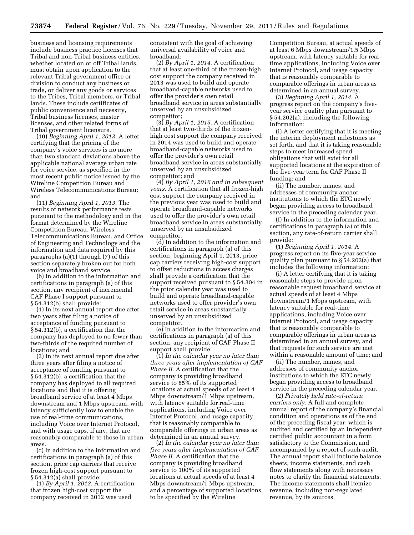business and licensing requirements include business practice licenses that Tribal and non-Tribal business entities, whether located on or off Tribal lands, must obtain upon application to the relevant Tribal government office or division to conduct any business or trade, or deliver any goods or services to the Tribes, Tribal members, or Tribal lands. These include certificates of public convenience and necessity, Tribal business licenses, master licenses, and other related forms of Tribal government licensure.

(10) *Beginning April 1, 2013.* A letter certifying that the pricing of the company's voice services is no more than two standard deviations above the applicable national average urban rate for voice service, as specified in the most recent public notice issued by the Wireline Competition Bureau and Wireless Telecommunications Bureau; and

(11) *Beginning April 1, 2013.* The results of network performance tests pursuant to the methodology and in the format determined by the Wireline Competition Bureau, Wireless Telecommunications Bureau, and Office of Engineering and Technology and the information and data required by this paragraphs (a)(1) through (7) of this section separately broken out for both voice and broadband service.

(b) In addition to the information and certifications in paragraph (a) of this section, any recipient of incremental CAF Phase I support pursuant to § 54.312(b) shall provide:

(1) In its next annual report due after two years after filing a notice of acceptance of funding pursuant to § 54.312(b), a certification that the company has deployed to no fewer than two-thirds of the required number of locations; and

(2) In its next annual report due after three years after filing a notice of acceptance of funding pursuant to § 54.312(b), a certification that the company has deployed to all required locations and that it is offering broadband service of at least 4 Mbps downstream and 1 Mbps upstream, with latency sufficiently low to enable the use of real-time communications, including Voice over Internet Protocol, and with usage caps, if any, that are reasonably comparable to those in urban areas.

(c) In addition to the information and certifications in paragraph (a) of this section, price cap carriers that receive frozen high-cost support pursuant to § 54.312(a) shall provide:

(1) *By April 1, 2013.* A certification that frozen high-cost support the company received in 2012 was used

consistent with the goal of achieving universal availability of voice and broadband;

(2) *By April 1, 2014.* A certification that at least one-third of the frozen-high cost support the company received in 2013 was used to build and operate broadband-capable networks used to offer the provider's own retail broadband service in areas substantially unserved by an unsubsidized competitor;

(3) *By April 1, 2015.* A certification that at least two-thirds of the frozenhigh cost support the company received in 2014 was used to build and operate broadband-capable networks used to offer the provider's own retail broadband service in areas substantially unserved by an unsubsidized competitor; and

(4) *By April 1, 2016 and in subsequent years.* A certification that all frozen-high cost support the company received in the previous year was used to build and operate broadband-capable networks used to offer the provider's own retail broadband service in areas substantially unserved by an unsubsidized competitor.

(d) In addition to the information and certifications in paragraph (a) of this section, beginning April 1, 2013, price cap carriers receiving high-cost support to offset reductions in access charges shall provide a certification that the support received pursuant to § 54.304 in the prior calendar year was used to build and operate broadband-capable networks used to offer provider's own retail service in areas substantially unserved by an unsubsidized competitor.

(e) In addition to the information and certifications in paragraph (a) of this section, any recipient of CAF Phase II support shall provide:

(1) *In the calendar year no later than three years after implementation of CAF Phase II.* A certification that the company is providing broadband service to 85% of its supported locations at actual speeds of at least 4 Mbps downstream/1 Mbps upstream, with latency suitable for real-time applications, including Voice over Internet Protocol, and usage capacity that is reasonably comparable to comparable offerings in urban areas as determined in an annual survey.

(2) *In the calendar year no later than five years after implementation of CAF Phase II.* A certification that the company is providing broadband service to 100% of its supported locations at actual speeds of at least 4 Mbps downstream/1 Mbps upstream, and a percentage of supported locations, to be specified by the Wireline

Competition Bureau, at actual speeds of at least 6 Mbps downstream/1.5 Mbps upstream, with latency suitable for realtime applications, including Voice over Internet Protocol, and usage capacity that is reasonably comparable to comparable offerings in urban areas as determined in an annual survey.

(3) *Beginning April 1, 2014.* A progress report on the company's fiveyear service quality plan pursuant to § 54.202(a), including the following information:

(i) A letter certifying that it is meeting the interim deployment milestones as set forth, and that it is taking reasonable steps to meet increased speed obligations that will exist for all supported locations at the expiration of the five-year term for CAF Phase II funding; and

(ii) The number, names, and addresses of community anchor institutions to which the ETC newly began providing access to broadband service in the preceding calendar year.

(f) In addition to the information and certifications in paragraph (a) of this section, any rate-of-return carrier shall provide:

(1) *Beginning April 1, 2014.* A progress report on its five-year service quality plan pursuant to § 54.202(a) that includes the following information:

(i) A letter certifying that it is taking reasonable steps to provide upon reasonable request broadband service at actual speeds of at least 4 Mbps downstream/1 Mbps upstream, with latency suitable for real-time applications, including Voice over Internet Protocol, and usage capacity that is reasonably comparable to comparable offerings in urban areas as determined in an annual survey, and that requests for such service are met within a reasonable amount of time; and

(ii) The number, names, and addresses of community anchor institutions to which the ETC newly began providing access to broadband service in the preceding calendar year.

(2) *Privately held rate-of-return carriers only.* A full and complete annual report of the company's financial condition and operations as of the end of the preceding fiscal year, which is audited and certified by an independent certified public accountant in a form satisfactory to the Commission, and accompanied by a report of such audit. The annual report shall include balance sheets, income statements, and cash flow statements along with necessary notes to clarify the financial statements. The income statements shall itemize revenue, including non-regulated revenue, by its sources.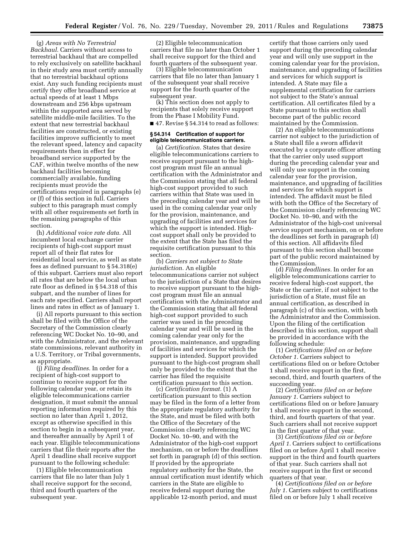(g) *Areas with No Terrestrial Backhaul.* Carriers without access to terrestrial backhaul that are compelled to rely exclusively on satellite backhaul in their study area must certify annually that no terrestrial backhaul options exist. Any such funding recipients must certify they offer broadband service at actual speeds of at least 1 Mbps downstream and 256 kbps upstream within the supported area served by satellite middle-mile facilities. To the extent that new terrestrial backhaul facilities are constructed, or existing facilities improve sufficiently to meet the relevant speed, latency and capacity requirements then in effect for broadband service supported by the CAF, within twelve months of the new backhaul facilities becoming commercially available, funding recipients must provide the certifications required in paragraphs (e) or (f) of this section in full. Carriers subject to this paragraph must comply with all other requirements set forth in the remaining paragraphs of this section.

(h) *Additional voice rate data.* All incumbent local exchange carrier recipients of high-cost support must report all of their flat rates for residential local service, as well as state fees as defined pursuant to § 54.318(e) of this subpart. Carriers must also report all rates that are below the local urban rate floor as defined in § 54.318 of this subpart, and the number of lines for each rate specified. Carriers shall report lines and rates in effect as of January 1.

(i) All reports pursuant to this section shall be filed with the Office of the Secretary of the Commission clearly referencing WC Docket No. 10–90, and with the Administrator, and the relevant state commissions, relevant authority in a U.S. Territory, or Tribal governments, as appropriate.

(j) *Filing deadlines.* In order for a recipient of high-cost support to continue to receive support for the following calendar year, or retain its eligible telecommunications carrier designation, it must submit the annual reporting information required by this section no later than April 1, 2012, except as otherwise specified in this section to begin in a subsequent year, and thereafter annually by April 1 of each year. Eligible telecommunications carriers that file their reports after the April 1 deadline shall receive support pursuant to the following schedule:

(1) Eligible telecommunication carriers that file no later than July 1 shall receive support for the second, third and fourth quarters of the subsequent year.

(2) Eligible telecommunication carriers that file no later than October 1 shall receive support for the third and fourth quarters of the subsequent year.

(3) Eligible telecommunication carriers that file no later than January 1 of the subsequent year shall receive support for the fourth quarter of the subsequent year.

(k) This section does not apply to recipients that solely receive support from the Phase I Mobility Fund. ■ 47. Revise § 54.314 to read as follows:

# **§ 54.314 Certification of support for eligible telecommunications carriers.**

(a) *Certification.* States that desire eligible telecommunications carriers to receive support pursuant to the highcost program must file an annual certification with the Administrator and the Commission stating that all federal high-cost support provided to such carriers within that State was used in the preceding calendar year and will be used in the coming calendar year only for the provision, maintenance, and upgrading of facilities and services for which the support is intended. Highcost support shall only be provided to the extent that the State has filed the requisite certification pursuant to this section.

(b) *Carriers not subject to State jurisdiction.* An eligible telecommunications carrier not subject to the jurisdiction of a State that desires to receive support pursuant to the highcost program must file an annual certification with the Administrator and the Commission stating that all federal high-cost support provided to such carrier was used in the preceding calendar year and will be used in the coming calendar year only for the provision, maintenance, and upgrading of facilities and services for which the support is intended. Support provided pursuant to the high-cost program shall only be provided to the extent that the carrier has filed the requisite certification pursuant to this section.

(c) *Certification format.* (1) A certification pursuant to this section may be filed in the form of a letter from the appropriate regulatory authority for the State, and must be filed with both the Office of the Secretary of the Commission clearly referencing WC Docket No. 10–90, and with the Administrator of the high-cost support mechanism, on or before the deadlines set forth in paragraph (d) of this section. If provided by the appropriate regulatory authority for the State, the annual certification must identify which carriers in the State are eligible to receive federal support during the applicable 12-month period, and must

certify that those carriers only used support during the preceding calendar year and will only use support in the coming calendar year for the provision, maintenance, and upgrading of facilities and services for which support is intended. A State may file a supplemental certification for carriers not subject to the State's annual certification. All certificates filed by a State pursuant to this section shall become part of the public record maintained by the Commission.

(2) An eligible telecommunications carrier not subject to the jurisdiction of a State shall file a sworn affidavit executed by a corporate officer attesting that the carrier only used support during the preceding calendar year and will only use support in the coming calendar year for the provision, maintenance, and upgrading of facilities and services for which support is intended. The affidavit must be filed with both the Office of the Secretary of the Commission clearly referencing WC Docket No. 10–90, and with the Administrator of the high-cost universal service support mechanism, on or before the deadlines set forth in paragraph (d) of this section. All affidavits filed pursuant to this section shall become part of the public record maintained by the Commission.

(d) *Filing deadlines.* In order for an eligible telecommunications carrier to receive federal high-cost support, the State or the carrier, if not subject to the jurisdiction of a State, must file an annual certification, as described in paragraph (c) of this section, with both the Administrator and the Commission. Upon the filing of the certification described in this section, support shall be provided in accordance with the following schedule:

(1) *Certifications filed on or before October 1.* Carriers subject to certifications filed on or before October 1 shall receive support in the first, second, third, and fourth quarters of the succeeding year.

(2) *Certifications filed on or before January 1.* Carriers subject to certifications filed on or before January 1 shall receive support in the second, third, and fourth quarters of that year. Such carriers shall not receive support in the first quarter of that year.

(3) *Certifications filed on or before April 1.* Carriers subject to certifications filed on or before April 1 shall receive support in the third and fourth quarters of that year. Such carriers shall not receive support in the first or second quarters of that year.

(4) *Certifications filed on or before July 1.* Carriers subject to certifications filed on or before July 1 shall receive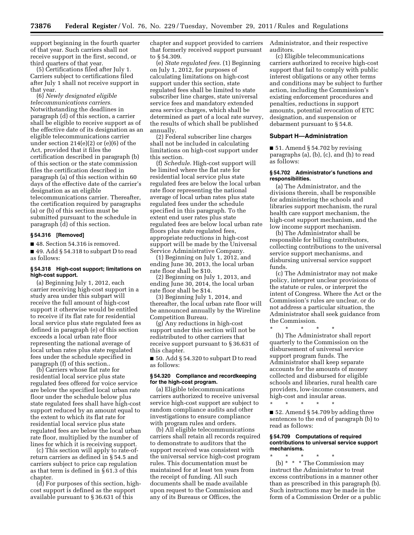support beginning in the fourth quarter of that year. Such carriers shall not receive support in the first, second, or third quarters of that year.

(5) Certifications filed after July 1. Carriers subject to certifications filed after July 1 shall not receive support in that year.

(6) *Newly designated eligible telecommunications carriers.*  Notwithstanding the deadlines in paragraph (d) of this section, a carrier shall be eligible to receive support as of the effective date of its designation as an eligible telecommunications carrier under section 214(e)(2) or (e)(6) of the Act, provided that it files the certification described in paragraph (b) of this section or the state commission files the certification described in paragraph (a) of this section within 60 days of the effective date of the carrier's designation as an eligible telecommunications carrier. Thereafter, the certification required by paragraphs

(a) or (b) of this section must be submitted pursuant to the schedule in paragraph (d) of this section.

# **§ 54.316 [Removed]**

■ 48. Section 54.316 is removed.

■ 49. Add § 54.318 to subpart D to read as follows:

# **§ 54.318 High-cost support; limitations on high-cost support.**

(a) Beginning July 1, 2012, each carrier receiving high-cost support in a study area under this subpart will receive the full amount of high-cost support it otherwise would be entitled to receive if its flat rate for residential local service plus state regulated fees as defined in paragraph (e) of this section exceeds a local urban rate floor representing the national average of local urban rates plus state regulated fees under the schedule specified in paragraph (f) of this section..

(b) Carriers whose flat rate for residential local service plus state regulated fees offered for voice service are below the specified local urban rate floor under the schedule below plus state regulated fees shall have high-cost support reduced by an amount equal to the extent to which its flat rate for residential local service plus state regulated fees are below the local urban rate floor, multiplied by the number of lines for which it is receiving support.

(c) This section will apply to rate-ofreturn carriers as defined in § 54.5 and carriers subject to price cap regulation as that term is defined in § 61.3 of this chapter.

(d) For purposes of this section, highcost support is defined as the support available pursuant to § 36.631 of this

chapter and support provided to carriers that formerly received support pursuant to § 54.309.

(e) *State regulated fees.* (1) Beginning on July 1, 2012, for purposes of calculating limitations on high-cost support under this section, state regulated fees shall be limited to state subscriber line charges, state universal service fees and mandatory extended area service charges, which shall be determined as part of a local rate survey, the results of which shall be published annually.

(2) Federal subscriber line charges shall not be included in calculating limitations on high-cost support under this section.

(f) *Schedule.* High-cost support will be limited where the flat rate for residential local service plus state regulated fees are below the local urban rate floor representing the national average of local urban rates plus state regulated fees under the schedule specified in this paragraph. To the extent end user rates plus state regulated fees are below local urban rate floors plus state regulated fees, appropriate reductions in high-cost support will be made by the Universal Service Administrative Company.

(1) Beginning on July 1, 2012, and ending June 30, 2013, the local urban rate floor shall be \$10.

(2) Beginning on July 1, 2013, and ending June 30, 2014, the local urban rate floor shall be \$14.

(3) Beginning July 1, 2014, and thereafter, the local urban rate floor will be announced annually by the Wireline Competition Bureau.

(g) Any reductions in high-cost support under this section will not be redistributed to other carriers that receive support pursuant to § 36.631 of this chapter.

■ 50. Add § 54.320 to subpart D to read as follows:

# **§ 54.320 Compliance and recordkeeping for the high-cost program.**

(a) Eligible telecommunications carriers authorized to receive universal service high-cost support are subject to random compliance audits and other investigations to ensure compliance with program rules and orders.

(b) All eligible telecommunications carriers shall retain all records required to demonstrate to auditors that the support received was consistent with the universal service high-cost program rules. This documentation must be maintained for at least ten years from the receipt of funding. All such documents shall be made available upon request to the Commission and any of its Bureaus or Offices, the

Administrator, and their respective auditors.

(c) Eligible telecommunications carriers authorized to receive high-cost support that fail to comply with public interest obligations or any other terms and conditions may be subject to further action, including the Commission's existing enforcement procedures and penalties, reductions in support amounts, potential revocation of ETC designation, and suspension or debarment pursuant to § 54.8.

# **Subpart H—Administration**

 $\blacksquare$  51. Amend § 54.702 by revising paragraphs (a), (b), (c), and (h) to read as follows:

# **§ 54.702 Administrator's functions and responsibilities.**

(a) The Administrator, and the divisions therein, shall be responsible for administering the schools and libraries support mechanism, the rural health care support mechanism, the high-cost support mechanism, and the low income support mechanism.

(b) The Administrator shall be responsible for billing contributors, collecting contributions to the universal service support mechanisms, and disbursing universal service support funds.

(c) The Administrator may not make policy, interpret unclear provisions of the statute or rules, or interpret the intent of Congress. Where the Act or the Commission's rules are unclear, or do not address a particular situation, the Administrator shall seek guidance from the Commission.

\* \* \* \* \* (h) The Administrator shall report quarterly to the Commission on the disbursement of universal service support program funds. The Administrator shall keep separate accounts for the amounts of money collected and disbursed for eligible schools and libraries, rural health care

providers, low-income consumers, and high-cost and insular areas. \* \* \* \* \* ■ 52. Amend § 54.709 by adding three

sentences to the end of paragraph (b) to read as follows:

# **§ 54.709 Computations of required contributions to universal service support mechanisms.**

\* \* \* \* \* (b) \* \* \* The Commission may instruct the Administrator to treat excess contributions in a manner other than as prescribed in this paragraph (b). Such instructions may be made in the form of a Commission Order or a public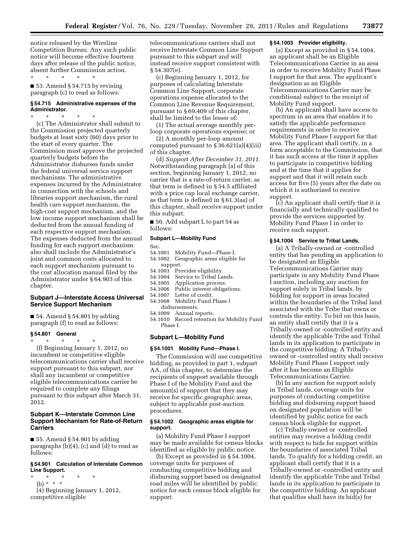notice released by the Wireline Competition Bureau. Any such public notice will become effective fourteen days after release of the public notice, absent further Commission action.

\* \* \* \* \*  $\blacksquare$  53. Amend § 54.715 by revising paragraph (c) to read as follows:

# **§ 54.715 Administrative expenses of the Administrator.**

\* \* \* \* \*

(c) The Administrator shall submit to the Commission projected quarterly budgets at least sixty (60) days prior to the start of every quarter. The Commission must approve the projected quarterly budgets before the Administrator disburses funds under the federal universal service support mechanisms. The administrative expenses incurred by the Administrator in connection with the schools and libraries support mechanism, the rural health care support mechanism, the high-cost support mechanism, and the low income support mechanism shall be deducted from the annual funding of each respective support mechanism. The expenses deducted from the annual funding for each support mechanism also shall include the Administrator's joint and common costs allocated to each support mechanism pursuant to the cost allocation manual filed by the Administrator under § 64.903 of this chapter.

# **Subpart J—Interstate Access Universal Service Support Mechanism**

 $\blacksquare$  54. Amend § 54.801 by adding paragraph (f) to read as follows:

# **§ 54.801 General**

\* \* \* \* \* (f) Beginning January 1, 2012, no incumbent or competitive eligible telecommunications carrier shall receive support pursuant to this subpart, nor shall any incumbent or competitive eligible telecommunications carrier be required to complete any filings pursuant to this subpart after March 31, 2012.

# **Subpart K—Interstate Common Line Support Mechanism for Rate-of-Return Carriers**

 $\blacksquare$  55. Amend § 54.901 by adding paragraphs (b)(4), (c) and (d) to read as follows:

# **§ 54.901 Calculation of Interstate Common Line Support.**

- \* \* \* \* \*
- (b) \* \* \*

(4) Beginning January 1, 2012, competitive eligible

telecommunications carriers shall not receive Interstate Common Line Support pursuant to this subpart and will instead receive support consistent with § 54.307(e).

(c) Beginning January 1, 2012, for purposes of calculating Interstate Common Line Support, corporate operations expense allocated to the Common Line Revenue Requirement, pursuant to § 69.409 of this chapter, shall be limited to the lesser of:

(1) The actual average monthly perloop corporate operations expense; or

(2) A monthly per-loop amount computed pursuant to  $\S 36.621(a)(4)(iii)$ of this chapter.

(d) *Support After December 31, 2011.*  Notwithstanding paragraph (a) of this section, beginning January 1, 2012, no carrier that is a rate-of-return carrier, as that term is defined in § 54.5 affiliated with a price cap local exchange carrier, as that term is defined in § 61.3(aa) of this chapter, shall receive support under this subpart.

■ 56. Add subpart L to part 54 as follows:

#### **Subpart L—Mobility Fund**

Sec.

- 54.1001 Mobility Fund—Phase I.
- 54.1002 Geographic areas eligible for support.
- 54.1003 Provider eligibility.
- 54.1004 Service to Tribal Lands.
- 54.1005 Application process.<br>54.1006 Public interest obliga
- Public interest obligations.
- 54.1007 Letter of credit.
- 54.1008 Mobility Fund Phase I disbursements.
- 54.1009 Annual reports.
- 54.1010 Record retention for Mobility Fund Phase I.

# **Subpart L—Mobility Fund**

# **§ 54.1001 Mobility Fund—Phase I.**

The Commission will use competitive bidding, as provided in part 1, subpart AA, of this chapter, to determine the recipients of support available through Phase I of the Mobility Fund and the amount(s) of support that they may receive for specific geographic areas, subject to applicable post-auction procedures.

#### **§ 54.1002 Geographic areas eligible for support.**

(a) Mobility Fund Phase I support may be made available for census blocks identified as eligible by public notice.

(b) Except as provided in § 54.1004, coverage units for purposes of conducting competitive bidding and disbursing support based on designated road miles will be identified by public notice for each census block eligible for support.

# **§ 54.1003 Provider eligibility.**

(a) Except as provided in § 54.1004, an applicant shall be an Eligible Telecommunications Carrier in an area in order to receive Mobility Fund Phase I support for that area. The applicant's designation as an Eligible Telecommunications Carrier may be conditional subject to the receipt of Mobility Fund support.

(b) An applicant shall have access to spectrum in an area that enables it to satisfy the applicable performance requirements in order to receive Mobility Fund Phase I support for that area. The applicant shall certify, in a form acceptable to the Commission, that it has such access at the time it applies to participate in competitive bidding and at the time that it applies for support and that it will retain such access for five (5) years after the date on which it is authorized to receive support.

(c) An applicant shall certify that it is financially and technically qualified to provide the services supported by Mobility Fund Phase I in order to receive such support.

# **§ 54.1004 Service to Tribal Lands.**

(a) A Tribally-owned or -controlled entity that has pending an application to be designated an Eligible Telecommunications Carrier may participate in any Mobility Fund Phase I auction, including any auction for support solely in Tribal lands, by bidding for support in areas located within the boundaries of the Tribal land associated with the Tribe that owns or controls the entity. To bid on this basis, an entity shall certify that it is a Tribally-owned or -controlled entity and identify the applicable Tribe and Tribal lands in its application to participate in the competitive bidding. A Triballyowned or -controlled entity shall receive Mobility Fund Phase I support only after it has become an Eligible Telecommunications Carrier.

(b) In any auction for support solely in Tribal lands, coverage units for purposes of conducting competitive bidding and disbursing support based on designated population will be identified by public notice for each census block eligible for support.

(c) Tribally-owned or -controlled entities may receive a bidding credit with respect to bids for support within the boundaries of associated Tribal lands. To qualify for a bidding credit, an applicant shall certify that it is a Tribally-owned or -controlled entity and identify the applicable Tribe and Tribal lands in its application to participate in the competitive bidding. An applicant that qualifies shall have its bid(s) for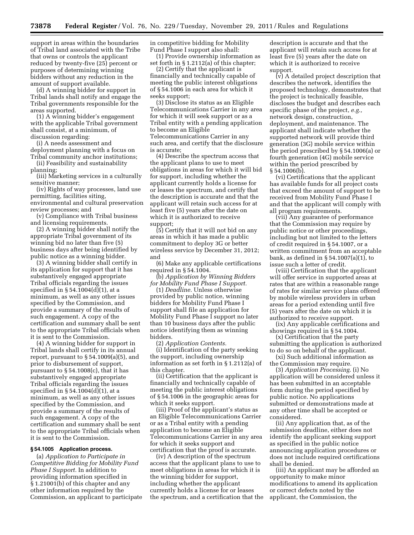support in areas within the boundaries of Tribal land associated with the Tribe that owns or controls the applicant reduced by twenty-five (25) percent or purposes of determining winning bidders without any reduction in the amount of support available.

(d) A winning bidder for support in Tribal lands shall notify and engage the Tribal governments responsible for the areas supported.

(1) A winning bidder's engagement with the applicable Tribal government shall consist, at a minimum, of discussion regarding:

(i) A needs assessment and

deployment planning with a focus on Tribal community anchor institutions;

(ii) Feasibility and sustainability planning;

(iii) Marketing services in a culturally sensitive manner;

(iv) Rights of way processes, land use permitting, facilities siting, environmental and cultural preservation review processes; and

(v) Compliance with Tribal business and licensing requirements.

(2) A winning bidder shall notify the appropriate Tribal government of its winning bid no later than five (5) business days after being identified by public notice as a winning bidder.

(3) A winning bidder shall certify in its application for support that it has substantively engaged appropriate Tribal officials regarding the issues specified in § 54.1004(d)(1), at a minimum, as well as any other issues specified by the Commission, and provide a summary of the results of such engagement. A copy of the certification and summary shall be sent to the appropriate Tribal officials when it is sent to the Commission.

(4) A winning bidder for support in Tribal lands shall certify in its annual report, pursuant to  $\S 54.1009(a)(5)$ , and prior to disbursement of support, pursuant to  $\S$  54.1008(c), that it has substantively engaged appropriate Tribal officials regarding the issues specified in § 54.1004(d)(1), at a minimum, as well as any other issues specified by the Commission, and provide a summary of the results of such engagement. A copy of the certification and summary shall be sent to the appropriate Tribal officials when it is sent to the Commission.

#### **§ 54.1005 Application process.**

(a) *Application to Participate in Competitive Bidding for Mobility Fund Phase I Support.* In addition to providing information specified in § 1.21001(b) of this chapter and any other information required by the Commission, an applicant to participate in competitive bidding for Mobility Fund Phase I support also shall:

(1) Provide ownership information as set forth in § 1.2112(a) of this chapter;

(2) Certify that the applicant is financially and technically capable of meeting the public interest obligations of § 54.1006 in each area for which it seeks support;

(3) Disclose its status as an Eligible Telecommunications Carrier in any area for which it will seek support or as a Tribal entity with a pending application to become an Eligible Telecommunications Carrier in any such area, and certify that the disclosure is accurate;

(4) Describe the spectrum access that the applicant plans to use to meet obligations in areas for which it will bid for support, including whether the applicant currently holds a license for or leases the spectrum, and certify that the description is accurate and that the applicant will retain such access for at least five (5) years after the date on which it is authorized to receive support;

(5) Certify that it will not bid on any areas in which it has made a public commitment to deploy 3G or better wireless service by December 31, 2012; and

(6) Make any applicable certifications required in § 54.1004.

(b) *Application by Winning Bidders for Mobility Fund Phase I Support.* 

(1) *Deadline.* Unless otherwise provided by public notice, winning bidders for Mobility Fund Phase I support shall file an application for Mobility Fund Phase I support no later than 10 business days after the public notice identifying them as winning bidders.

(2) *Application Contents.* 

(i) Identification of the party seeking the support, including ownership information as set forth in § 1.2112(a) of this chapter.

(ii) Certification that the applicant is financially and technically capable of meeting the public interest obligations of § 54.1006 in the geographic areas for which it seeks support.

(iii) Proof of the applicant's status as an Eligible Telecommunications Carrier or as a Tribal entity with a pending application to become an Eligible Telecommunications Carrier in any area for which it seeks support and certification that the proof is accurate.

(iv) A description of the spectrum access that the applicant plans to use to meet obligations in areas for which it is the winning bidder for support, including whether the applicant currently holds a license for or leases the spectrum, and a certification that the description is accurate and that the applicant will retain such access for at least five (5) years after the date on which it is authorized to receive support.

(v) A detailed project description that describes the network, identifies the proposed technology, demonstrates that the project is technically feasible, discloses the budget and describes each specific phase of the project, *e.g.,*  network design, construction, deployment, and maintenance. The applicant shall indicate whether the supported network will provide third generation (3G) mobile service within the period prescribed by § 54.1006(a) or fourth generation (4G) mobile service within the period prescribed by § 54.1006(b).

(vi) Certifications that the applicant has available funds for all project costs that exceed the amount of support to be received from Mobility Fund Phase I and that the applicant will comply with all program requirements.

(vii) Any guarantee of performance that the Commission may require by public notice or other proceedings, including but not limited to the letters of credit required in § 54.1007, or a written commitment from an acceptable bank, as defined in § 54.1007(a)(1), to issue such a letter of credit.

(viii) Certification that the applicant will offer service in supported areas at rates that are within a reasonable range of rates for similar service plans offered by mobile wireless providers in urban areas for a period extending until five (5) years after the date on which it is authorized to receive support.

(ix) Any applicable certifications and showings required in § 54.1004.

(x) Certification that the party submitting the application is authorized to do so on behalf of the applicant.

(xi) Such additional information as the Commission may require.

(3) *Application Processing.* (i) No application will be considered unless it has been submitted in an acceptable form during the period specified by public notice. No applications submitted or demonstrations made at any other time shall be accepted or considered.

(ii) Any application that, as of the submission deadline, either does not identify the applicant seeking support as specified in the public notice announcing application procedures or does not include required certifications shall be denied.

(iii) An applicant may be afforded an opportunity to make minor modifications to amend its application or correct defects noted by the applicant, the Commission, the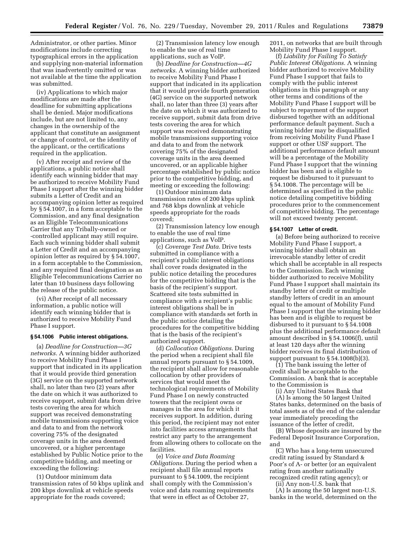Administrator, or other parties. Minor modifications include correcting typographical errors in the application and supplying non-material information that was inadvertently omitted or was not available at the time the application was submitted.

(iv) Applications to which major modifications are made after the deadline for submitting applications shall be denied. Major modifications include, but are not limited to, any changes in the ownership of the applicant that constitute an assignment or change of control, or the identity of the applicant, or the certifications required in the application.

(v) After receipt and review of the applications, a public notice shall identify each winning bidder that may be authorized to receive Mobility Fund Phase I support after the winning bidder submits a Letter of Credit and an accompanying opinion letter as required by § 54.1007, in a form acceptable to the Commission, and any final designation as an Eligible Telecommunications Carrier that any Tribally-owned or -controlled applicant may still require. Each such winning bidder shall submit a Letter of Credit and an accompanying opinion letter as required by § 54.1007, in a form acceptable to the Commission, and any required final designation as an Eligible Telecommunications Carrier no later than 10 business days following the release of the public notice.

(vi) After receipt of all necessary information, a public notice will identify each winning bidder that is authorized to receive Mobility Fund Phase I support.

#### **§ 54.1006 Public interest obligations.**

(a) *Deadline for Construction—3G networks.* A winning bidder authorized to receive Mobility Fund Phase I support that indicated in its application that it would provide third generation (3G) service on the supported network shall, no later than two (2) years after the date on which it was authorized to receive support, submit data from drive tests covering the area for which support was received demonstrating mobile transmissions supporting voice and data to and from the network covering 75% of the designated coverage units in the area deemed uncovered, or a higher percentage established by Public Notice prior to the competitive bidding, and meeting or exceeding the following:

(1) Outdoor minimum data transmission rates of 50 kbps uplink and 200 kbps downlink at vehicle speeds appropriate for the roads covered;

(2) Transmission latency low enough to enable the use of real time applications, such as VoIP.

(b) *Deadline for Construction—4G networks.* A winning bidder authorized to receive Mobility Fund Phase I support that indicated in its application that it would provide fourth generation (4G) service on the supported network shall, no later than three (3) years after the date on which it was authorized to receive support, submit data from drive tests covering the area for which support was received demonstrating mobile transmissions supporting voice and data to and from the network covering 75% of the designated coverage units in the area deemed uncovered, or an applicable higher percentage established by public notice prior to the competitive bidding, and meeting or exceeding the following:

(1) Outdoor minimum data transmission rates of 200 kbps uplink and 768 kbps downlink at vehicle speeds appropriate for the roads covered;

(2) Transmission latency low enough to enable the use of real time applications, such as VoIP.

(c) *Coverage Test Data.* Drive tests submitted in compliance with a recipient's public interest obligations shall cover roads designated in the public notice detailing the procedures for the competitive bidding that is the basis of the recipient's support. Scattered site tests submitted in compliance with a recipient's public interest obligations shall be in compliance with standards set forth in the public notice detailing the procedures for the competitive bidding that is the basis of the recipient's authorized support.

(d) *Collocation Obligations.* During the period when a recipient shall file annual reports pursuant to § 54.1009, the recipient shall allow for reasonable collocation by other providers of services that would meet the technological requirements of Mobility Fund Phase I on newly constructed towers that the recipient owns or manages in the area for which it receives support. In addition, during this period, the recipient may not enter into facilities access arrangements that restrict any party to the arrangement from allowing others to collocate on the facilities.

(e) *Voice and Data Roaming Obligations.* During the period when a recipient shall file annual reports pursuant to § 54.1009, the recipient shall comply with the Commission's voice and data roaming requirements that were in effect as of October 27,

2011, on networks that are built through Mobility Fund Phase I support.

(f) *Liability for Failing To Satisfy Public Interest Obligations.* A winning bidder authorized to receive Mobility Fund Phase I support that fails to comply with the public interest obligations in this paragraph or any other terms and conditions of the Mobility Fund Phase I support will be subject to repayment of the support disbursed together with an additional performance default payment. Such a winning bidder may be disqualified from receiving Mobility Fund Phase I support or other USF support. The additional performance default amount will be a percentage of the Mobility Fund Phase I support that the winning bidder has been and is eligible to request be disbursed to it pursuant to § 54.1008. The percentage will be determined as specified in the public notice detailing competitive bidding procedures prior to the commencement of competitive bidding. The percentage will not exceed twenty percent.

#### **§ 54.1007 Letter of credit.**

(a) Before being authorized to receive Mobility Fund Phase I support, a winning bidder shall obtain an irrevocable standby letter of credit which shall be acceptable in all respects to the Commission. Each winning bidder authorized to receive Mobility Fund Phase I support shall maintain its standby letter of credit or multiple standby letters of credit in an amount equal to the amount of Mobility Fund Phase I support that the winning bidder has been and is eligible to request be disbursed to it pursuant to § 54.1008 plus the additional performance default amount described in § 54.1006(f), until at least 120 days after the winning bidder receives its final distribution of support pursuant to  $\S$  54.1008(b)(3).

(1) The bank issuing the letter of credit shall be acceptable to the Commission. A bank that is acceptable to the Commission is

(i) Any United States Bank that

(A) Is among the 50 largest United States banks, determined on the basis of total assets as of the end of the calendar year immediately preceding the issuance of the letter of credit,

(B) Whose deposits are insured by the Federal Deposit Insurance Corporation, and

(C) Who has a long-term unsecured credit rating issued by Standard & Poor's of A- or better (or an equivalent rating from another nationally recognized credit rating agency); or

(ii) Any non-U.S. bank that

(A) Is among the 50 largest non-U.S. banks in the world, determined on the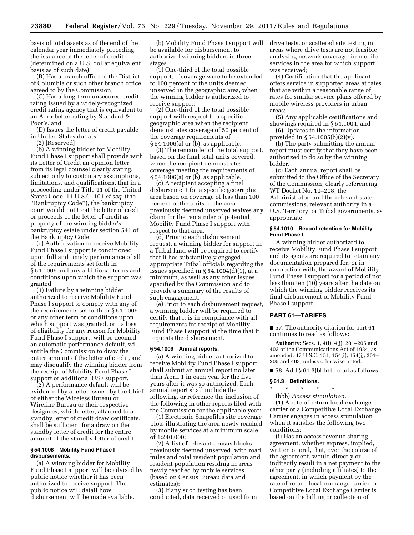basis of total assets as of the end of the calendar year immediately preceding the issuance of the letter of credit (determined on a U.S. dollar equivalent basis as of such date),

(B) Has a branch office in the District of Columbia or such other branch office agreed to by the Commission,

(C) Has a long-term unsecured credit rating issued by a widely-recognized credit rating agency that is equivalent to an A- or better rating by Standard & Poor's, and

(D) Issues the letter of credit payable in United States dollars.

(2) [Reserved]

(b) A winning bidder for Mobility Fund Phase I support shall provide with its Letter of Credit an opinion letter from its legal counsel clearly stating, subject only to customary assumptions, limitations, and qualifications, that in a proceeding under Title 11 of the United States Code, 11 U.S.C. 101 *et seq.* (the ''Bankruptcy Code''), the bankruptcy court would not treat the letter of credit or proceeds of the letter of credit as property of the winning bidder's bankruptcy estate under section 541 of the Bankruptcy Code.

(c) Authorization to receive Mobility Fund Phase I support is conditioned upon full and timely performance of all of the requirements set forth in § 54.1006 and any additional terms and conditions upon which the support was granted.

(1) Failure by a winning bidder authorized to receive Mobility Fund Phase I support to comply with any of the requirements set forth in § 54.1006 or any other term or conditions upon which support was granted, or its loss of eligibility for any reason for Mobility Fund Phase I support, will be deemed an automatic performance default, will entitle the Commission to draw the entire amount of the letter of credit, and may disqualify the winning bidder from the receipt of Mobility Fund Phase I support or additional USF support.

(2) A performance default will be evidenced by a letter issued by the Chief of either the Wireless Bureau or Wireline Bureau or their respective designees, which letter, attached to a standby letter of credit draw certificate, shall be sufficient for a draw on the standby letter of credit for the entire amount of the standby letter of credit.

#### **§ 54.1008 Mobility Fund Phase I disbursements.**

(a) A winning bidder for Mobility Fund Phase I support will be advised by public notice whether it has been authorized to receive support. The public notice will detail how disbursement will be made available.

(b) Mobility Fund Phase I support will be available for disbursement to authorized winning bidders in three stages.

(1) One-third of the total possible support, if coverage were to be extended to 100 percent of the units deemed unserved in the geographic area, when the winning bidder is authorized to receive support.

(2) One-third of the total possible support with respect to a specific geographic area when the recipient demonstrates coverage of 50 percent of the coverage requirements of § 54.1006(a) or (b), as applicable.

(3) The remainder of the total support, based on the final total units covered, when the recipient demonstrates coverage meeting the requirements of § 54.1006(a) or (b), as applicable.

(c) A recipient accepting a final disbursement for a specific geographic area based on coverage of less than 100 percent of the units in the area previously deemed unserved waives any claim for the remainder of potential Mobility Fund Phase I support with respect to that area.

(d) Prior to each disbursement request, a winning bidder for support in a Tribal land will be required to certify that it has substantively engaged appropriate Tribal officials regarding the issues specified in  $\S$  54.1004(d)(1), at a minimum, as well as any other issues specified by the Commission and to provide a summary of the results of such engagement.

(e) Prior to each disbursement request, a winning bidder will be required to certify that it is in compliance with all requirements for receipt of Mobility Fund Phase I support at the time that it requests the disbursement.

#### **§ 54.1009 Annual reports.**

(a) A winning bidder authorized to receive Mobility Fund Phase I support shall submit an annual report no later than April 1 in each year for the five years after it was so authorized. Each annual report shall include the following, or reference the inclusion of the following in other reports filed with the Commission for the applicable year:

(1) Electronic Shapefiles site coverage plots illustrating the area newly reached by mobile services at a minimum scale of 1:240,000;

(2) A list of relevant census blocks previously deemed unserved, with road miles and total resident population and resident population residing in areas newly reached by mobile services (based on Census Bureau data and estimates);

(3) If any such testing has been conducted, data received or used from drive tests, or scattered site testing in areas where drive tests are not feasible, analyzing network coverage for mobile services in the area for which support was received;

(4) Certification that the applicant offers service in supported areas at rates that are within a reasonable range of rates for similar service plans offered by mobile wireless providers in urban areas;

(5) Any applicable certifications and showings required in § 54.1004; and

(6) Updates to the information provided in § 54.1005(b)(2)(v).

(b) The party submitting the annual report must certify that they have been authorized to do so by the winning bidder.

(c) Each annual report shall be submitted to the Office of the Secretary of the Commission, clearly referencing WT Docket No. 10–208; the Administrator; and the relevant state commissions, relevant authority in a U.S. Territory, or Tribal governments, as appropriate.

# **§ 54.1010 Record retention for Mobility Fund Phase I.**

A winning bidder authorized to receive Mobility Fund Phase I support and its agents are required to retain any documentation prepared for, or in connection with, the award of Mobility Fund Phase I support for a period of not less than ten (10) years after the date on which the winning bidder receives its final disbursement of Mobility Fund Phase I support.

# **PART 61—TARIFFS**

■ 57. The authority citation for part 61 continues to read as follows:

**Authority:** Secs. 1, 4(i), 4(j), 201–205 and 403 of the Communications Act of 1934, as amended; 47 U.S.C. 151, 154(i), 154(j), 201– 205 and 403, unless otherwise noted.

■ 58. Add § 61.3(bbb) to read as follows:

#### **§ 61.3 Definitions.**

#### $\star$   $\star$

(bbb) *Access stimulation.* 

(1) A rate-of-return local exchange carrier or a Competitive Local Exchange Carrier engages in access stimulation when it satisfies the following two conditions:

(i) Has an access revenue sharing agreement, whether express, implied, written or oral, that, over the course of the agreement, would directly or indirectly result in a net payment to the other party (including affiliates) to the agreement, in which payment by the rate-of-return local exchange carrier or Competitive Local Exchange Carrier is based on the billing or collection of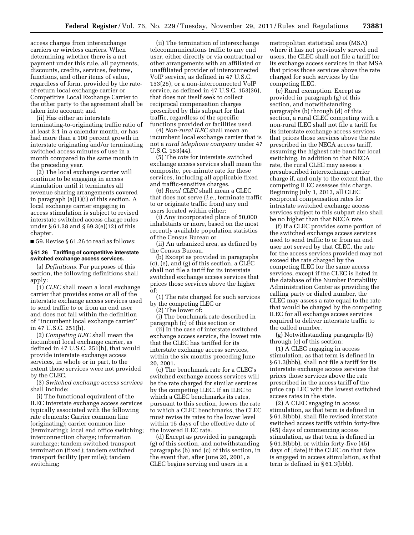access charges from interexchange carriers or wireless carriers. When determining whether there is a net payment under this rule, all payments, discounts, credits, services, features, functions, and other items of value, regardless of form, provided by the rateof-return local exchange carrier or Competitive Local Exchange Carrier to the other party to the agreement shall be taken into account; and

(ii) Has either an interstate terminating-to-originating traffic ratio of at least 3:1 in a calendar month, or has had more than a 100 percent growth in interstate originating and/or terminating switched access minutes of use in a month compared to the same month in the preceding year.

(2) The local exchange carrier will continue to be engaging in access stimulation until it terminates all revenue sharing arrangements covered in paragraph (a)(1)(i) of this section. A local exchange carrier engaging in access stimulation is subject to revised interstate switched access charge rules under § 61.38 and § 69.3(e)(12) of this chapter.

■ 59. Revise § 61.26 to read as follows:

#### **§ 61.26 Tariffing of competitive interstate switched exchange access services.**

(a) *Definitions.* For purposes of this section, the following definitions shall apply:

(1) *CLEC* shall mean a local exchange carrier that provides some or all of the interstate exchange access services used to send traffic to or from an end user and does not fall within the definition of ''incumbent local exchange carrier'' in 47 U.S.C. 251(h).

(2) *Competing ILEC* shall mean the incumbent local exchange carrier, as defined in 47 U.S.C. 251(h), that would provide interstate exchange access services, in whole or in part, to the extent those services were not provided by the CLEC.

(3) *Switched exchange access services*  shall include:

(i) The functional equivalent of the ILEC interstate exchange access services typically associated with the following rate elements: Carrier common line (originating); carrier common line (terminating); local end office switching; interconnection charge; information surcharge; tandem switched transport termination (fixed); tandem switched transport facility (per mile); tandem switching;

(ii) The termination of interexchange telecommunications traffic to any end user, either directly or via contractual or other arrangements with an affiliated or unaffiliated provider of interconnected VoIP service, as defined in 47 U.S.C. 153(25), or a non-interconnected VoIP service, as defined in 47 U.S.C. 153(36), that does not itself seek to collect reciprocal compensation charges prescribed by this subpart for that traffic, regardless of the specific functions provided or facilities used.

(4) *Non-rural ILEC* shall mean an incumbent local exchange carrier that is not a *rural telephone company* under 47 U.S.C. 153(44).

(5) The *rate* for interstate switched exchange access services shall mean the composite, per-minute rate for these services, including all applicable fixed and traffic-sensitive charges.

(6) *Rural CLEC* shall mean a CLEC that does not serve (*i.e.,* terminate traffic to or originate traffic from) any end users located within either:

(i) Any incorporated place of 50,000 inhabitants or more, based on the most recently available population statistics of the Census Bureau or

(ii) An urbanized area, as defined by the Census Bureau.

(b) Except as provided in paragraphs (c), (e), and (g) of this section, a CLEC shall not file a tariff for its interstate switched exchange access services that prices those services above the higher of:

(1) The rate charged for such services by the competing ILEC or

(2) The lower of:

(i) The benchmark rate described in paragraph (c) of this section or

(ii) In the case of interstate switched exchange access service, the lowest rate that the CLEC has tariffed for its interstate exchange access services, within the six months preceding June 20, 2001.

(c) The benchmark rate for a CLEC's switched exchange access services will be the rate charged for similar services by the competing ILEC. If an ILEC to which a CLEC benchmarks its rates, pursuant to this section, lowers the rate to which a CLEC benchmarks, the CLEC must revise its rates to the lower level within 15 days of the effective date of the lowered ILEC rate.

(d) Except as provided in paragraph (g) of this section, and notwithstanding paragraphs (b) and (c) of this section, in the event that, after June 20, 2001, a CLEC begins serving end users in a

metropolitan statistical area (MSA) where it has not previously served end users, the CLEC shall not file a tariff for its exchange access services in that MSA that prices those services above the rate charged for such services by the competing ILEC.

(e) Rural exemption. Except as provided in paragraph (g) of this section, and notwithstanding paragraphs (b) through (d) of this section, a rural CLEC competing with a non-rural ILEC shall not file a tariff for its interstate exchange access services that prices those services above the rate prescribed in the NECA access tariff, assuming the highest rate band for local switching. In addition to that NECA rate, the rural CLEC may assess a presubscribed interexchange carrier charge if, and only to the extent that, the competing ILEC assesses this charge. Beginning July 1, 2013, all CLEC reciprocal compensation rates for intrastate switched exchange access services subject to this subpart also shall be no higher than that NECA rate.

(f) If a CLEC provides some portion of the switched exchange access services used to send traffic to or from an end user not served by that CLEC, the rate for the access services provided may not exceed the rate charged by the competing ILEC for the same access services, except if the CLEC is listed in the database of the Number Portability Administration Center as providing the calling party or dialed number, the CLEC may assess a rate equal to the rate that would be charged by the competing ILEC for all exchange access services required to deliver interstate traffic to the called number.

(g) Notwithstanding paragraphs (b) through (e) of this section:

(1) A CLEC engaging in access stimulation, as that term is defined in § 61.3(bbb), shall not file a tariff for its interstate exchange access services that prices those services above the rate prescribed in the access tariff of the price cap LEC with the lowest switched access rates in the state.

(2) A CLEC engaging in access stimulation, as that term is defined in § 61.3(bbb), shall file revised interstate switched access tariffs within forty-five (45) days of commencing access stimulation, as that term is defined in § 61.3(bbb), or within forty-five (45) days of [date] if the CLEC on that date is engaged in access stimulation, as that term is defined in § 61.3(bbb).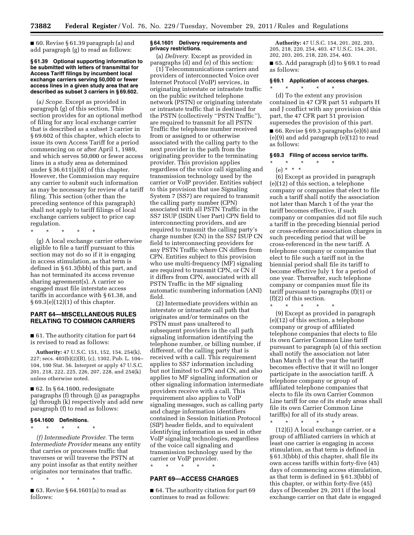■ 60. Revise § 61.39 paragraph (a) and add paragraph (g) to read as follows:

#### **§ 61.39 Optional supporting information to be submitted with letters of transmittal for Access Tariff filings by incumbent local exchange carriers serving 50,000 or fewer access lines in a given study area that are described as subset 3 carriers in § 69.602.**

(a*) Scope.* Except as provided in paragraph (g) of this section, This section provides for an optional method of filing for any local exchange carrier that is described as a subset 3 carrier in § 69.602 of this chapter, which elects to issue its own Access Tariff for a period commencing on or after April 1, 1989, and which serves 50,000 or fewer access lines in a study area as determined under  $\S 36.611(a)(8)$  of this chapter. However, the Commission may require any carrier to submit such information as may be necessary for review of a tariff filing. This section (other than the preceding sentence of this paragraph) shall not apply to tariff filings of local exchange carriers subject to price cap regulation.

\* \* \* \* \*

(g) A local exchange carrier otherwise eligible to file a tariff pursuant to this section may not do so if it is engaging in access stimulation, as that term is defined in § 61.3(bbb) of this part, and has not terminated its access revenue sharing agreement(s). A carrier so engaged must file interstate access tariffs in accordance with § 61.38, and § 69.3(e)(12)(1) of this chapter.

# **PART 64—MISCELLANEOUS RULES RELATING TO COMMON CARRIERS**

■ 61. The authority citation for part 64 is revised to read as follows:

**Authority:** 47 U.S.C. 151, 152, 154, 254(k), 227; secs. 403(b)(2)(B), (c), 1302, Pub. L. 104– 104, 100 Stat. 56. Interpret or apply 47 U.S.C. 201, 218, 222, 225, 226, 207, 228, and 254(k) unless otherwise noted.

■ 62. In § 64.1600, redesignate paragraphs (f) through (j) as paragraphs (g) through (k) respectively and add new paragraph (f) to read as follows:

#### **§ 64.1600 Definitions.**

\* \* \* \* \*

*(f) Intermediate Provider.* The term *Intermediate Provider* means any entity that carries or processes traffic that traverses or will traverse the PSTN at any point insofar as that entity neither originates nor terminates that traffic.

\* \* \* \* \*

■ 63. Revise § 64.1601(a) to read as follows:

# **§ 64.1601 Delivery requirements and privacy restrictions.**

(a) *Delivery.* Except as provided in paragraphs  $(d)$  and  $(e)$  of this section:

(1) Telecommunications carriers and providers of interconnected Voice over Internet Protocol (VoIP) services, in originating interstate or intrastate traffic on the public switched telephone network (PSTN) or originating interstate or intrastate traffic that is destined for the PSTN (collectively ''PSTN Traffic''), are required to transmit for all PSTN Traffic the telephone number received from or assigned to or otherwise associated with the calling party to the next provider in the path from the originating provider to the terminating provider. This provision applies regardless of the voice call signaling and transmission technology used by the carrier or VoIP provider. Entities subject to this provision that use Signaling System 7 (SS7) are required to transmit the calling party number (CPN) associated with all PSTN Traffic in the SS7 ISUP (ISDN User Part) CPN field to interconnecting providers, and are required to transmit the calling party's charge number (CN) in the SS7 ISUP CN field to interconnecting providers for any PSTN Traffic where CN differs from CPN. Entities subject to this provision who use multi-frequency (MF) signaling are required to transmit CPN, or CN if it differs from CPN, associated with all PSTN Traffic in the MF signaling automatic numbering information (ANI) field.

(2) Intermediate providers within an interstate or intrastate call path that originates and/or terminates on the PSTN must pass unaltered to subsequent providers in the call path signaling information identifying the telephone number, or billing number, if different, of the calling party that is received with a call. This requirement applies to SS7 information including but not limited to CPN and CN, and also applies to MF signaling information or other signaling information intermediate providers receive with a call. This requirement also applies to VoIP signaling messages, such as calling party and charge information identifiers contained in Session Initiation Protocol (SIP) header fields, and to equivalent identifying information as used in other VoIP signaling technologies, regardless of the voice call signaling and transmission technology used by the carrier or VoIP provider.

\* \* \* \* \*

# **PART 69—ACCESS CHARGES**

■ 64. The authority citation for part 69 continues to read as follows:

**Authority:** 47 U.S.C. 154, 201, 202, 203, 205, 218, 220, 254, 403. 47 U.S.C. 154, 201, 202, 203, 205, 218, 220, 254, 403.

■ 65. Add paragraph (d) to § 69.1 to read as follows:

# **§ 69.1 Application of access charges.**

\* \* \* \* \*

(d) To the extent any provision contained in 47 CFR part 51 subparts H and J conflict with any provision of this part, the 47 CFR part 51 provision supersedes the provision of this part.

■ 66. Revise § 69.3 paragraphs (e)(6) and (e)(9) and add paragraph (e)(12) to read as follows:

#### **§ 69.3 Filing of access service tariffs.**

 $\star$   $\star$   $\star$ (e) \* \* \*

(6) Except as provided in paragraph (e)(12) of this section, a telephone company or companies that elect to file such a tariff shall notify the association not later than March 1 of the year the tariff becomes effective, if such company or companies did not file such a tariff in the preceding biennial period or cross-reference association charges in such preceding period that will be cross-referenced in the new tariff. A telephone company or companies that elect to file such a tariff not in the biennial period shall file its tariff to become effective July 1 for a period of one year. Thereafter, such telephone company or companies must file its tariff pursuant to paragraphs (f)(1) or (f)(2) of this section. \* \* \* \* \*

(9) Except as provided in paragraph (e)(12) of this section, a telephone company or group of affiliated telephone companies that elects to file its own Carrier Common Line tariff pursuant to paragraph (a) of this section shall notify the association not later than March 1 of the year the tariff becomes effective that it will no longer participate in the association tariff. A telephone company or group of affiliated telephone companies that elects to file its own Carrier Common Line tariff for one of its study areas shall file its own Carrier Common Line tariff(s) for all of its study areas.

\* \* \* \* \*

(12)(i) A local exchange carrier, or a group of affiliated carriers in which at least one carrier is engaging in access stimulation, as that term is defined in § 61.3(bbb) of this chapter, shall file its own access tariffs within forty-five (45) days of commencing access stimulation, as that term is defined in § 61.3(bbb) of this chapter, or within forty-five (45) days of December 29, 2011 if the local exchange carrier on that date is engaged